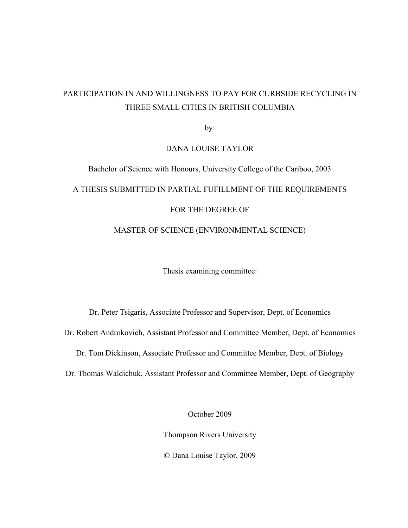# PARTICIPATION IN AND WILLINGNESS TO PAY FOR CURBSIDE RECYCLING IN THREE SMALL CITIES IN BRITISH COLUMBIA

by:

#### DANA LOUISE TAYLOR

# Bachelor of Science with Honours, University College of the Cariboo, 2003 A THESIS SUBMITTED IN PARTIAL FUFILLMENT OF THE REQUIREMENTS FOR THE DEGREE OF MASTER OF SCIENCE (ENVIRONMENTAL SCIENCE)

Thesis examining committee:

Dr. Peter Tsigaris, Associate Professor and Supervisor, Dept. of Economics

Dr. Robert Androkovich, Assistant Professor and Committee Member, Dept. of Economics

Dr. Tom Dickinson, Associate Professor and Committee Member, Dept. of Biology

Dr. Thomas Waldichuk, Assistant Professor and Committee Member, Dept. of Geography

October 2009

Thompson Rivers University

© Dana Louise Taylor, 2009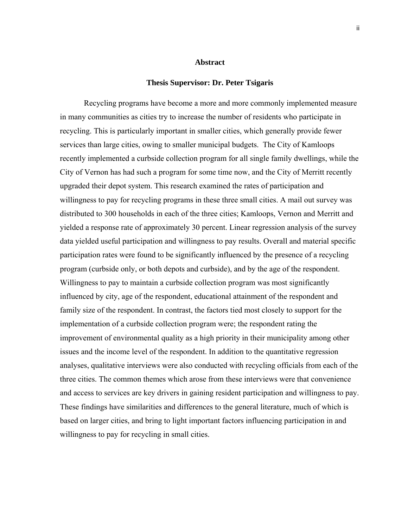#### **Abstract**

#### **Thesis Supervisor: Dr. Peter Tsigaris**

 Recycling programs have become a more and more commonly implemented measure in many communities as cities try to increase the number of residents who participate in recycling. This is particularly important in smaller cities, which generally provide fewer services than large cities, owing to smaller municipal budgets. The City of Kamloops recently implemented a curbside collection program for all single family dwellings, while the City of Vernon has had such a program for some time now, and the City of Merritt recently upgraded their depot system. This research examined the rates of participation and willingness to pay for recycling programs in these three small cities. A mail out survey was distributed to 300 households in each of the three cities; Kamloops, Vernon and Merritt and yielded a response rate of approximately 30 percent. Linear regression analysis of the survey data yielded useful participation and willingness to pay results. Overall and material specific participation rates were found to be significantly influenced by the presence of a recycling program (curbside only, or both depots and curbside), and by the age of the respondent. Willingness to pay to maintain a curbside collection program was most significantly influenced by city, age of the respondent, educational attainment of the respondent and family size of the respondent. In contrast, the factors tied most closely to support for the implementation of a curbside collection program were; the respondent rating the improvement of environmental quality as a high priority in their municipality among other issues and the income level of the respondent. In addition to the quantitative regression analyses, qualitative interviews were also conducted with recycling officials from each of the three cities. The common themes which arose from these interviews were that convenience and access to services are key drivers in gaining resident participation and willingness to pay. These findings have similarities and differences to the general literature, much of which is based on larger cities, and bring to light important factors influencing participation in and willingness to pay for recycling in small cities.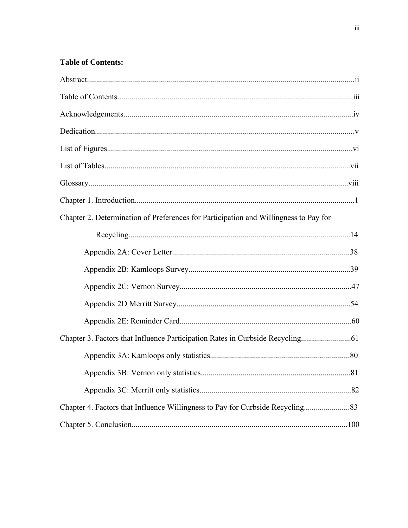## **Table of Contents:**

| Chapter 2. Determination of Preferences for Participation and Willingness to Pay for |  |
|--------------------------------------------------------------------------------------|--|
|                                                                                      |  |
|                                                                                      |  |
|                                                                                      |  |
|                                                                                      |  |
|                                                                                      |  |
|                                                                                      |  |
| Chapter 3. Factors that Influence Participation Rates in Curbside Recycling          |  |
|                                                                                      |  |
|                                                                                      |  |
|                                                                                      |  |
| Chapter 4. Factors that Influence Willingness to Pay for Curbside Recycling          |  |
|                                                                                      |  |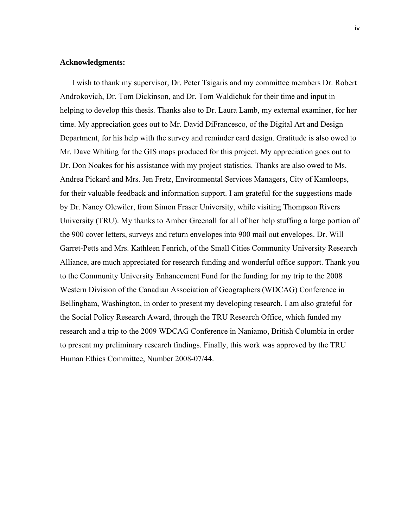#### **Acknowledgments:**

I wish to thank my supervisor, Dr. Peter Tsigaris and my committee members Dr. Robert Androkovich, Dr. Tom Dickinson, and Dr. Tom Waldichuk for their time and input in helping to develop this thesis. Thanks also to Dr. Laura Lamb, my external examiner, for her time. My appreciation goes out to Mr. David DiFrancesco, of the Digital Art and Design Department, for his help with the survey and reminder card design. Gratitude is also owed to Mr. Dave Whiting for the GIS maps produced for this project. My appreciation goes out to Dr. Don Noakes for his assistance with my project statistics. Thanks are also owed to Ms. Andrea Pickard and Mrs. Jen Fretz, Environmental Services Managers, City of Kamloops, for their valuable feedback and information support. I am grateful for the suggestions made by Dr. Nancy Olewiler, from Simon Fraser University, while visiting Thompson Rivers University (TRU). My thanks to Amber Greenall for all of her help stuffing a large portion of the 900 cover letters, surveys and return envelopes into 900 mail out envelopes. Dr. Will Garret-Petts and Mrs. Kathleen Fenrich, of the Small Cities Community University Research Alliance, are much appreciated for research funding and wonderful office support. Thank you to the Community University Enhancement Fund for the funding for my trip to the 2008 Western Division of the Canadian Association of Geographers (WDCAG) Conference in Bellingham, Washington, in order to present my developing research. I am also grateful for the Social Policy Research Award, through the TRU Research Office, which funded my research and a trip to the 2009 WDCAG Conference in Naniamo, British Columbia in order to present my preliminary research findings. Finally, this work was approved by the TRU Human Ethics Committee, Number 2008-07/44.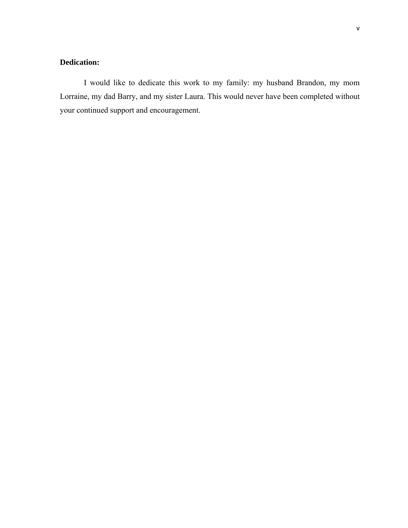## **Dedication:**

 I would like to dedicate this work to my family: my husband Brandon, my mom Lorraine, my dad Barry, and my sister Laura. This would never have been completed without your continued support and encouragement.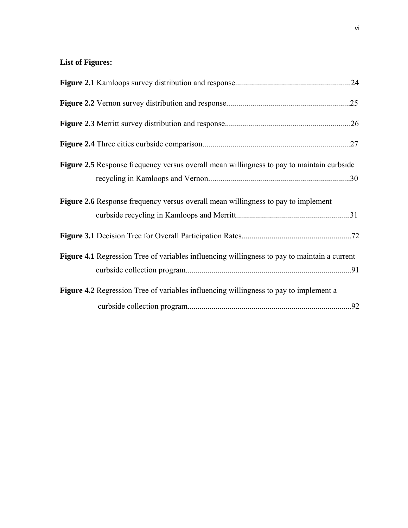## **List of Figures:**

| <b>Figure 2.5</b> Response frequency versus overall mean willingness to pay to maintain curbside |  |
|--------------------------------------------------------------------------------------------------|--|
| <b>Figure 2.6</b> Response frequency versus overall mean willingness to pay to implement         |  |
|                                                                                                  |  |
| Figure 4.1 Regression Tree of variables influencing willingness to pay to maintain a current     |  |
| <b>Figure 4.2</b> Regression Tree of variables influencing willingness to pay to implement a     |  |
|                                                                                                  |  |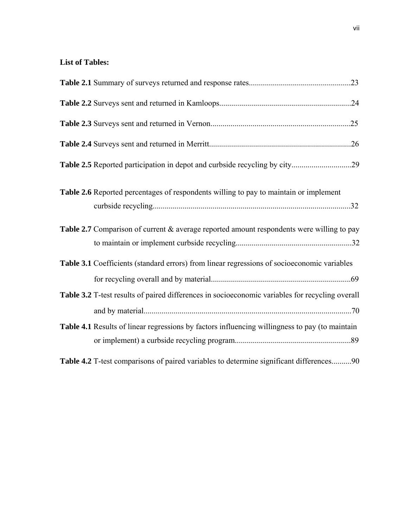## **List of Tables:**

| Table 2.6 Reported percentages of respondents willing to pay to maintain or implement           |
|-------------------------------------------------------------------------------------------------|
| Table 2.7 Comparison of current & average reported amount respondents were willing to pay       |
| Table 3.1 Coefficients (standard errors) from linear regressions of socioeconomic variables     |
| Table 3.2 T-test results of paired differences in socioeconomic variables for recycling overall |
| Table 4.1 Results of linear regressions by factors influencing willingness to pay (to maintain  |
| Table 4.2 T-test comparisons of paired variables to determine significant differences90         |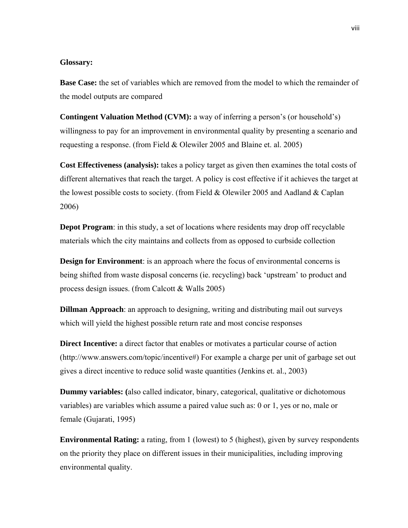#### **Glossary:**

**Base Case:** the set of variables which are removed from the model to which the remainder of the model outputs are compared

**Contingent Valuation Method (CVM):** a way of inferring a person's (or household's) willingness to pay for an improvement in environmental quality by presenting a scenario and requesting a response. (from Field & Olewiler 2005 and Blaine et. al. 2005)

**Cost Effectiveness (analysis):** takes a policy target as given then examines the total costs of different alternatives that reach the target. A policy is cost effective if it achieves the target at the lowest possible costs to society. (from Field & Olewiler 2005 and Aadland & Caplan 2006)

**Depot Program**: in this study, a set of locations where residents may drop off recyclable materials which the city maintains and collects from as opposed to curbside collection

**Design for Environment**: is an approach where the focus of environmental concerns is being shifted from waste disposal concerns (ie. recycling) back 'upstream' to product and process design issues. (from Calcott & Walls 2005)

**Dillman Approach**: an approach to designing, writing and distributing mail out surveys which will yield the highest possible return rate and most concise responses

**Direct Incentive:** a direct factor that enables or motivates a particular course of action (http://www.answers.com/topic/incentive#) For example a charge per unit of garbage set out gives a direct incentive to reduce solid waste quantities (Jenkins et. al., 2003)

**Dummy variables: (**also called indicator, binary, categorical, qualitative or dichotomous variables) are variables which assume a paired value such as: 0 or 1, yes or no, male or female (Gujarati, 1995)

**Environmental Rating:** a rating, from 1 (lowest) to 5 (highest), given by survey respondents on the priority they place on different issues in their municipalities, including improving environmental quality.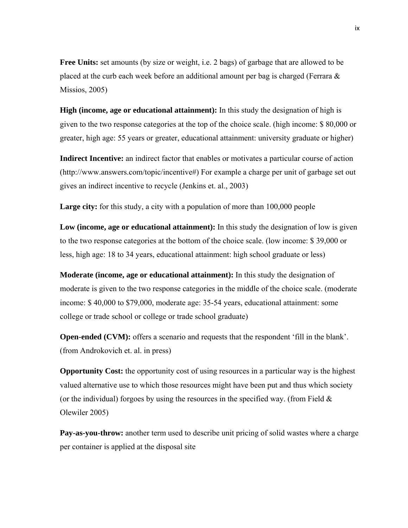**Free Units:** set amounts (by size or weight, i.e. 2 bags) of garbage that are allowed to be placed at the curb each week before an additional amount per bag is charged (Ferrara  $\&$ Missios, 2005)

**High (income, age or educational attainment):** In this study the designation of high is given to the two response categories at the top of the choice scale. (high income: \$ 80,000 or greater, high age: 55 years or greater, educational attainment: university graduate or higher)

**Indirect Incentive:** an indirect factor that enables or motivates a particular course of action (http://www.answers.com/topic/incentive#) For example a charge per unit of garbage set out gives an indirect incentive to recycle (Jenkins et. al., 2003)

Large city: for this study, a city with a population of more than 100,000 people

**Low (income, age or educational attainment):** In this study the designation of low is given to the two response categories at the bottom of the choice scale. (low income: \$ 39,000 or less, high age: 18 to 34 years, educational attainment: high school graduate or less)

**Moderate (income, age or educational attainment):** In this study the designation of moderate is given to the two response categories in the middle of the choice scale. (moderate income: \$ 40,000 to \$79,000, moderate age: 35-54 years, educational attainment: some college or trade school or college or trade school graduate)

**Open-ended (CVM):** offers a scenario and requests that the respondent 'fill in the blank'. (from Androkovich et. al. in press)

**Opportunity Cost:** the opportunity cost of using resources in a particular way is the highest valued alternative use to which those resources might have been put and thus which society (or the individual) forgoes by using the resources in the specified way. (from Field  $\&$ Olewiler 2005)

**Pay-as-you-throw:** another term used to describe unit pricing of solid wastes where a charge per container is applied at the disposal site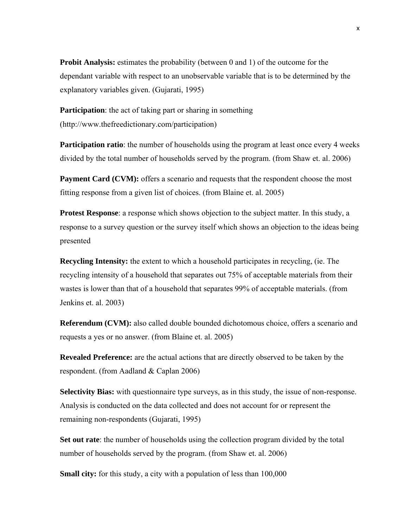**Probit Analysis:** estimates the probability (between 0 and 1) of the outcome for the dependant variable with respect to an unobservable variable that is to be determined by the explanatory variables given. (Gujarati, 1995)

**Participation**: the act of taking part or sharing in something (http://www.thefreedictionary.com/participation)

**Participation ratio**: the number of households using the program at least once every 4 weeks divided by the total number of households served by the program. (from Shaw et. al. 2006)

**Payment Card (CVM):** offers a scenario and requests that the respondent choose the most fitting response from a given list of choices. (from Blaine et. al. 2005)

**Protest Response**: a response which shows objection to the subject matter. In this study, a response to a survey question or the survey itself which shows an objection to the ideas being presented

**Recycling Intensity:** the extent to which a household participates in recycling, (ie. The recycling intensity of a household that separates out 75% of acceptable materials from their wastes is lower than that of a household that separates 99% of acceptable materials. (from Jenkins et. al. 2003)

**Referendum (CVM):** also called double bounded dichotomous choice, offers a scenario and requests a yes or no answer. (from Blaine et. al. 2005)

**Revealed Preference:** are the actual actions that are directly observed to be taken by the respondent. (from Aadland & Caplan 2006)

**Selectivity Bias:** with questionnaire type surveys, as in this study, the issue of non-response. Analysis is conducted on the data collected and does not account for or represent the remaining non-respondents (Gujarati, 1995)

**Set out rate**: the number of households using the collection program divided by the total number of households served by the program. (from Shaw et. al. 2006)

**Small city:** for this study, a city with a population of less than 100,000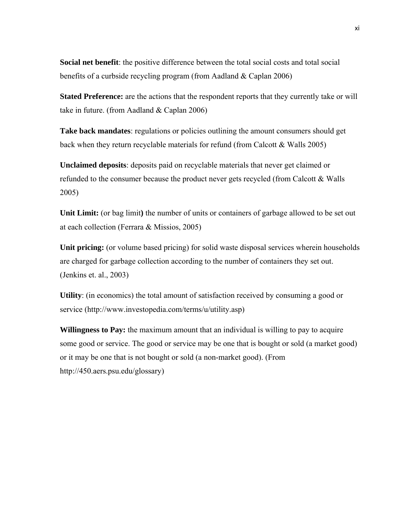**Social net benefit**: the positive difference between the total social costs and total social benefits of a curbside recycling program (from Aadland & Caplan 2006)

**Stated Preference:** are the actions that the respondent reports that they currently take or will take in future. (from Aadland & Caplan 2006)

**Take back mandates**: regulations or policies outlining the amount consumers should get back when they return recyclable materials for refund (from Calcott & Walls 2005)

**Unclaimed deposits**: deposits paid on recyclable materials that never get claimed or refunded to the consumer because the product never gets recycled (from Calcott & Walls 2005)

**Unit Limit:** (or bag limit**)** the number of units or containers of garbage allowed to be set out at each collection (Ferrara & Missios, 2005)

Unit pricing: (or volume based pricing) for solid waste disposal services wherein households are charged for garbage collection according to the number of containers they set out. (Jenkins et. al., 2003)

**Utility**: (in economics) the total amount of satisfaction received by consuming a good or service (http://www.investopedia.com/terms/u/utility.asp)

**Willingness to Pay:** the maximum amount that an individual is willing to pay to acquire some good or service. The good or service may be one that is bought or sold (a market good) or it may be one that is not bought or sold (a non-market good). (From http://450.aers.psu.edu/glossary)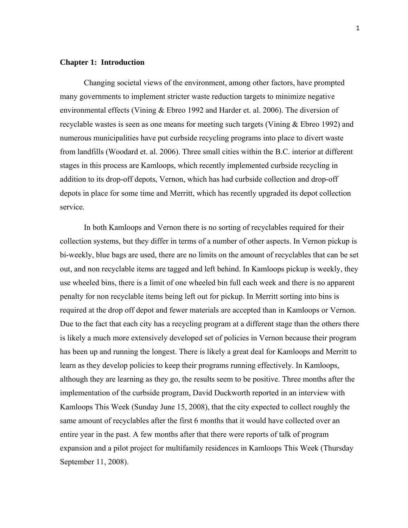#### **Chapter 1: Introduction**

Changing societal views of the environment, among other factors, have prompted many governments to implement stricter waste reduction targets to minimize negative environmental effects (Vining & Ebreo 1992 and Harder et. al. 2006). The diversion of recyclable wastes is seen as one means for meeting such targets (Vining & Ebreo 1992) and numerous municipalities have put curbside recycling programs into place to divert waste from landfills (Woodard et. al. 2006). Three small cities within the B.C. interior at different stages in this process are Kamloops, which recently implemented curbside recycling in addition to its drop-off depots, Vernon, which has had curbside collection and drop-off depots in place for some time and Merritt, which has recently upgraded its depot collection service.

In both Kamloops and Vernon there is no sorting of recyclables required for their collection systems, but they differ in terms of a number of other aspects. In Vernon pickup is bi-weekly, blue bags are used, there are no limits on the amount of recyclables that can be set out, and non recyclable items are tagged and left behind. In Kamloops pickup is weekly, they use wheeled bins, there is a limit of one wheeled bin full each week and there is no apparent penalty for non recyclable items being left out for pickup. In Merritt sorting into bins is required at the drop off depot and fewer materials are accepted than in Kamloops or Vernon. Due to the fact that each city has a recycling program at a different stage than the others there is likely a much more extensively developed set of policies in Vernon because their program has been up and running the longest. There is likely a great deal for Kamloops and Merritt to learn as they develop policies to keep their programs running effectively. In Kamloops, although they are learning as they go, the results seem to be positive. Three months after the implementation of the curbside program, David Duckworth reported in an interview with Kamloops This Week (Sunday June 15, 2008), that the city expected to collect roughly the same amount of recyclables after the first 6 months that it would have collected over an entire year in the past. A few months after that there were reports of talk of program expansion and a pilot project for multifamily residences in Kamloops This Week (Thursday September 11, 2008).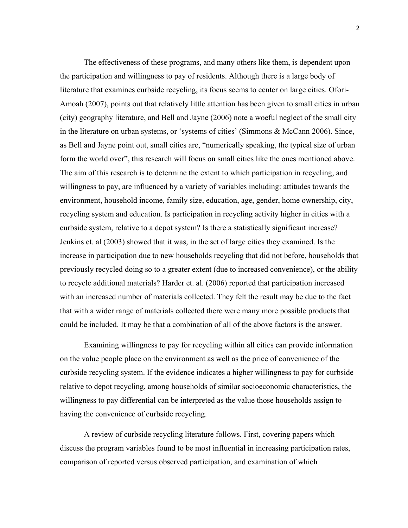The effectiveness of these programs, and many others like them, is dependent upon the participation and willingness to pay of residents. Although there is a large body of literature that examines curbside recycling, its focus seems to center on large cities. Ofori-Amoah (2007), points out that relatively little attention has been given to small cities in urban (city) geography literature, and Bell and Jayne (2006) note a woeful neglect of the small city in the literature on urban systems, or 'systems of cities' (Simmons & McCann 2006). Since, as Bell and Jayne point out, small cities are, "numerically speaking, the typical size of urban form the world over", this research will focus on small cities like the ones mentioned above. The aim of this research is to determine the extent to which participation in recycling, and willingness to pay, are influenced by a variety of variables including: attitudes towards the environment, household income, family size, education, age, gender, home ownership, city, recycling system and education. Is participation in recycling activity higher in cities with a curbside system, relative to a depot system? Is there a statistically significant increase? Jenkins et. al (2003) showed that it was, in the set of large cities they examined. Is the increase in participation due to new households recycling that did not before, households that previously recycled doing so to a greater extent (due to increased convenience), or the ability to recycle additional materials? Harder et. al. (2006) reported that participation increased with an increased number of materials collected. They felt the result may be due to the fact that with a wider range of materials collected there were many more possible products that could be included. It may be that a combination of all of the above factors is the answer.

Examining willingness to pay for recycling within all cities can provide information on the value people place on the environment as well as the price of convenience of the curbside recycling system. If the evidence indicates a higher willingness to pay for curbside relative to depot recycling, among households of similar socioeconomic characteristics, the willingness to pay differential can be interpreted as the value those households assign to having the convenience of curbside recycling.

A review of curbside recycling literature follows. First, covering papers which discuss the program variables found to be most influential in increasing participation rates, comparison of reported versus observed participation, and examination of which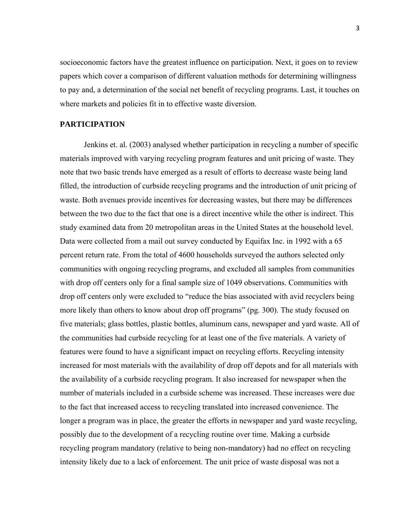socioeconomic factors have the greatest influence on participation. Next, it goes on to review papers which cover a comparison of different valuation methods for determining willingness to pay and, a determination of the social net benefit of recycling programs. Last, it touches on where markets and policies fit in to effective waste diversion.

#### **PARTICIPATION**

Jenkins et. al. (2003) analysed whether participation in recycling a number of specific materials improved with varying recycling program features and unit pricing of waste. They note that two basic trends have emerged as a result of efforts to decrease waste being land filled, the introduction of curbside recycling programs and the introduction of unit pricing of waste. Both avenues provide incentives for decreasing wastes, but there may be differences between the two due to the fact that one is a direct incentive while the other is indirect. This study examined data from 20 metropolitan areas in the United States at the household level. Data were collected from a mail out survey conducted by Equifax Inc. in 1992 with a 65 percent return rate. From the total of 4600 households surveyed the authors selected only communities with ongoing recycling programs, and excluded all samples from communities with drop off centers only for a final sample size of 1049 observations. Communities with drop off centers only were excluded to "reduce the bias associated with avid recyclers being more likely than others to know about drop off programs" (pg. 300). The study focused on five materials; glass bottles, plastic bottles, aluminum cans, newspaper and yard waste. All of the communities had curbside recycling for at least one of the five materials. A variety of features were found to have a significant impact on recycling efforts. Recycling intensity increased for most materials with the availability of drop off depots and for all materials with the availability of a curbside recycling program. It also increased for newspaper when the number of materials included in a curbside scheme was increased. These increases were due to the fact that increased access to recycling translated into increased convenience. The longer a program was in place, the greater the efforts in newspaper and yard waste recycling, possibly due to the development of a recycling routine over time. Making a curbside recycling program mandatory (relative to being non-mandatory) had no effect on recycling intensity likely due to a lack of enforcement. The unit price of waste disposal was not a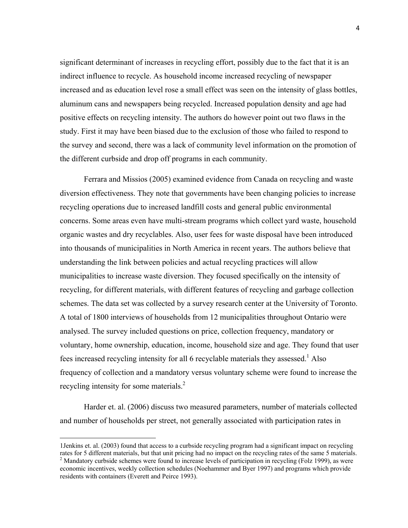significant determinant of increases in recycling effort, possibly due to the fact that it is an indirect influence to recycle. As household income increased recycling of newspaper increased and as education level rose a small effect was seen on the intensity of glass bottles, aluminum cans and newspapers being recycled. Increased population density and age had positive effects on recycling intensity. The authors do however point out two flaws in the study. First it may have been biased due to the exclusion of those who failed to respond to the survey and second, there was a lack of community level information on the promotion of the different curbside and drop off programs in each community.

Ferrara and Missios (2005) examined evidence from Canada on recycling and waste diversion effectiveness. They note that governments have been changing policies to increase recycling operations due to increased landfill costs and general public environmental concerns. Some areas even have multi-stream programs which collect yard waste, household organic wastes and dry recyclables. Also, user fees for waste disposal have been introduced into thousands of municipalities in North America in recent years. The authors believe that understanding the link between policies and actual recycling practices will allow municipalities to increase waste diversion. They focused specifically on the intensity of recycling, for different materials, with different features of recycling and garbage collection schemes. The data set was collected by a survey research center at the University of Toronto. A total of 1800 interviews of households from 12 municipalities throughout Ontario were analysed. The survey included questions on price, collection frequency, mandatory or voluntary, home ownership, education, income, household size and age. They found that user fees increased recycling intensity for all 6 recyclable materials they assessed.<sup>1</sup> Also frequency of collection and a mandatory versus voluntary scheme were found to increase the recycling intensity for some materials.<sup>2</sup>

Harder et. al. (2006) discuss two measured parameters, number of materials collected and number of households per street, not generally associated with participation rates in

<sup>1</sup>Jenkins et. al. (2003) found that access to a curbside recycling program had a significant impact on recycling rates for 5 different materials, but that unit pricing had no impact on the recycling rates of the same 5 materials. 2 <sup>2</sup> Mandatory curbside schemes were found to increase levels of participation in recycling (Folz 1999), as were economic incentives, weekly collection schedules (Noehammer and Byer 1997) and programs which provide residents with containers (Everett and Peirce 1993).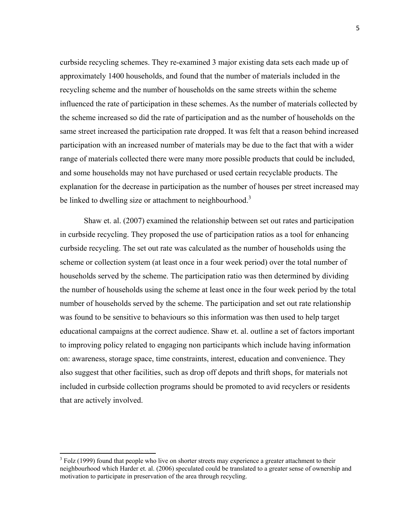curbside recycling schemes. They re-examined 3 major existing data sets each made up of approximately 1400 households, and found that the number of materials included in the recycling scheme and the number of households on the same streets within the scheme influenced the rate of participation in these schemes. As the number of materials collected by the scheme increased so did the rate of participation and as the number of households on the same street increased the participation rate dropped. It was felt that a reason behind increased participation with an increased number of materials may be due to the fact that with a wider range of materials collected there were many more possible products that could be included, and some households may not have purchased or used certain recyclable products. The explanation for the decrease in participation as the number of houses per street increased may be linked to dwelling size or attachment to neighbourhood.<sup>3</sup>

Shaw et. al. (2007) examined the relationship between set out rates and participation in curbside recycling. They proposed the use of participation ratios as a tool for enhancing curbside recycling. The set out rate was calculated as the number of households using the scheme or collection system (at least once in a four week period) over the total number of households served by the scheme. The participation ratio was then determined by dividing the number of households using the scheme at least once in the four week period by the total number of households served by the scheme. The participation and set out rate relationship was found to be sensitive to behaviours so this information was then used to help target educational campaigns at the correct audience. Shaw et. al. outline a set of factors important to improving policy related to engaging non participants which include having information on: awareness, storage space, time constraints, interest, education and convenience. They also suggest that other facilities, such as drop off depots and thrift shops, for materials not included in curbside collection programs should be promoted to avid recyclers or residents that are actively involved.

 $3$  Folz (1999) found that people who live on shorter streets may experience a greater attachment to their neighbourhood which Harder et. al. (2006) speculated could be translated to a greater sense of ownership and motivation to participate in preservation of the area through recycling.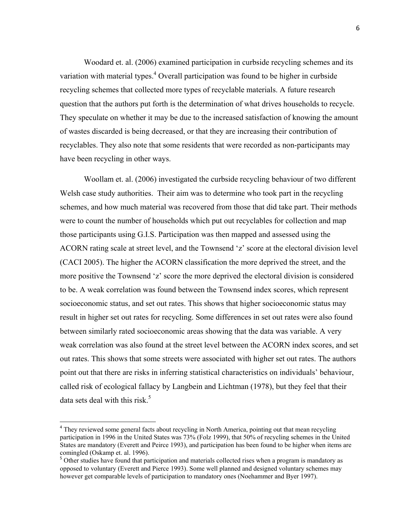Woodard et. al. (2006) examined participation in curbside recycling schemes and its variation with material types.<sup>4</sup> Overall participation was found to be higher in curbside recycling schemes that collected more types of recyclable materials. A future research question that the authors put forth is the determination of what drives households to recycle. They speculate on whether it may be due to the increased satisfaction of knowing the amount of wastes discarded is being decreased, or that they are increasing their contribution of recyclables. They also note that some residents that were recorded as non-participants may have been recycling in other ways.

Woollam et. al. (2006) investigated the curbside recycling behaviour of two different Welsh case study authorities. Their aim was to determine who took part in the recycling schemes, and how much material was recovered from those that did take part. Their methods were to count the number of households which put out recyclables for collection and map those participants using G.I.S. Participation was then mapped and assessed using the ACORN rating scale at street level, and the Townsend 'z' score at the electoral division level (CACI 2005). The higher the ACORN classification the more deprived the street, and the more positive the Townsend 'z' score the more deprived the electoral division is considered to be. A weak correlation was found between the Townsend index scores, which represent socioeconomic status, and set out rates. This shows that higher socioeconomic status may result in higher set out rates for recycling. Some differences in set out rates were also found between similarly rated socioeconomic areas showing that the data was variable. A very weak correlation was also found at the street level between the ACORN index scores, and set out rates. This shows that some streets were associated with higher set out rates. The authors point out that there are risks in inferring statistical characteristics on individuals' behaviour, called risk of ecological fallacy by Langbein and Lichtman (1978), but they feel that their data sets deal with this risk. $<sup>5</sup>$ </sup>

<sup>&</sup>lt;sup>4</sup> They reviewed some general facts about recycling in North America, pointing out that mean recycling participation in 1996 in the United States was 73% (Folz 1999), that 50% of recycling schemes in the United States are mandatory (Everett and Peirce 1993), and participation has been found to be higher when items are comingled (Oskamp et. al. 1996).

<sup>&</sup>lt;sup>5</sup> Other studies have found that participation and materials collected rises when a program is mandatory as opposed to voluntary (Everett and Pierce 1993). Some well planned and designed voluntary schemes may however get comparable levels of participation to mandatory ones (Noehammer and Byer 1997).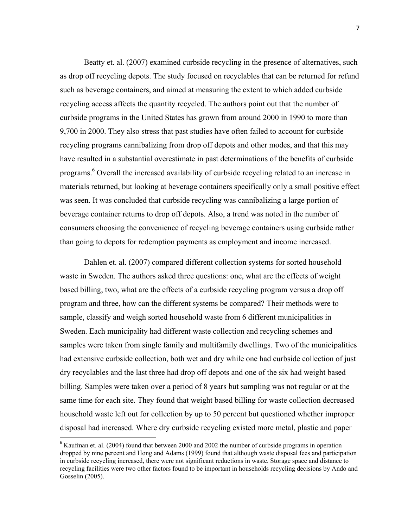Beatty et. al. (2007) examined curbside recycling in the presence of alternatives, such as drop off recycling depots. The study focused on recyclables that can be returned for refund such as beverage containers, and aimed at measuring the extent to which added curbside recycling access affects the quantity recycled. The authors point out that the number of curbside programs in the United States has grown from around 2000 in 1990 to more than 9,700 in 2000. They also stress that past studies have often failed to account for curbside recycling programs cannibalizing from drop off depots and other modes, and that this may have resulted in a substantial overestimate in past determinations of the benefits of curbside programs.<sup>6</sup> Overall the increased availability of curbside recycling related to an increase in materials returned, but looking at beverage containers specifically only a small positive effect was seen. It was concluded that curbside recycling was cannibalizing a large portion of beverage container returns to drop off depots. Also, a trend was noted in the number of consumers choosing the convenience of recycling beverage containers using curbside rather than going to depots for redemption payments as employment and income increased.

Dahlen et. al. (2007) compared different collection systems for sorted household waste in Sweden. The authors asked three questions: one, what are the effects of weight based billing, two, what are the effects of a curbside recycling program versus a drop off program and three, how can the different systems be compared? Their methods were to sample, classify and weigh sorted household waste from 6 different municipalities in Sweden. Each municipality had different waste collection and recycling schemes and samples were taken from single family and multifamily dwellings. Two of the municipalities had extensive curbside collection, both wet and dry while one had curbside collection of just dry recyclables and the last three had drop off depots and one of the six had weight based billing. Samples were taken over a period of 8 years but sampling was not regular or at the same time for each site. They found that weight based billing for waste collection decreased household waste left out for collection by up to 50 percent but questioned whether improper disposal had increased. Where dry curbside recycling existed more metal, plastic and paper

 $6$  Kaufman et. al. (2004) found that between 2000 and 2002 the number of curbside programs in operation dropped by nine percent and Hong and Adams (1999) found that although waste disposal fees and participation in curbside recycling increased, there were not significant reductions in waste. Storage space and distance to recycling facilities were two other factors found to be important in households recycling decisions by Ando and Gosselin (2005).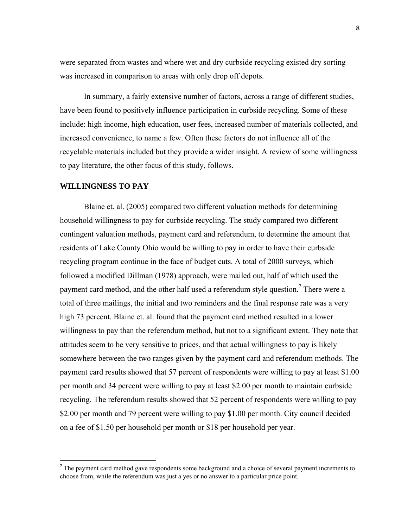were separated from wastes and where wet and dry curbside recycling existed dry sorting was increased in comparison to areas with only drop off depots.

In summary, a fairly extensive number of factors, across a range of different studies, have been found to positively influence participation in curbside recycling. Some of these include: high income, high education, user fees, increased number of materials collected, and increased convenience, to name a few. Often these factors do not influence all of the recyclable materials included but they provide a wider insight. A review of some willingness to pay literature, the other focus of this study, follows.

#### **WILLINGNESS TO PAY**

Blaine et. al. (2005) compared two different valuation methods for determining household willingness to pay for curbside recycling. The study compared two different contingent valuation methods, payment card and referendum, to determine the amount that residents of Lake County Ohio would be willing to pay in order to have their curbside recycling program continue in the face of budget cuts. A total of 2000 surveys, which followed a modified Dillman (1978) approach, were mailed out, half of which used the payment card method, and the other half used a referendum style question.<sup>7</sup> There were a total of three mailings, the initial and two reminders and the final response rate was a very high 73 percent. Blaine et. al. found that the payment card method resulted in a lower willingness to pay than the referendum method, but not to a significant extent. They note that attitudes seem to be very sensitive to prices, and that actual willingness to pay is likely somewhere between the two ranges given by the payment card and referendum methods. The payment card results showed that 57 percent of respondents were willing to pay at least \$1.00 per month and 34 percent were willing to pay at least \$2.00 per month to maintain curbside recycling. The referendum results showed that 52 percent of respondents were willing to pay \$2.00 per month and 79 percent were willing to pay \$1.00 per month. City council decided on a fee of \$1.50 per household per month or \$18 per household per year.

 $<sup>7</sup>$  The payment card method gave respondents some background and a choice of several payment increments to</sup> choose from, while the referendum was just a yes or no answer to a particular price point.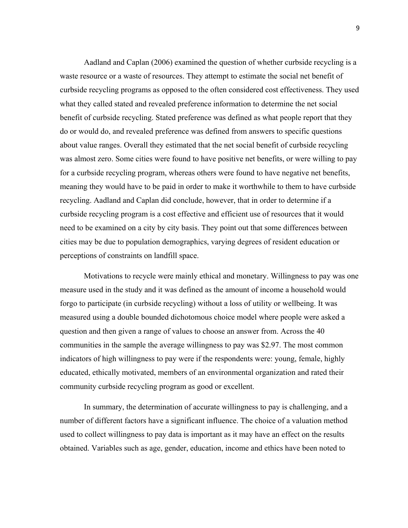Aadland and Caplan (2006) examined the question of whether curbside recycling is a waste resource or a waste of resources. They attempt to estimate the social net benefit of curbside recycling programs as opposed to the often considered cost effectiveness. They used what they called stated and revealed preference information to determine the net social benefit of curbside recycling. Stated preference was defined as what people report that they do or would do, and revealed preference was defined from answers to specific questions about value ranges. Overall they estimated that the net social benefit of curbside recycling was almost zero. Some cities were found to have positive net benefits, or were willing to pay for a curbside recycling program, whereas others were found to have negative net benefits, meaning they would have to be paid in order to make it worthwhile to them to have curbside recycling. Aadland and Caplan did conclude, however, that in order to determine if a curbside recycling program is a cost effective and efficient use of resources that it would need to be examined on a city by city basis. They point out that some differences between cities may be due to population demographics, varying degrees of resident education or perceptions of constraints on landfill space.

Motivations to recycle were mainly ethical and monetary. Willingness to pay was one measure used in the study and it was defined as the amount of income a household would forgo to participate (in curbside recycling) without a loss of utility or wellbeing. It was measured using a double bounded dichotomous choice model where people were asked a question and then given a range of values to choose an answer from. Across the 40 communities in the sample the average willingness to pay was \$2.97. The most common indicators of high willingness to pay were if the respondents were: young, female, highly educated, ethically motivated, members of an environmental organization and rated their community curbside recycling program as good or excellent.

In summary, the determination of accurate willingness to pay is challenging, and a number of different factors have a significant influence. The choice of a valuation method used to collect willingness to pay data is important as it may have an effect on the results obtained. Variables such as age, gender, education, income and ethics have been noted to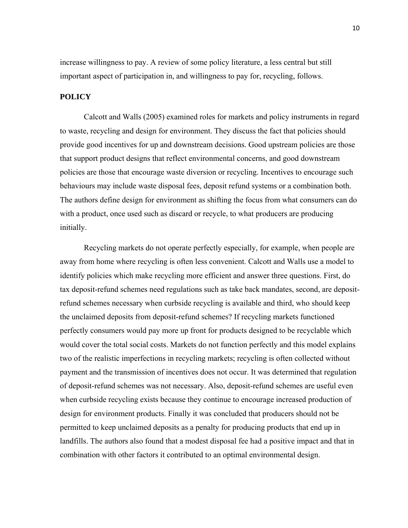increase willingness to pay. A review of some policy literature, a less central but still important aspect of participation in, and willingness to pay for, recycling, follows.

#### **POLICY**

Calcott and Walls (2005) examined roles for markets and policy instruments in regard to waste, recycling and design for environment. They discuss the fact that policies should provide good incentives for up and downstream decisions. Good upstream policies are those that support product designs that reflect environmental concerns, and good downstream policies are those that encourage waste diversion or recycling. Incentives to encourage such behaviours may include waste disposal fees, deposit refund systems or a combination both. The authors define design for environment as shifting the focus from what consumers can do with a product, once used such as discard or recycle, to what producers are producing initially.

Recycling markets do not operate perfectly especially, for example, when people are away from home where recycling is often less convenient. Calcott and Walls use a model to identify policies which make recycling more efficient and answer three questions. First, do tax deposit-refund schemes need regulations such as take back mandates, second, are depositrefund schemes necessary when curbside recycling is available and third, who should keep the unclaimed deposits from deposit-refund schemes? If recycling markets functioned perfectly consumers would pay more up front for products designed to be recyclable which would cover the total social costs. Markets do not function perfectly and this model explains two of the realistic imperfections in recycling markets; recycling is often collected without payment and the transmission of incentives does not occur. It was determined that regulation of deposit-refund schemes was not necessary. Also, deposit-refund schemes are useful even when curbside recycling exists because they continue to encourage increased production of design for environment products. Finally it was concluded that producers should not be permitted to keep unclaimed deposits as a penalty for producing products that end up in landfills. The authors also found that a modest disposal fee had a positive impact and that in combination with other factors it contributed to an optimal environmental design.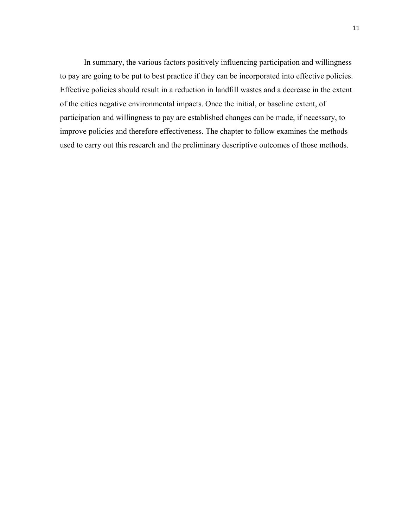In summary, the various factors positively influencing participation and willingness to pay are going to be put to best practice if they can be incorporated into effective policies. Effective policies should result in a reduction in landfill wastes and a decrease in the extent of the cities negative environmental impacts. Once the initial, or baseline extent, of participation and willingness to pay are established changes can be made, if necessary, to improve policies and therefore effectiveness. The chapter to follow examines the methods used to carry out this research and the preliminary descriptive outcomes of those methods.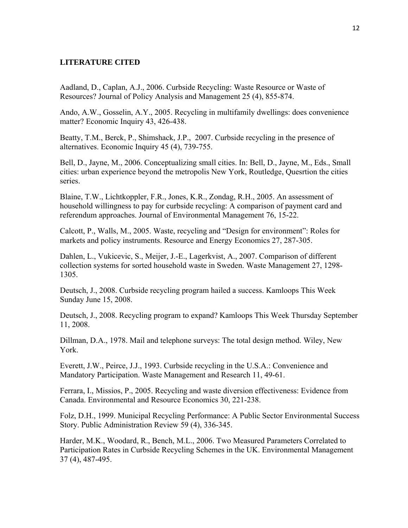#### **LITERATURE CITED**

Aadland, D., Caplan, A.J., 2006. Curbside Recycling: Waste Resource or Waste of Resources? Journal of Policy Analysis and Management 25 (4), 855-874.

Ando, A.W., Gosselin, A.Y., 2005. Recycling in multifamily dwellings: does convenience matter? Economic Inquiry 43, 426-438.

Beatty, T.M., Berck, P., Shimshack, J.P., 2007. Curbside recycling in the presence of alternatives. Economic Inquiry 45 (4), 739-755.

Bell, D., Jayne, M., 2006. Conceptualizing small cities. In: Bell, D., Jayne, M., Eds., Small cities: urban experience beyond the metropolis New York, Routledge, Quesrtion the cities series.

Blaine, T.W., Lichtkoppler, F.R., Jones, K.R., Zondag, R.H., 2005. An assessment of household willingness to pay for curbside recycling: A comparison of payment card and referendum approaches. Journal of Environmental Management 76, 15-22.

Calcott, P., Walls, M., 2005. Waste, recycling and "Design for environment": Roles for markets and policy instruments. Resource and Energy Economics 27, 287-305.

Dahlen, L., Vukicevic, S., Meijer, J.-E., Lagerkvist, A., 2007. Comparison of different collection systems for sorted household waste in Sweden. Waste Management 27, 1298- 1305.

Deutsch, J., 2008. Curbside recycling program hailed a success. Kamloops This Week Sunday June 15, 2008.

Deutsch, J., 2008. Recycling program to expand? Kamloops This Week Thursday September 11, 2008.

Dillman, D.A., 1978. Mail and telephone surveys: The total design method. Wiley, New York.

Everett, J.W., Peirce, J.J., 1993. Curbside recycling in the U.S.A.: Convenience and Mandatory Participation. Waste Management and Research 11, 49-61.

Ferrara, I., Missios, P., 2005. Recycling and waste diversion effectiveness: Evidence from Canada. Environmental and Resource Economics 30, 221-238.

Folz, D.H., 1999. Municipal Recycling Performance: A Public Sector Environmental Success Story. Public Administration Review 59 (4), 336-345.

Harder, M.K., Woodard, R., Bench, M.L., 2006. Two Measured Parameters Correlated to Participation Rates in Curbside Recycling Schemes in the UK. Environmental Management 37 (4), 487-495.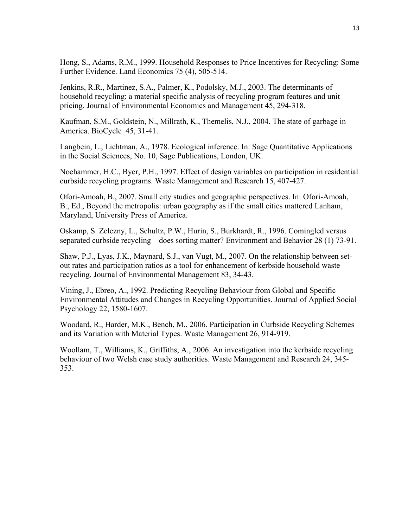Hong, S., Adams, R.M., 1999. Household Responses to Price Incentives for Recycling: Some Further Evidence. Land Economics 75 (4), 505-514.

Jenkins, R.R., Martinez, S.A., Palmer, K., Podolsky, M.J., 2003. The determinants of household recycling: a material specific analysis of recycling program features and unit pricing. Journal of Environmental Economics and Management 45, 294-318.

Kaufman, S.M., Goldstein, N., Millrath, K., Themelis, N.J., 2004. The state of garbage in America. BioCycle 45, 31-41.

Langbein, L., Lichtman, A., 1978. Ecological inference. In: Sage Quantitative Applications in the Social Sciences, No. 10, Sage Publications, London, UK.

Noehammer, H.C., Byer, P.H., 1997. Effect of design variables on participation in residential curbside recycling programs. Waste Management and Research 15, 407-427.

Ofori-Amoah, B., 2007. Small city studies and geographic perspectives. In: Ofori-Amoah, B., Ed., Beyond the metropolis: urban geography as if the small cities mattered Lanham, Maryland, University Press of America.

Oskamp, S. Zelezny, L., Schultz, P.W., Hurin, S., Burkhardt, R., 1996. Comingled versus separated curbside recycling – does sorting matter? Environment and Behavior 28 (1) 73-91.

Shaw, P.J., Lyas, J.K., Maynard, S.J., van Vugt, M., 2007. On the relationship between setout rates and participation ratios as a tool for enhancement of kerbside household waste recycling. Journal of Environmental Management 83, 34-43.

Vining, J., Ebreo, A., 1992. Predicting Recycling Behaviour from Global and Specific Environmental Attitudes and Changes in Recycling Opportunities. Journal of Applied Social Psychology 22, 1580-1607.

Woodard, R., Harder, M.K., Bench, M., 2006. Participation in Curbside Recycling Schemes and its Variation with Material Types. Waste Management 26, 914-919.

Woollam, T., Williams, K., Griffiths, A., 2006. An investigation into the kerbside recycling behaviour of two Welsh case study authorities. Waste Management and Research 24, 345- 353.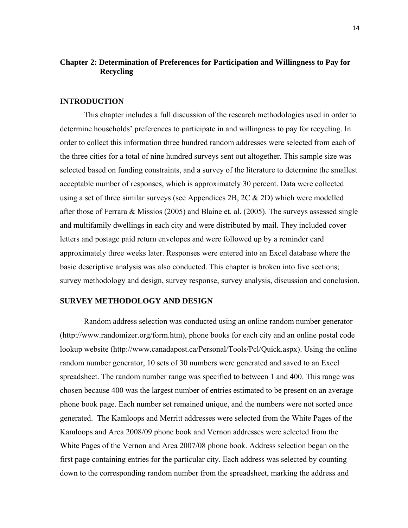### **Chapter 2: Determination of Preferences for Participation and Willingness to Pay for Recycling**

#### **INTRODUCTION**

 This chapter includes a full discussion of the research methodologies used in order to determine households' preferences to participate in and willingness to pay for recycling. In order to collect this information three hundred random addresses were selected from each of the three cities for a total of nine hundred surveys sent out altogether. This sample size was selected based on funding constraints, and a survey of the literature to determine the smallest acceptable number of responses, which is approximately 30 percent. Data were collected using a set of three similar surveys (see Appendices 2B,  $2C & 2D$ ) which were modelled after those of Ferrara & Missios (2005) and Blaine et. al. (2005). The surveys assessed single and multifamily dwellings in each city and were distributed by mail. They included cover letters and postage paid return envelopes and were followed up by a reminder card approximately three weeks later. Responses were entered into an Excel database where the basic descriptive analysis was also conducted. This chapter is broken into five sections; survey methodology and design, survey response, survey analysis, discussion and conclusion.

#### **SURVEY METHODOLOGY AND DESIGN**

Random address selection was conducted using an online random number generator (http://www.randomizer.org/form.htm), phone books for each city and an online postal code lookup website (http://www.canadapost.ca/Personal/Tools/Pcl/Quick.aspx). Using the online random number generator, 10 sets of 30 numbers were generated and saved to an Excel spreadsheet. The random number range was specified to between 1 and 400. This range was chosen because 400 was the largest number of entries estimated to be present on an average phone book page. Each number set remained unique, and the numbers were not sorted once generated. The Kamloops and Merritt addresses were selected from the White Pages of the Kamloops and Area 2008/09 phone book and Vernon addresses were selected from the White Pages of the Vernon and Area 2007/08 phone book. Address selection began on the first page containing entries for the particular city. Each address was selected by counting down to the corresponding random number from the spreadsheet, marking the address and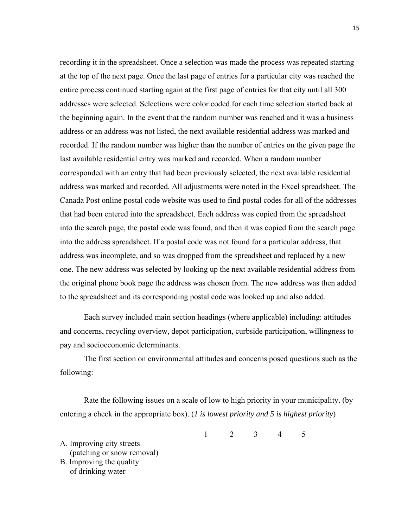recording it in the spreadsheet. Once a selection was made the process was repeated starting at the top of the next page. Once the last page of entries for a particular city was reached the entire process continued starting again at the first page of entries for that city until all 300 addresses were selected. Selections were color coded for each time selection started back at the beginning again. In the event that the random number was reached and it was a business address or an address was not listed, the next available residential address was marked and recorded. If the random number was higher than the number of entries on the given page the last available residential entry was marked and recorded. When a random number corresponded with an entry that had been previously selected, the next available residential address was marked and recorded. All adjustments were noted in the Excel spreadsheet. The Canada Post online postal code website was used to find postal codes for all of the addresses that had been entered into the spreadsheet. Each address was copied from the spreadsheet into the search page, the postal code was found, and then it was copied from the search page into the address spreadsheet. If a postal code was not found for a particular address, that address was incomplete, and so was dropped from the spreadsheet and replaced by a new one. The new address was selected by looking up the next available residential address from the original phone book page the address was chosen from. The new address was then added to the spreadsheet and its corresponding postal code was looked up and also added.

Each survey included main section headings (where applicable) including: attitudes and concerns, recycling overview, depot participation, curbside participation, willingness to pay and socioeconomic determinants.

The first section on environmental attitudes and concerns posed questions such as the following:

Rate the following issues on a scale of low to high priority in your municipality. (by entering a check in the appropriate box). (*1 is lowest priority and 5 is highest priority*)

1 2 3 4 5

A. Improving city streets (patching or snow removal) B. Improving the quality

of drinking water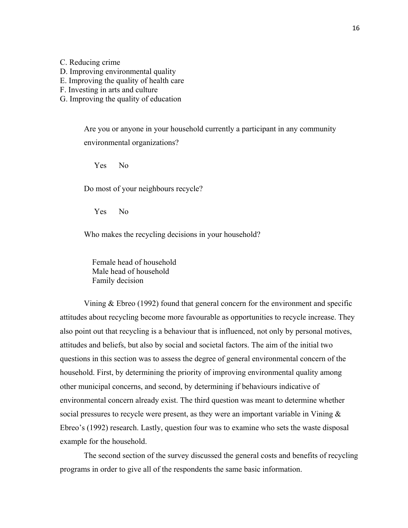C. Reducing crime

D. Improving environmental quality

E. Improving the quality of health care

F. Investing in arts and culture

G. Improving the quality of education

Are you or anyone in your household currently a participant in any community environmental organizations?

Yes No

Do most of your neighbours recycle?

Yes No

Who makes the recycling decisions in your household?

 Female head of household Male head of household Family decision

Vining & Ebreo (1992) found that general concern for the environment and specific attitudes about recycling become more favourable as opportunities to recycle increase. They also point out that recycling is a behaviour that is influenced, not only by personal motives, attitudes and beliefs, but also by social and societal factors. The aim of the initial two questions in this section was to assess the degree of general environmental concern of the household. First, by determining the priority of improving environmental quality among other municipal concerns, and second, by determining if behaviours indicative of environmental concern already exist. The third question was meant to determine whether social pressures to recycle were present, as they were an important variable in Vining  $\&$ Ebreo's (1992) research. Lastly, question four was to examine who sets the waste disposal example for the household.

The second section of the survey discussed the general costs and benefits of recycling programs in order to give all of the respondents the same basic information.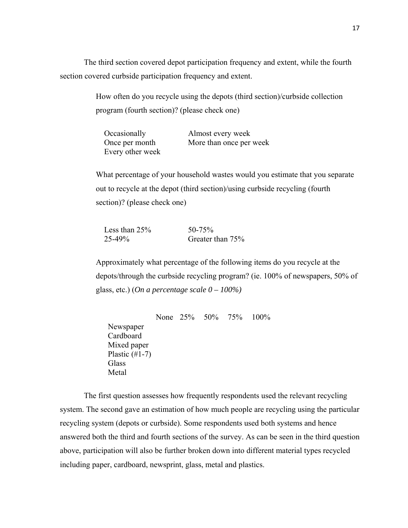The third section covered depot participation frequency and extent, while the fourth section covered curbside participation frequency and extent.

> How often do you recycle using the depots (third section)/curbside collection program (fourth section)? (please check one)

| Occasionally     | Almost every week       |
|------------------|-------------------------|
| Once per month   | More than once per week |
| Every other week |                         |

What percentage of your household wastes would you estimate that you separate out to recycle at the depot (third section)/using curbside recycling (fourth section)? (please check one)

| Less than $25%$ | $50 - 75\%$      |
|-----------------|------------------|
| $25 - 49\%$     | Greater than 75% |

Approximately what percentage of the following items do you recycle at the depots/through the curbside recycling program? (ie. 100% of newspapers, 50% of glass, etc.) (*On a percentage scale 0 – 100%)* 

None 25% 50% 75% 100% Newspaper Cardboard Mixed paper Plastic  $(\#1-7)$ **Glass** Metal

The first question assesses how frequently respondents used the relevant recycling system. The second gave an estimation of how much people are recycling using the particular recycling system (depots or curbside). Some respondents used both systems and hence answered both the third and fourth sections of the survey. As can be seen in the third question above, participation will also be further broken down into different material types recycled including paper, cardboard, newsprint, glass, metal and plastics.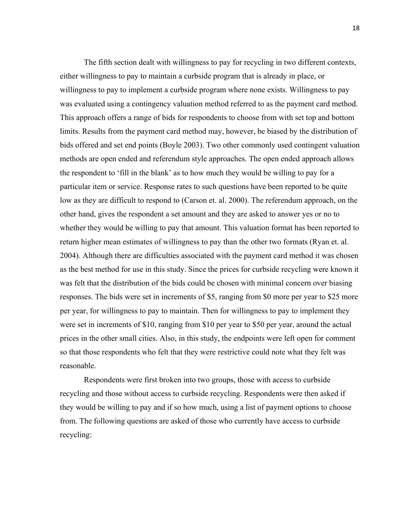The fifth section dealt with willingness to pay for recycling in two different contexts, either willingness to pay to maintain a curbside program that is already in place, or willingness to pay to implement a curbside program where none exists. Willingness to pay was evaluated using a contingency valuation method referred to as the payment card method. This approach offers a range of bids for respondents to choose from with set top and bottom limits. Results from the payment card method may, however, be biased by the distribution of bids offered and set end points (Boyle 2003). Two other commonly used contingent valuation methods are open ended and referendum style approaches. The open ended approach allows the respondent to 'fill in the blank' as to how much they would be willing to pay for a particular item or service. Response rates to such questions have been reported to be quite low as they are difficult to respond to (Carson et. al. 2000). The referendum approach, on the other hand, gives the respondent a set amount and they are asked to answer yes or no to whether they would be willing to pay that amount. This valuation format has been reported to return higher mean estimates of willingness to pay than the other two formats (Ryan et. al. 2004). Although there are difficulties associated with the payment card method it was chosen as the best method for use in this study. Since the prices for curbside recycling were known it was felt that the distribution of the bids could be chosen with minimal concern over biasing responses. The bids were set in increments of \$5, ranging from \$0 more per year to \$25 more per year, for willingness to pay to maintain. Then for willingness to pay to implement they were set in increments of \$10, ranging from \$10 per year to \$50 per year, around the actual prices in the other small cities. Also, in this study, the endpoints were left open for comment so that those respondents who felt that they were restrictive could note what they felt was reasonable.

Respondents were first broken into two groups, those with access to curbside recycling and those without access to curbside recycling. Respondents were then asked if they would be willing to pay and if so how much, using a list of payment options to choose from. The following questions are asked of those who currently have access to curbside recycling: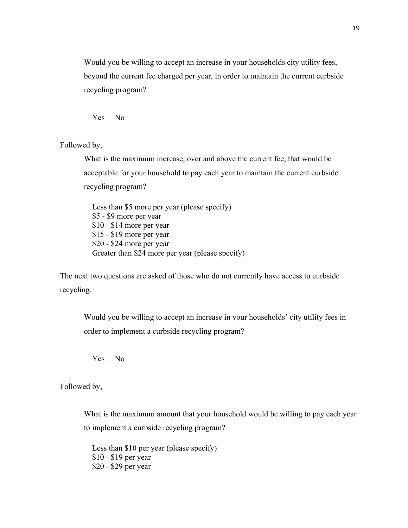Would you be willing to accept an increase in your households city utility fees, beyond the current fee charged per year, in order to maintain the current curbside recycling program?

Yes No

Followed by,

What is the maximum increase, over and above the current fee, that would be acceptable for your household to pay each year to maintain the current curbside recycling program?

Less than \$5 more per year (please specify) \$5 - \$9 more per year \$10 - \$14 more per year \$15 - \$19 more per year \$20 - \$24 more per year Greater than \$24 more per year (please specify)

The next two questions are asked of those who do not currently have access to curbside recycling.

Would you be willing to accept an increase in your households' city utility fees in order to implement a curbside recycling program?

Yes No

Followed by,

What is the maximum amount that your household would be willing to pay each year to implement a curbside recycling program?

Less than \$10 per year (please specify) \$10 - \$19 per year \$20 - \$29 per year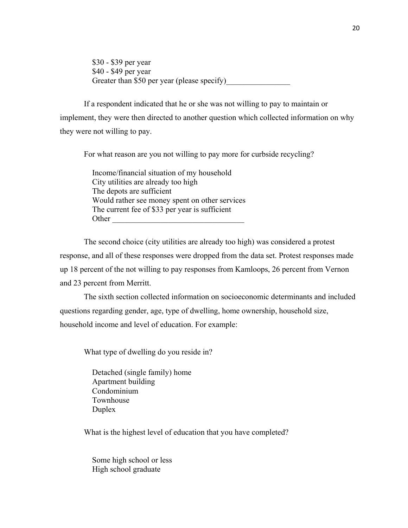\$30 - \$39 per year \$40 - \$49 per year Greater than \$50 per year (please specify)

If a respondent indicated that he or she was not willing to pay to maintain or implement, they were then directed to another question which collected information on why they were not willing to pay.

For what reason are you not willing to pay more for curbside recycling?

 Income/financial situation of my household City utilities are already too high The depots are sufficient Would rather see money spent on other services The current fee of \$33 per year is sufficient Other

The second choice (city utilities are already too high) was considered a protest response, and all of these responses were dropped from the data set. Protest responses made up 18 percent of the not willing to pay responses from Kamloops, 26 percent from Vernon and 23 percent from Merritt.

The sixth section collected information on socioeconomic determinants and included questions regarding gender, age, type of dwelling, home ownership, household size, household income and level of education. For example:

What type of dwelling do you reside in?

 Detached (single family) home Apartment building Condominium Townhouse Duplex

What is the highest level of education that you have completed?

 Some high school or less High school graduate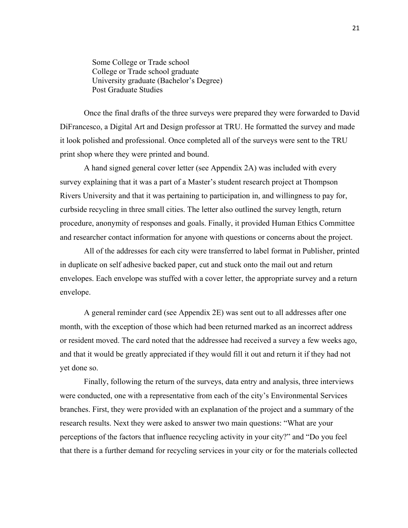Some College or Trade school College or Trade school graduate University graduate (Bachelor's Degree) Post Graduate Studies

Once the final drafts of the three surveys were prepared they were forwarded to David DiFrancesco, a Digital Art and Design professor at TRU. He formatted the survey and made it look polished and professional. Once completed all of the surveys were sent to the TRU print shop where they were printed and bound.

A hand signed general cover letter (see Appendix 2A) was included with every survey explaining that it was a part of a Master's student research project at Thompson Rivers University and that it was pertaining to participation in, and willingness to pay for, curbside recycling in three small cities. The letter also outlined the survey length, return procedure, anonymity of responses and goals. Finally, it provided Human Ethics Committee and researcher contact information for anyone with questions or concerns about the project.

All of the addresses for each city were transferred to label format in Publisher, printed in duplicate on self adhesive backed paper, cut and stuck onto the mail out and return envelopes. Each envelope was stuffed with a cover letter, the appropriate survey and a return envelope.

A general reminder card (see Appendix 2E) was sent out to all addresses after one month, with the exception of those which had been returned marked as an incorrect address or resident moved. The card noted that the addressee had received a survey a few weeks ago, and that it would be greatly appreciated if they would fill it out and return it if they had not yet done so.

Finally, following the return of the surveys, data entry and analysis, three interviews were conducted, one with a representative from each of the city's Environmental Services branches. First, they were provided with an explanation of the project and a summary of the research results. Next they were asked to answer two main questions: "What are your perceptions of the factors that influence recycling activity in your city?" and "Do you feel that there is a further demand for recycling services in your city or for the materials collected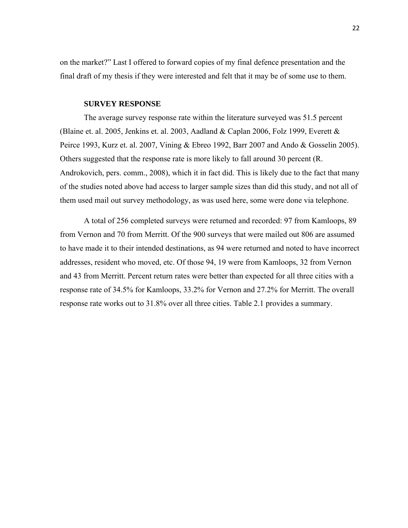on the market?" Last I offered to forward copies of my final defence presentation and the final draft of my thesis if they were interested and felt that it may be of some use to them.

#### **SURVEY RESPONSE**

The average survey response rate within the literature surveyed was 51.5 percent (Blaine et. al. 2005, Jenkins et. al. 2003, Aadland & Caplan 2006, Folz 1999, Everett  $\&$ Peirce 1993, Kurz et. al. 2007, Vining & Ebreo 1992, Barr 2007 and Ando & Gosselin 2005). Others suggested that the response rate is more likely to fall around 30 percent (R. Androkovich, pers. comm., 2008), which it in fact did. This is likely due to the fact that many of the studies noted above had access to larger sample sizes than did this study, and not all of them used mail out survey methodology, as was used here, some were done via telephone.

A total of 256 completed surveys were returned and recorded: 97 from Kamloops, 89 from Vernon and 70 from Merritt. Of the 900 surveys that were mailed out 806 are assumed to have made it to their intended destinations, as 94 were returned and noted to have incorrect addresses, resident who moved, etc. Of those 94, 19 were from Kamloops, 32 from Vernon and 43 from Merritt. Percent return rates were better than expected for all three cities with a response rate of 34.5% for Kamloops, 33.2% for Vernon and 27.2% for Merritt. The overall response rate works out to 31.8% over all three cities. Table 2.1 provides a summary.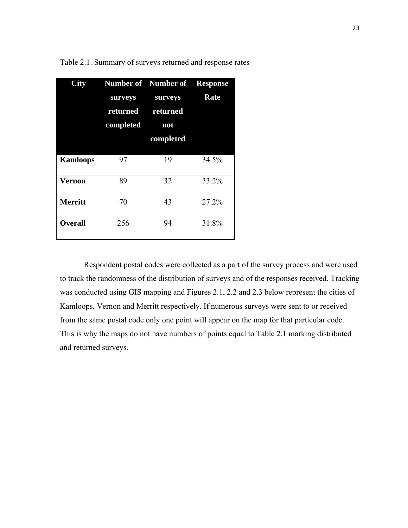| $\overline{\mathrm{City}}$ |           | <b>Number of Number of Response</b> |       |
|----------------------------|-----------|-------------------------------------|-------|
|                            | surveys   | surveys                             | Rate  |
|                            | returned  | returned                            |       |
|                            | completed | not                                 |       |
|                            |           | completed                           |       |
| <b>Kamloops</b>            | 97        | 19                                  | 34.5% |
| Vernon                     | 89        | 32                                  | 33.2% |
| <b>Merritt</b>             | 70        | 43                                  | 27.2% |
| <b>Overall</b>             | 256       | 94                                  | 31.8% |

Table 2.1. Summary of surveys returned and response rates

Respondent postal codes were collected as a part of the survey process and were used to track the randomness of the distribution of surveys and of the responses received. Tracking was conducted using GIS mapping and Figures 2.1, 2.2 and 2.3 below represent the cities of Kamloops, Vernon and Merritt respectively. If numerous surveys were sent to or received from the same postal code only one point will appear on the map for that particular code. This is why the maps do not have numbers of points equal to Table 2.1 marking distributed and returned surveys.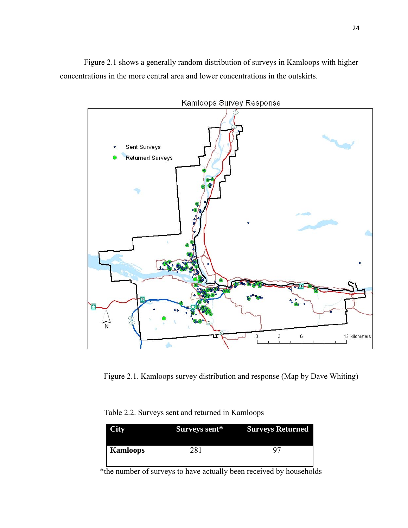Figure 2.1 shows a generally random distribution of surveys in Kamloops with higher concentrations in the more central area and lower concentrations in the outskirts.



Figure 2.1. Kamloops survey distribution and response (Map by Dave Whiting)

| Table 2.2. Surveys sent and returned in Kamloops |
|--------------------------------------------------|
|--------------------------------------------------|

| <b>City</b> | Surveys sent* | <b>Surveys Returned</b> |
|-------------|---------------|-------------------------|
| Kamloops    | 281           |                         |

\*the number of surveys to have actually been received by households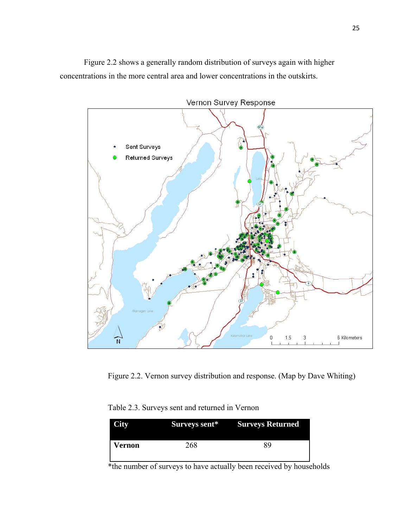Figure 2.2 shows a generally random distribution of surveys again with higher concentrations in the more central area and lower concentrations in the outskirts.



Figure 2.2. Vernon survey distribution and response. (Map by Dave Whiting)

|  |  |  | Table 2.3. Surveys sent and returned in Vernon |  |
|--|--|--|------------------------------------------------|--|
|--|--|--|------------------------------------------------|--|

| <b>City</b> |     | <b>Surveys sent*</b> Surveys Returned |
|-------------|-----|---------------------------------------|
| Vernon      | 268 | 89                                    |

\*the number of surveys to have actually been received by households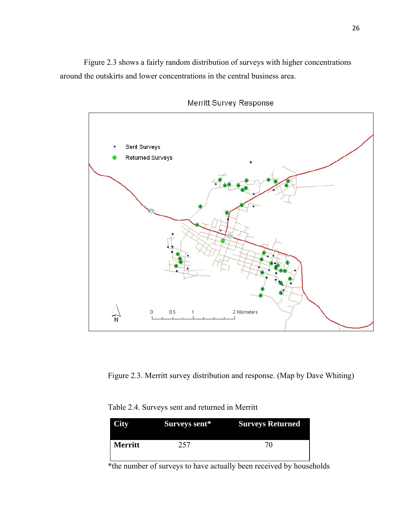Figure 2.3 shows a fairly random distribution of surveys with higher concentrations around the outskirts and lower concentrations in the central business area.



Merritt Survey Response

Figure 2.3. Merritt survey distribution and response. (Map by Dave Whiting)

| Table 2.4. Surveys sent and returned in Merritt |  |  |  |  |
|-------------------------------------------------|--|--|--|--|
|-------------------------------------------------|--|--|--|--|

| <b>City</b>    | Surveys sent* | <b>Surveys Returned</b> |
|----------------|---------------|-------------------------|
| <b>Merritt</b> | 257           | 70                      |

\*the number of surveys to have actually been received by households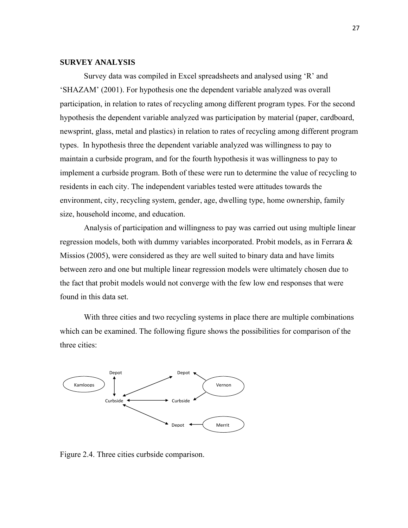## **SURVEY ANALYSIS**

Survey data was compiled in Excel spreadsheets and analysed using 'R' and 'SHAZAM' (2001). For hypothesis one the dependent variable analyzed was overall participation, in relation to rates of recycling among different program types. For the second hypothesis the dependent variable analyzed was participation by material (paper, cardboard, newsprint, glass, metal and plastics) in relation to rates of recycling among different program types. In hypothesis three the dependent variable analyzed was willingness to pay to maintain a curbside program, and for the fourth hypothesis it was willingness to pay to implement a curbside program. Both of these were run to determine the value of recycling to residents in each city. The independent variables tested were attitudes towards the environment, city, recycling system, gender, age, dwelling type, home ownership, family size, household income, and education.

Analysis of participation and willingness to pay was carried out using multiple linear regression models, both with dummy variables incorporated. Probit models, as in Ferrara & Missios (2005), were considered as they are well suited to binary data and have limits between zero and one but multiple linear regression models were ultimately chosen due to the fact that probit models would not converge with the few low end responses that were found in this data set.

With three cities and two recycling systems in place there are multiple combinations which can be examined. The following figure shows the possibilities for comparison of the three cities:



Figure 2.4. Three cities curbside comparison.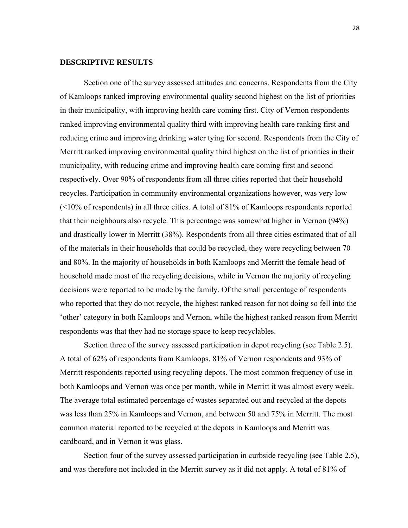## **DESCRIPTIVE RESULTS**

Section one of the survey assessed attitudes and concerns. Respondents from the City of Kamloops ranked improving environmental quality second highest on the list of priorities in their municipality, with improving health care coming first. City of Vernon respondents ranked improving environmental quality third with improving health care ranking first and reducing crime and improving drinking water tying for second. Respondents from the City of Merritt ranked improving environmental quality third highest on the list of priorities in their municipality, with reducing crime and improving health care coming first and second respectively. Over 90% of respondents from all three cities reported that their household recycles. Participation in community environmental organizations however, was very low (<10% of respondents) in all three cities. A total of 81% of Kamloops respondents reported that their neighbours also recycle. This percentage was somewhat higher in Vernon (94%) and drastically lower in Merritt (38%). Respondents from all three cities estimated that of all of the materials in their households that could be recycled, they were recycling between 70 and 80%. In the majority of households in both Kamloops and Merritt the female head of household made most of the recycling decisions, while in Vernon the majority of recycling decisions were reported to be made by the family. Of the small percentage of respondents who reported that they do not recycle, the highest ranked reason for not doing so fell into the 'other' category in both Kamloops and Vernon, while the highest ranked reason from Merritt respondents was that they had no storage space to keep recyclables.

Section three of the survey assessed participation in depot recycling (see Table 2.5). A total of 62% of respondents from Kamloops, 81% of Vernon respondents and 93% of Merritt respondents reported using recycling depots. The most common frequency of use in both Kamloops and Vernon was once per month, while in Merritt it was almost every week. The average total estimated percentage of wastes separated out and recycled at the depots was less than 25% in Kamloops and Vernon, and between 50 and 75% in Merritt. The most common material reported to be recycled at the depots in Kamloops and Merritt was cardboard, and in Vernon it was glass.

Section four of the survey assessed participation in curbside recycling (see Table 2.5), and was therefore not included in the Merritt survey as it did not apply. A total of 81% of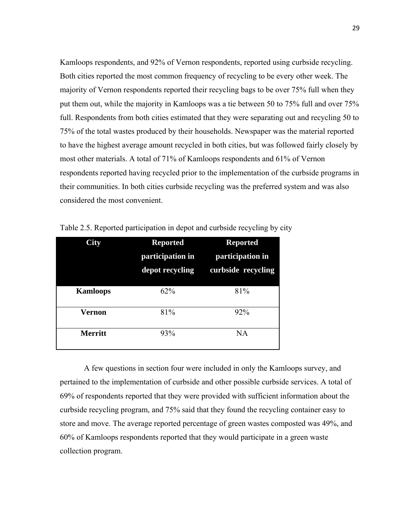Kamloops respondents, and 92% of Vernon respondents, reported using curbside recycling. Both cities reported the most common frequency of recycling to be every other week. The majority of Vernon respondents reported their recycling bags to be over 75% full when they put them out, while the majority in Kamloops was a tie between 50 to 75% full and over 75% full. Respondents from both cities estimated that they were separating out and recycling 50 to 75% of the total wastes produced by their households. Newspaper was the material reported to have the highest average amount recycled in both cities, but was followed fairly closely by most other materials. A total of 71% of Kamloops respondents and 61% of Vernon respondents reported having recycled prior to the implementation of the curbside programs in their communities. In both cities curbside recycling was the preferred system and was also considered the most convenient.

| $\mathrm{City}$ | <b>Reported</b><br>participation in<br>depot recycling | <b>Reported</b><br>participation in<br>curbside recycling |
|-----------------|--------------------------------------------------------|-----------------------------------------------------------|
| <b>Kamloops</b> | $62\%$                                                 | 81%                                                       |
| <b>Vernon</b>   | 81%                                                    | 92%                                                       |
| <b>Merritt</b>  | 93%                                                    | <b>NA</b>                                                 |

Table 2.5. Reported participation in depot and curbside recycling by city

A few questions in section four were included in only the Kamloops survey, and pertained to the implementation of curbside and other possible curbside services. A total of 69% of respondents reported that they were provided with sufficient information about the curbside recycling program, and 75% said that they found the recycling container easy to store and move. The average reported percentage of green wastes composted was 49%, and 60% of Kamloops respondents reported that they would participate in a green waste collection program.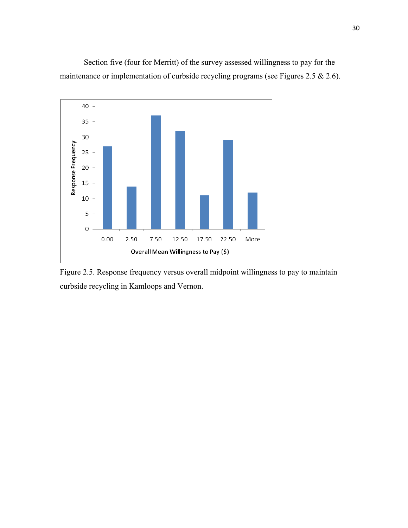Section five (four for Merritt) of the survey assessed willingness to pay for the maintenance or implementation of curbside recycling programs (see Figures 2.5 & 2.6).



Figure 2.5. Response frequency versus overall midpoint willingness to pay to maintain curbside recycling in Kamloops and Vernon.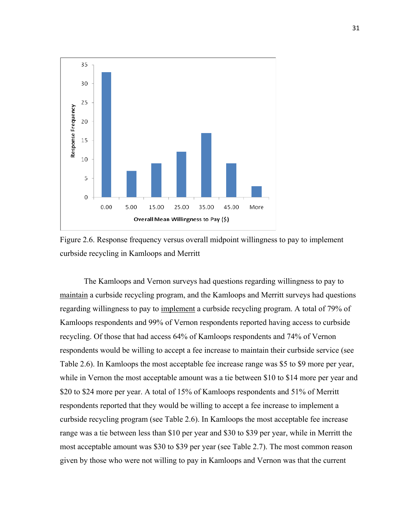



The Kamloops and Vernon surveys had questions regarding willingness to pay to maintain a curbside recycling program, and the Kamloops and Merritt surveys had questions regarding willingness to pay to implement a curbside recycling program. A total of 79% of Kamloops respondents and 99% of Vernon respondents reported having access to curbside recycling. Of those that had access 64% of Kamloops respondents and 74% of Vernon respondents would be willing to accept a fee increase to maintain their curbside service (see Table 2.6). In Kamloops the most acceptable fee increase range was \$5 to \$9 more per year, while in Vernon the most acceptable amount was a tie between \$10 to \$14 more per year and \$20 to \$24 more per year. A total of 15% of Kamloops respondents and 51% of Merritt respondents reported that they would be willing to accept a fee increase to implement a curbside recycling program (see Table 2.6). In Kamloops the most acceptable fee increase range was a tie between less than \$10 per year and \$30 to \$39 per year, while in Merritt the most acceptable amount was \$30 to \$39 per year (see Table 2.7). The most common reason given by those who were not willing to pay in Kamloops and Vernon was that the current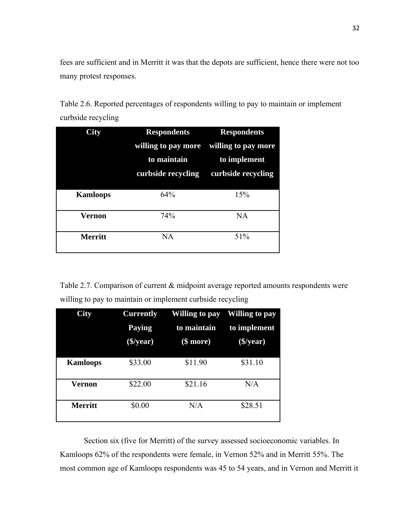fees are sufficient and in Merritt it was that the depots are sufficient, hence there were not too many protest responses.

Table 2.6. Reported percentages of respondents willing to pay to maintain or implement curbside recycling

| City            | <b>Respondents</b>  | <b>Respondents</b>  |
|-----------------|---------------------|---------------------|
|                 | willing to pay more | willing to pay more |
|                 | to maintain         | to implement        |
|                 | curbside recycling  | curbside recycling  |
|                 |                     |                     |
| <b>Kamloops</b> | 64%                 | 15%                 |
| Vernon          | 74%                 | <b>NA</b>           |
| <b>Merritt</b>  | NA                  | 51%                 |

Table 2.7. Comparison of current & midpoint average reported amounts respondents were willing to pay to maintain or implement curbside recycling

| City            | <b>Currently</b><br><b>Paying</b><br>$(\frac{2}{3})$ year) | Willing to pay<br>to maintain<br>$(\$$ more $)$ | <b>Willing to pay</b><br>to implement<br>( <b>5</b> /year) |
|-----------------|------------------------------------------------------------|-------------------------------------------------|------------------------------------------------------------|
| <b>Kamloops</b> | \$33.00                                                    | \$11.90                                         | \$31.10                                                    |
| Vernon          | \$22.00                                                    | \$21.16                                         | N/A                                                        |
| <b>Merritt</b>  | \$0.00                                                     | N/A                                             | \$28.51                                                    |

Section six (five for Merritt) of the survey assessed socioeconomic variables. In Kamloops 62% of the respondents were female, in Vernon 52% and in Merritt 55%. The most common age of Kamloops respondents was 45 to 54 years, and in Vernon and Merritt it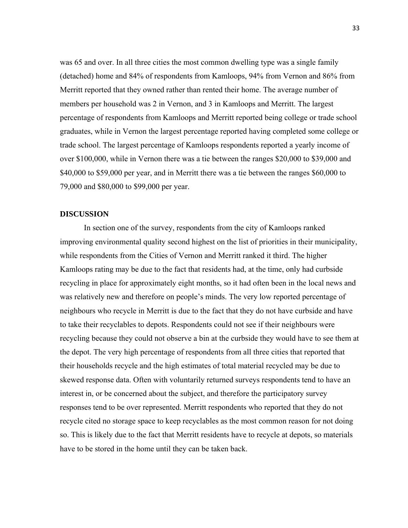was 65 and over. In all three cities the most common dwelling type was a single family (detached) home and 84% of respondents from Kamloops, 94% from Vernon and 86% from Merritt reported that they owned rather than rented their home. The average number of members per household was 2 in Vernon, and 3 in Kamloops and Merritt. The largest percentage of respondents from Kamloops and Merritt reported being college or trade school graduates, while in Vernon the largest percentage reported having completed some college or trade school. The largest percentage of Kamloops respondents reported a yearly income of over \$100,000, while in Vernon there was a tie between the ranges \$20,000 to \$39,000 and \$40,000 to \$59,000 per year, and in Merritt there was a tie between the ranges \$60,000 to 79,000 and \$80,000 to \$99,000 per year.

#### **DISCUSSION**

In section one of the survey, respondents from the city of Kamloops ranked improving environmental quality second highest on the list of priorities in their municipality, while respondents from the Cities of Vernon and Merritt ranked it third. The higher Kamloops rating may be due to the fact that residents had, at the time, only had curbside recycling in place for approximately eight months, so it had often been in the local news and was relatively new and therefore on people's minds. The very low reported percentage of neighbours who recycle in Merritt is due to the fact that they do not have curbside and have to take their recyclables to depots. Respondents could not see if their neighbours were recycling because they could not observe a bin at the curbside they would have to see them at the depot. The very high percentage of respondents from all three cities that reported that their households recycle and the high estimates of total material recycled may be due to skewed response data. Often with voluntarily returned surveys respondents tend to have an interest in, or be concerned about the subject, and therefore the participatory survey responses tend to be over represented. Merritt respondents who reported that they do not recycle cited no storage space to keep recyclables as the most common reason for not doing so. This is likely due to the fact that Merritt residents have to recycle at depots, so materials have to be stored in the home until they can be taken back.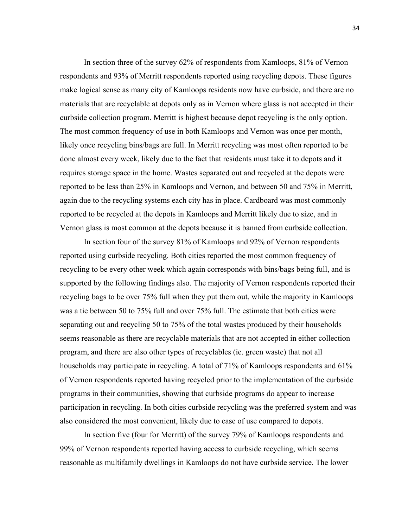In section three of the survey 62% of respondents from Kamloops, 81% of Vernon respondents and 93% of Merritt respondents reported using recycling depots. These figures make logical sense as many city of Kamloops residents now have curbside, and there are no materials that are recyclable at depots only as in Vernon where glass is not accepted in their curbside collection program. Merritt is highest because depot recycling is the only option. The most common frequency of use in both Kamloops and Vernon was once per month, likely once recycling bins/bags are full. In Merritt recycling was most often reported to be done almost every week, likely due to the fact that residents must take it to depots and it requires storage space in the home. Wastes separated out and recycled at the depots were reported to be less than 25% in Kamloops and Vernon, and between 50 and 75% in Merritt, again due to the recycling systems each city has in place. Cardboard was most commonly reported to be recycled at the depots in Kamloops and Merritt likely due to size, and in Vernon glass is most common at the depots because it is banned from curbside collection.

In section four of the survey 81% of Kamloops and 92% of Vernon respondents reported using curbside recycling. Both cities reported the most common frequency of recycling to be every other week which again corresponds with bins/bags being full, and is supported by the following findings also. The majority of Vernon respondents reported their recycling bags to be over 75% full when they put them out, while the majority in Kamloops was a tie between 50 to 75% full and over 75% full. The estimate that both cities were separating out and recycling 50 to 75% of the total wastes produced by their households seems reasonable as there are recyclable materials that are not accepted in either collection program, and there are also other types of recyclables (ie. green waste) that not all households may participate in recycling. A total of 71% of Kamloops respondents and 61% of Vernon respondents reported having recycled prior to the implementation of the curbside programs in their communities, showing that curbside programs do appear to increase participation in recycling. In both cities curbside recycling was the preferred system and was also considered the most convenient, likely due to ease of use compared to depots.

In section five (four for Merritt) of the survey 79% of Kamloops respondents and 99% of Vernon respondents reported having access to curbside recycling, which seems reasonable as multifamily dwellings in Kamloops do not have curbside service. The lower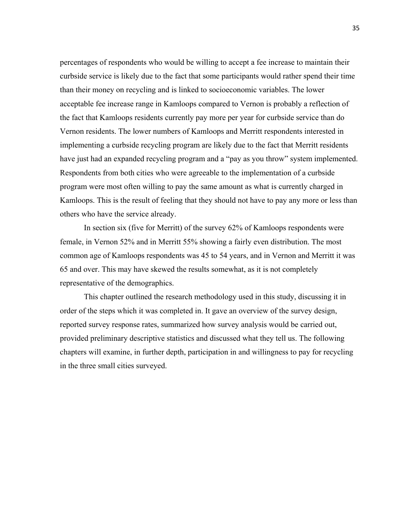percentages of respondents who would be willing to accept a fee increase to maintain their curbside service is likely due to the fact that some participants would rather spend their time than their money on recycling and is linked to socioeconomic variables. The lower acceptable fee increase range in Kamloops compared to Vernon is probably a reflection of the fact that Kamloops residents currently pay more per year for curbside service than do Vernon residents. The lower numbers of Kamloops and Merritt respondents interested in implementing a curbside recycling program are likely due to the fact that Merritt residents have just had an expanded recycling program and a "pay as you throw" system implemented. Respondents from both cities who were agreeable to the implementation of a curbside program were most often willing to pay the same amount as what is currently charged in Kamloops. This is the result of feeling that they should not have to pay any more or less than others who have the service already.

In section six (five for Merritt) of the survey 62% of Kamloops respondents were female, in Vernon 52% and in Merritt 55% showing a fairly even distribution. The most common age of Kamloops respondents was 45 to 54 years, and in Vernon and Merritt it was 65 and over. This may have skewed the results somewhat, as it is not completely representative of the demographics.

This chapter outlined the research methodology used in this study, discussing it in order of the steps which it was completed in. It gave an overview of the survey design, reported survey response rates, summarized how survey analysis would be carried out, provided preliminary descriptive statistics and discussed what they tell us. The following chapters will examine, in further depth, participation in and willingness to pay for recycling in the three small cities surveyed.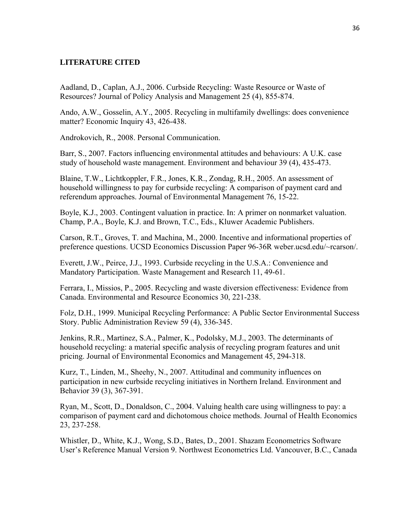#### **LITERATURE CITED**

Aadland, D., Caplan, A.J., 2006. Curbside Recycling: Waste Resource or Waste of Resources? Journal of Policy Analysis and Management 25 (4), 855-874.

Ando, A.W., Gosselin, A.Y., 2005. Recycling in multifamily dwellings: does convenience matter? Economic Inquiry 43, 426-438.

Androkovich, R., 2008. Personal Communication.

Barr, S., 2007. Factors influencing environmental attitudes and behaviours: A U.K. case study of household waste management. Environment and behaviour 39 (4), 435-473.

Blaine, T.W., Lichtkoppler, F.R., Jones, K.R., Zondag, R.H., 2005. An assessment of household willingness to pay for curbside recycling: A comparison of payment card and referendum approaches. Journal of Environmental Management 76, 15-22.

Boyle, K.J., 2003. Contingent valuation in practice. In: A primer on nonmarket valuation. Champ, P.A., Boyle, K.J. and Brown, T.C., Eds., Kluwer Academic Publishers.

Carson, R.T., Groves, T. and Machina, M., 2000. Incentive and informational properties of preference questions. UCSD Economics Discussion Paper 96-36R weber.ucsd.edu/~rcarson/.

Everett, J.W., Peirce, J.J., 1993. Curbside recycling in the U.S.A.: Convenience and Mandatory Participation. Waste Management and Research 11, 49-61.

Ferrara, I., Missios, P., 2005. Recycling and waste diversion effectiveness: Evidence from Canada. Environmental and Resource Economics 30, 221-238.

Folz, D.H., 1999. Municipal Recycling Performance: A Public Sector Environmental Success Story. Public Administration Review 59 (4), 336-345.

Jenkins, R.R., Martinez, S.A., Palmer, K., Podolsky, M.J., 2003. The determinants of household recycling: a material specific analysis of recycling program features and unit pricing. Journal of Environmental Economics and Management 45, 294-318.

Kurz, T., Linden, M., Sheehy, N., 2007. Attitudinal and community influences on participation in new curbside recycling initiatives in Northern Ireland. Environment and Behavior 39 (3), 367-391.

Ryan, M., Scott, D., Donaldson, C., 2004. Valuing health care using willingness to pay: a comparison of payment card and dichotomous choice methods. Journal of Health Economics 23, 237-258.

Whistler, D., White, K.J., Wong, S.D., Bates, D., 2001. Shazam Econometrics Software User's Reference Manual Version 9. Northwest Econometrics Ltd. Vancouver, B.C., Canada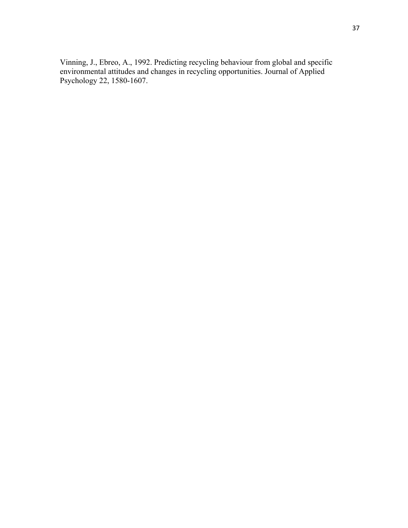Vinning, J., Ebreo, A., 1992. Predicting recycling behaviour from global and specific environmental attitudes and changes in recycling opportunities. Journal of Applied Psychology 22, 1580-1607.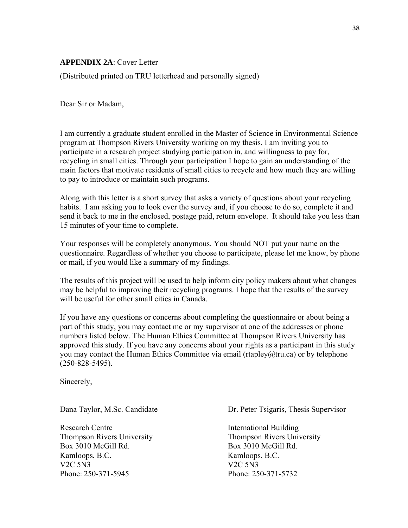## **APPENDIX 2A**: Cover Letter

(Distributed printed on TRU letterhead and personally signed)

Dear Sir or Madam,

I am currently a graduate student enrolled in the Master of Science in Environmental Science program at Thompson Rivers University working on my thesis. I am inviting you to participate in a research project studying participation in, and willingness to pay for, recycling in small cities. Through your participation I hope to gain an understanding of the main factors that motivate residents of small cities to recycle and how much they are willing to pay to introduce or maintain such programs.

Along with this letter is a short survey that asks a variety of questions about your recycling habits. I am asking you to look over the survey and, if you choose to do so, complete it and send it back to me in the enclosed, postage paid, return envelope. It should take you less than 15 minutes of your time to complete.

Your responses will be completely anonymous. You should NOT put your name on the questionnaire. Regardless of whether you choose to participate, please let me know, by phone or mail, if you would like a summary of my findings.

The results of this project will be used to help inform city policy makers about what changes may be helpful to improving their recycling programs. I hope that the results of the survey will be useful for other small cities in Canada.

If you have any questions or concerns about completing the questionnaire or about being a part of this study, you may contact me or my supervisor at one of the addresses or phone numbers listed below. The Human Ethics Committee at Thompson Rivers University has approved this study. If you have any concerns about your rights as a participant in this study you may contact the Human Ethics Committee via email (rtapley $@$ tru.ca) or by telephone (250-828-5495).

Sincerely,

Research Centre International Building Thompson Rivers University Thompson Rivers University Box 3010 McGill Rd. Box 3010 McGill Rd. Kamloops, B.C. Kamloops, B.C. V2C 5N3 V2C 5N3 Phone: 250-371-5945 Phone: 250-371-5732

Dana Taylor, M.Sc. Candidate Dr. Peter Tsigaris, Thesis Supervisor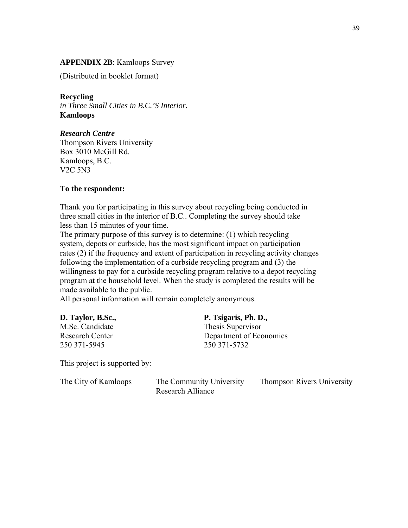## **APPENDIX 2B**: Kamloops Survey

(Distributed in booklet format)

**Recycling**  *in Three Small Cities in B.C.'S Interior.* 

**Kamloops** 

## *Research Centre*

Thompson Rivers University Box 3010 McGill Rd. Kamloops, B.C. V2C 5N3

### **To the respondent:**

Thank you for participating in this survey about recycling being conducted in three small cities in the interior of B.C.. Completing the survey should take less than 15 minutes of your time.

The primary purpose of this survey is to determine: (1) which recycling system, depots or curbside, has the most significant impact on participation rates (2) if the frequency and extent of participation in recycling activity changes following the implementation of a curbside recycling program and (3) the willingness to pay for a curbside recycling program relative to a depot recycling program at the household level. When the study is completed the results will be made available to the public.

All personal information will remain completely anonymous.

| D. Taylor, B.Sc.,      | P. Tsigaris, Ph. D.,    |
|------------------------|-------------------------|
| M.Sc. Candidate        | Thesis Supervisor       |
| <b>Research Center</b> | Department of Economics |
| 250 371-5945           | 250 371 - 5732          |
|                        |                         |

This project is supported by:

| The City of Kamloops | The Community University | <b>Thompson Rivers University</b> |
|----------------------|--------------------------|-----------------------------------|
|                      | Research Alliance        |                                   |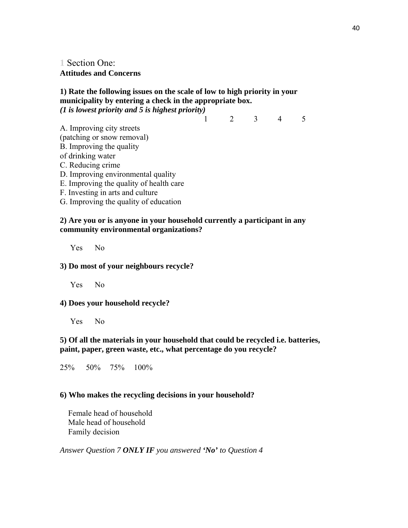**1** Section One: **Attitudes and Concerns** 

## **1) Rate the following issues on the scale of low to high priority in your municipality by entering a check in the appropriate box.**  *(1 is lowest priority and 5 is highest priority)*

1 2 3 4 5

- A. Improving city streets (patching or snow removal) B. Improving the quality of drinking water C. Reducing crime D. Improving environmental quality E. Improving the quality of health care
- F. Investing in arts and culture
- G. Improving the quality of education

### **2) Are you or is anyone in your household currently a participant in any community environmental organizations?**

Yes No

#### **3) Do most of your neighbours recycle?**

Yes No

#### **4) Does your household recycle?**

Yes No

### **5) Of all the materials in your household that could be recycled i.e. batteries, paint, paper, green waste, etc., what percentage do you recycle?**

25% 50% 75% 100%

#### **6) Who makes the recycling decisions in your household?**

 Female head of household Male head of household Family decision

*Answer Question 7 ONLY IF you answered 'No' to Question 4*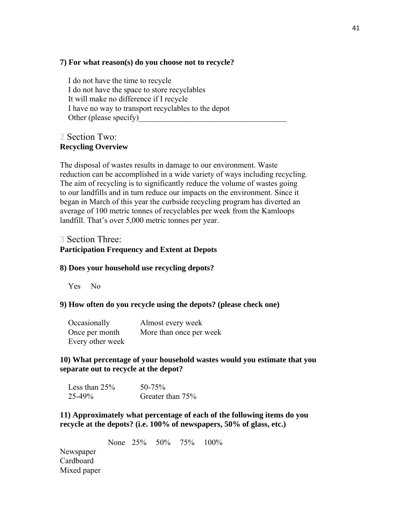#### **7) For what reason(s) do you choose not to recycle?**

 I do not have the time to recycle I do not have the space to store recyclables It will make no difference if I recycle I have no way to transport recyclables to the depot Other (please specify)

## **2** Section Two: **Recycling Overview**

The disposal of wastes results in damage to our environment. Waste reduction can be accomplished in a wide variety of ways including recycling. The aim of recycling is to significantly reduce the volume of wastes going to our landfills and in turn reduce our impacts on the environment. Since it began in March of this year the curbside recycling program has diverted an average of 100 metric tonnes of recyclables per week from the Kamloops landfill. That's over 5,000 metric tonnes per year.

## **3** Section Three: **Participation Frequency and Extent at Depots**

#### **8) Does your household use recycling depots?**

Yes No

#### **9) How often do you recycle using the depots? (please check one)**

| Occasionally     | Almost every week       |
|------------------|-------------------------|
| Once per month   | More than once per week |
| Every other week |                         |

## **10) What percentage of your household wastes would you estimate that you separate out to recycle at the depot?**

| Less than $25%$ | $50 - 75\%$      |
|-----------------|------------------|
| $25 - 49\%$     | Greater than 75% |

**11) Approximately what percentage of each of the following items do you recycle at the depots? (i.e. 100% of newspapers, 50% of glass, etc.)** 

None 25% 50% 75% 100%

Newspaper Cardboard Mixed paper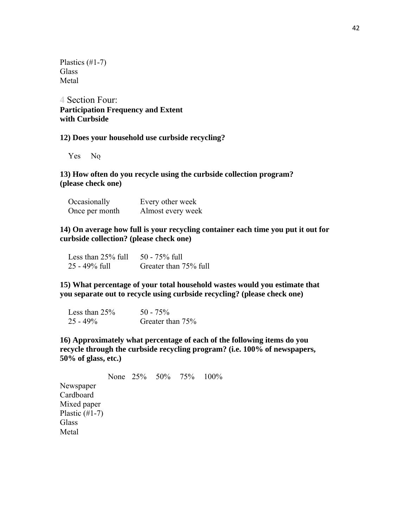Plastics (#1-7) **Glass** Metal

**4** Section Four: **Participation Frequency and Extent with Curbside** 

#### **12) Does your household use curbside recycling?**

Yes No

## **13) How often do you recycle using the curbside collection program? (please check one)**

| Occasionally   | Every other week  |
|----------------|-------------------|
| Once per month | Almost every week |

## **14) On average how full is your recycling container each time you put it out for curbside collection? (please check one)**

| Less than $25\%$ full | $50 - 75\%$ full      |
|-----------------------|-----------------------|
| $25 - 49\%$ full      | Greater than 75% full |

**15) What percentage of your total household wastes would you estimate that you separate out to recycle using curbside recycling? (please check one)** 

| Less than $25%$ | $50 - 75\%$      |
|-----------------|------------------|
| $25 - 49\%$     | Greater than 75% |

**16) Approximately what percentage of each of the following items do you recycle through the curbside recycling program? (i.e. 100% of newspapers, 50% of glass, etc.)** 

None 25% 50% 75% 100% Newspaper Cardboard Mixed paper Plastic  $(\text{\#}1-7)$ Glass **Glass Glass Glass Glass** Metal and the state of the state of the state of the state of the state of the state of the state of the state of the state of the state of the state of the state of the state of the state of the state of the state of the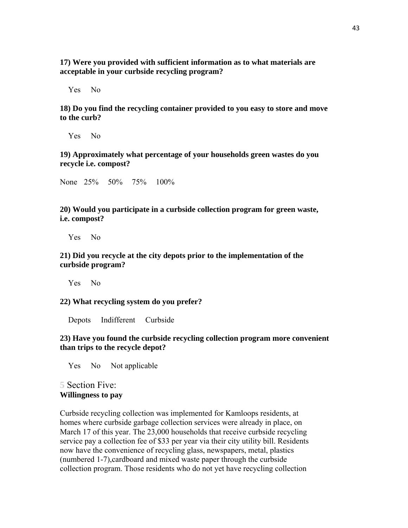**17) Were you provided with sufficient information as to what materials are acceptable in your curbside recycling program?** 

Yes No

**18) Do you find the recycling container provided to you easy to store and move to the curb?** 

Yes No

**19) Approximately what percentage of your households green wastes do you recycle i.e. compost?** 

None 25% 50% 75% 100%

**20) Would you participate in a curbside collection program for green waste, i.e. compost?** 

Yes No

**21) Did you recycle at the city depots prior to the implementation of the curbside program?** 

Yes No

**22) What recycling system do you prefer?** 

Depots Indifferent Curbside

**23) Have you found the curbside recycling collection program more convenient than trips to the recycle depot?** 

Yes No Not applicable

## **5** Section Five: **Willingness to pay**

Curbside recycling collection was implemented for Kamloops residents, at homes where curbside garbage collection services were already in place, on March 17 of this year. The 23,000 households that receive curbside recycling service pay a collection fee of \$33 per year via their city utility bill. Residents now have the convenience of recycling glass, newspapers, metal, plastics (numbered 1-7),cardboard and mixed waste paper through the curbside collection program. Those residents who do not yet have recycling collection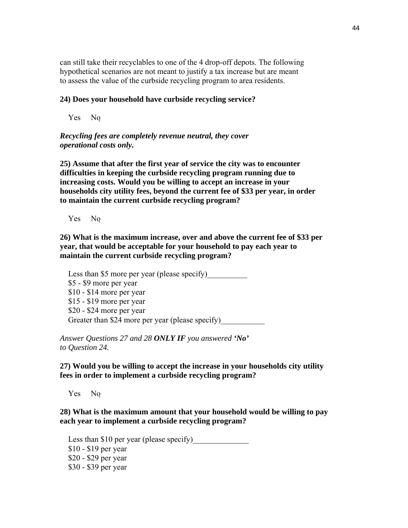can still take their recyclables to one of the 4 drop-off depots. The following hypothetical scenarios are not meant to justify a tax increase but are meant to assess the value of the curbside recycling program to area residents.

#### **24) Does your household have curbside recycling service?**

Yes No

*Recycling fees are completely revenue neutral, they cover operational costs only.* 

**25) Assume that after the first year of service the city was to encounter difficulties in keeping the curbside recycling program running due to increasing costs. Would you be willing to accept an increase in your households city utility fees, beyond the current fee of \$33 per year, in order to maintain the current curbside recycling program?** 

Yes No *Go to Question 29..Go to Question 26.* 

**26) What is the maximum increase, over and above the current fee of \$33 per year, that would be acceptable for your household to pay each year to maintain the current curbside recycling program?** 

Less than \$5 more per year (please specify) \$5 - \$9 more per year \$10 - \$14 more per year \$15 - \$19 more per year \$20 - \$24 more per year Greater than \$24 more per year (please specify)

*Answer Questions 27 and 28 ONLY IF you answered 'No' to Question 24.* 

**27) Would you be willing to accept the increase in your households city utility fees in order to implement a curbside recycling program?** 

Yes No *Go to Question 29.Go to Question 28.* 

**28) What is the maximum amount that your household would be willing to pay each year to implement a curbside recycling program?** 

Less than  $$10$  per year (please specify) \$10 - \$19 per year \$20 - \$29 per year \$30 - \$39 per year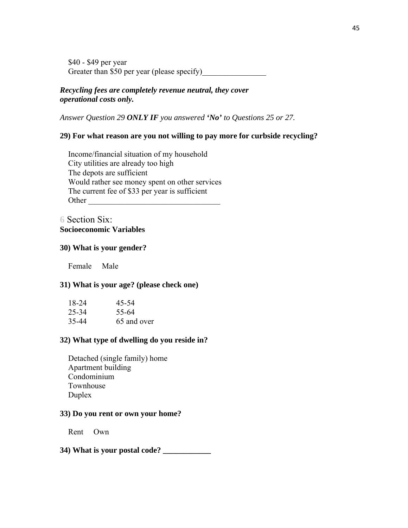\$40 - \$49 per year Greater than \$50 per year (please specify)

## *Recycling fees are completely revenue neutral, they cover operational costs only.*

*Answer Question 29 ONLY IF you answered 'No' to Questions 25 or 27.* 

## **29) For what reason are you not willing to pay more for curbside recycling?**

 Income/financial situation of my household City utilities are already too high The depots are sufficient Would rather see money spent on other services The current fee of \$33 per year is sufficient Other  $\Box$ 

## **6** Section Six: **Socioeconomic Variables**

#### **30) What is your gender?**

Female Male

#### **31) What is your age? (please check one)**

| 18-24 | 45-54       |
|-------|-------------|
| 25-34 | 55-64       |
| 35-44 | 65 and over |

#### **32) What type of dwelling do you reside in?**

 Detached (single family) home Apartment building Condominium Townhouse Duplex

#### **33) Do you rent or own your home?**

Rent Own

## **34) What is your postal code? \_\_\_\_\_\_\_\_\_\_\_\_**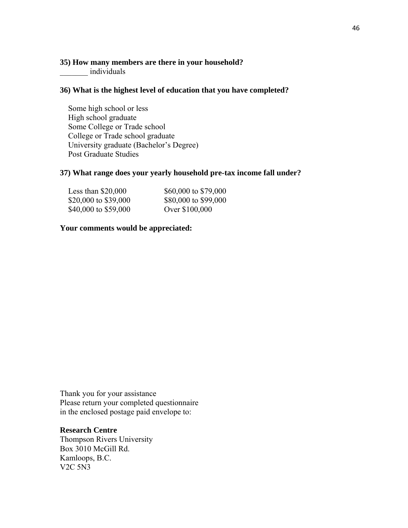## **35) How many members are there in your household?**

\_\_\_\_\_\_\_ individuals

#### **36) What is the highest level of education that you have completed?**

 Some high school or less High school graduate Some College or Trade school College or Trade school graduate University graduate (Bachelor's Degree) Post Graduate Studies

#### **37) What range does your yearly household pre-tax income fall under?**

| Less than $$20,000$  | \$60,000 to \$79,000 |
|----------------------|----------------------|
| \$20,000 to \$39,000 | \$80,000 to \$99,000 |
| \$40,000 to \$59,000 | Over \$100,000       |

#### **Your comments would be appreciated:**

Thank you for your assistance Please return your completed questionnaire in the enclosed postage paid envelope to:

## **Research Centre**

Thompson Rivers University Box 3010 McGill Rd. Kamloops, B.C. V2C 5N3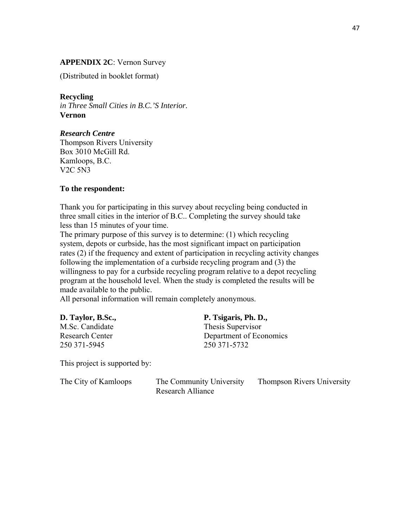## **APPENDIX 2C**: Vernon Survey

(Distributed in booklet format)

### **Recycling**

*in Three Small Cities in B.C.'S Interior.*  **Vernon** 

## *Research Centre*

Thompson Rivers University Box 3010 McGill Rd. Kamloops, B.C. V2C 5N3

#### **To the respondent:**

Thank you for participating in this survey about recycling being conducted in three small cities in the interior of B.C.. Completing the survey should take less than 15 minutes of your time.

The primary purpose of this survey is to determine: (1) which recycling system, depots or curbside, has the most significant impact on participation rates (2) if the frequency and extent of participation in recycling activity changes following the implementation of a curbside recycling program and (3) the willingness to pay for a curbside recycling program relative to a depot recycling program at the household level. When the study is completed the results will be made available to the public.

All personal information will remain completely anonymous.

| D. Taylor, B.Sc., | P. Tsigaris, Ph. D.,    |
|-------------------|-------------------------|
| M.Sc. Candidate   | Thesis Supervisor       |
| Research Center   | Department of Economics |
| 250 371 - 5945    | 250 371 - 5732          |
|                   |                         |

This project is supported by:

| The City of Kamloops | The Community University | <b>Thompson Rivers University</b> |
|----------------------|--------------------------|-----------------------------------|
|                      | Research Alliance        |                                   |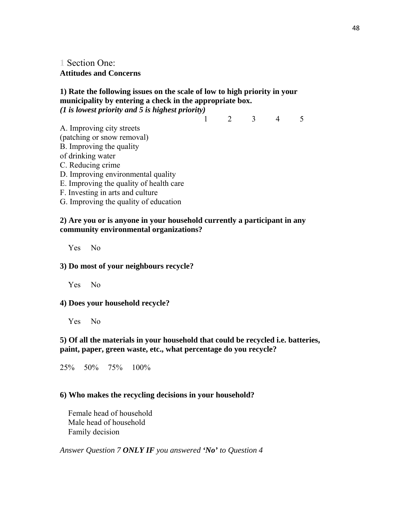**1** Section One: **Attitudes and Concerns** 

## **1) Rate the following issues on the scale of low to high priority in your municipality by entering a check in the appropriate box.**  *(1 is lowest priority and 5 is highest priority)*

1 2 3 4 5

- A. Improving city streets (patching or snow removal) B. Improving the quality of drinking water C. Reducing crime
- D. Improving environmental quality
- E. Improving the quality of health care
- F. Investing in arts and culture
- G. Improving the quality of education

### **2) Are you or is anyone in your household currently a participant in any community environmental organizations?**

Yes No

## **3) Do most of your neighbours recycle?**

Yes No

## **4) Does your household recycle?**

Yes No

## **5) Of all the materials in your household that could be recycled i.e. batteries, paint, paper, green waste, etc., what percentage do you recycle?**

25% 50% 75% 100%

## **6) Who makes the recycling decisions in your household?**

 Female head of household Male head of household Family decision

*Answer Question 7 ONLY IF you answered 'No' to Question 4*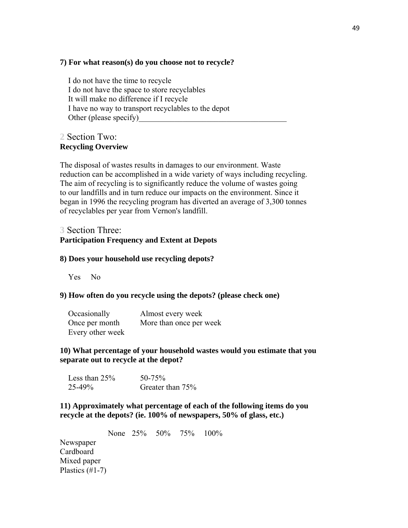### **7) For what reason(s) do you choose not to recycle?**

 I do not have the time to recycle I do not have the space to store recyclables It will make no difference if I recycle I have no way to transport recyclables to the depot Other (please specify)

## **2** Section Two: **Recycling Overview**

The disposal of wastes results in damages to our environment. Waste reduction can be accomplished in a wide variety of ways including recycling. The aim of recycling is to significantly reduce the volume of wastes going to our landfills and in turn reduce our impacts on the environment. Since it began in 1996 the recycling program has diverted an average of 3,300 tonnes of recyclables per year from Vernon's landfill.

# **3** Section Three:

# **Participation Frequency and Extent at Depots**

### **8) Does your household use recycling depots?**

Yes No

## **9) How often do you recycle using the depots? (please check one)**

| Occasionally     | Almost every week       |
|------------------|-------------------------|
| Once per month   | More than once per week |
| Every other week |                         |

## **10) What percentage of your household wastes would you estimate that you separate out to recycle at the depot?**

| Less than $25%$ | $50 - 75\%$      |
|-----------------|------------------|
| $25 - 49\%$     | Greater than 75% |

## **11) Approximately what percentage of each of the following items do you recycle at the depots? (ie. 100% of newspapers, 50% of glass, etc.)**

None 25% 50% 75% 100% **Newspaper** Cardboard Mixed paper Plastics (#1-7)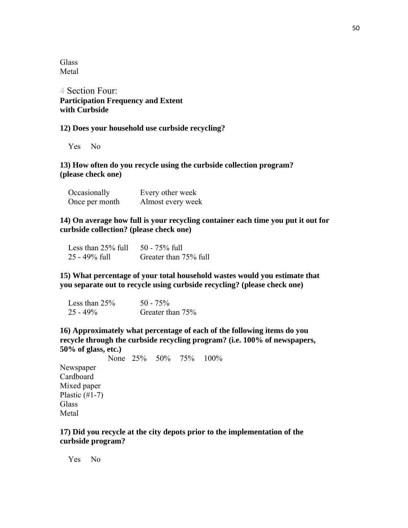**Glass** Metal

**4** Section Four: **Participation Frequency and Extent with Curbside** 

#### **12) Does your household use curbside recycling?**

Yes No

## **13) How often do you recycle using the curbside collection program? (please check one)**

| Occasionally   | Every other week  |
|----------------|-------------------|
| Once per month | Almost every week |

## **14) On average how full is your recycling container each time you put it out for curbside collection? (please check one)**

| Less than $25\%$ full | $50 - 75\%$ full      |
|-----------------------|-----------------------|
| $25 - 49\%$ full      | Greater than 75% full |

**15) What percentage of your total household wastes would you estimate that you separate out to recycle using curbside recycling? (please check one)** 

| Less than $25%$ | $50 - 75\%$      |
|-----------------|------------------|
| $25 - 49\%$     | Greater than 75% |

**16) Approximately what percentage of each of the following items do you recycle through the curbside recycling program? (i.e. 100% of newspapers, 50% of glass, etc.)** 

None 25% 50% 75% 100% Newspaper Cardboard Mixed paper Plastic  $(\#1-7)$ Glass Metal

#### **17) Did you recycle at the city depots prior to the implementation of the curbside program?**

Yes No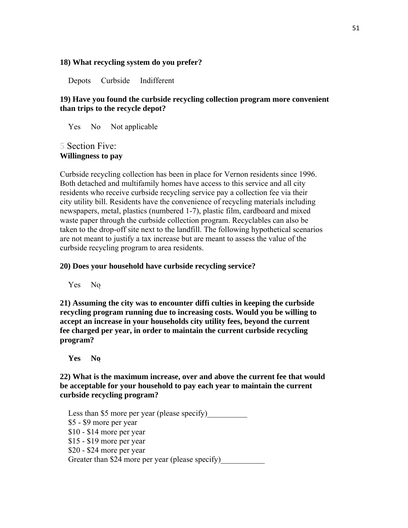#### **18) What recycling system do you prefer?**

Depots Curbside Indifferent

## **19) Have you found the curbside recycling collection program more convenient than trips to the recycle depot?**

Yes No Not applicable

## **5** Section Five: **Willingness to pay**

Curbside recycling collection has been in place for Vernon residents since 1996. Both detached and multifamily homes have access to this service and all city residents who receive curbside recycling service pay a collection fee via their city utility bill. Residents have the convenience of recycling materials including newspapers, metal, plastics (numbered 1-7), plastic film, cardboard and mixed waste paper through the curbside collection program. Recyclables can also be taken to the drop-off site next to the landfill. The following hypothetical scenarios are not meant to justify a tax increase but are meant to assess the value of the curbside recycling program to area residents.

#### **20) Does your household have curbside recycling service?**

Yes No

**21) Assuming the city was to encounter diffi culties in keeping the curbside recycling program running due to increasing costs. Would you be willing to accept an increase in your households city utility fees, beyond the current fee charged per year, in order to maintain the current curbside recycling program?** 

 $Yes$  **No**  $Q$ 

**22) What is the maximum increase, over and above the current fee that would be acceptable for your household to pay each year to maintain the current curbside recycling program?** 

Less than \$5 more per year (please specify) \$5 - \$9 more per year \$10 - \$14 more per year \$15 - \$19 more per year \$20 - \$24 more per year Greater than \$24 more per year (please specify)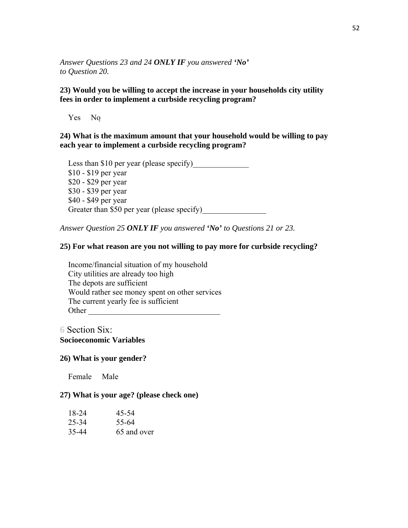*Answer Questions 23 and 24 ONLY IF you answered 'No' to Question 20.* 

## **23) Would you be willing to accept the increase in your households city utility fees in order to implement a curbside recycling program?**

Yes No

## **24) What is the maximum amount that your household would be willing to pay each year to implement a curbside recycling program?**

Less than \$10 per year (please specify) \$10 - \$19 per year \$20 - \$29 per year \$30 - \$39 per year \$40 - \$49 per year Greater than \$50 per year (please specify)

*Answer Question 25 ONLY IF you answered 'No' to Questions 21 or 23.* 

## **25) For what reason are you not willing to pay more for curbside recycling?**

 Income/financial situation of my household City utilities are already too high The depots are sufficient Would rather see money spent on other services The current yearly fee is sufficient Other \_\_\_\_\_\_\_\_\_\_\_\_\_\_\_\_\_\_\_\_\_\_\_\_\_\_\_\_\_\_\_\_\_

**6** Section Six: **Socioeconomic Variables** 

#### **26) What is your gender?**

Female Male

## **27) What is your age? (please check one)**

| 18-24 | 45-54       |
|-------|-------------|
| 25-34 | 55-64       |
| 35-44 | 65 and over |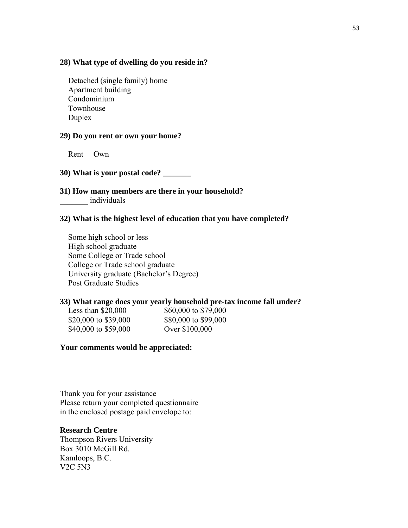#### **28) What type of dwelling do you reside in?**

 Detached (single family) home Apartment building Condominium Townhouse Duplex

#### **29) Do you rent or own your home?**

Rent Own

**30) What is your postal code? \_\_\_\_\_\_\_**\_\_\_\_\_\_

**31) How many members are there in your household?**  \_\_\_\_\_\_\_ individuals

#### **32) What is the highest level of education that you have completed?**

 Some high school or less High school graduate Some College or Trade school College or Trade school graduate University graduate (Bachelor's Degree) Post Graduate Studies

#### **33) What range does your yearly household pre-tax income fall under?**

\$20,000 to \$39,000 \$80,000 to \$99,000 \$40,000 to \$59,000 Over \$100,000

Less than \$20,000 \$60,000 to \$79,000

#### **Your comments would be appreciated:**

Thank you for your assistance Please return your completed questionnaire in the enclosed postage paid envelope to:

#### **Research Centre**

Thompson Rivers University Box 3010 McGill Rd. Kamloops, B.C. V2C 5N3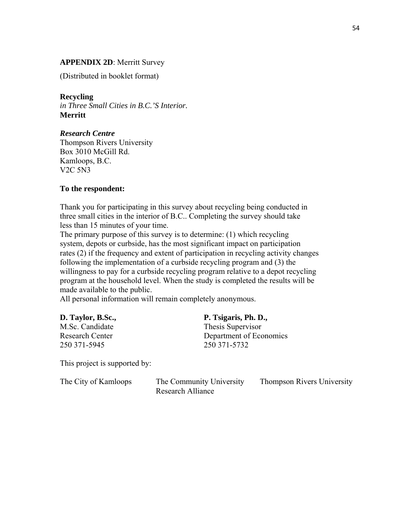## **APPENDIX 2D**: Merritt Survey

(Distributed in booklet format)

### **Recycling**

*in Three Small Cities in B.C.'S Interior.*  **Merritt** 

## *Research Centre*

Thompson Rivers University Box 3010 McGill Rd. Kamloops, B.C. V2C 5N3

#### **To the respondent:**

Thank you for participating in this survey about recycling being conducted in three small cities in the interior of B.C.. Completing the survey should take less than 15 minutes of your time.

The primary purpose of this survey is to determine: (1) which recycling system, depots or curbside, has the most significant impact on participation rates (2) if the frequency and extent of participation in recycling activity changes following the implementation of a curbside recycling program and (3) the willingness to pay for a curbside recycling program relative to a depot recycling program at the household level. When the study is completed the results will be made available to the public.

All personal information will remain completely anonymous.

| D. Taylor, B.Sc.,      | P. Tsigaris, Ph. D.,    |
|------------------------|-------------------------|
| M.Sc. Candidate        | Thesis Supervisor       |
| <b>Research Center</b> | Department of Economics |
| 250 371-5945           | 250 371 - 5732          |
|                        |                         |

This project is supported by:

| The City of Kamloops | The Community University | <b>Thompson Rivers University</b> |
|----------------------|--------------------------|-----------------------------------|
|                      | Research Alliance        |                                   |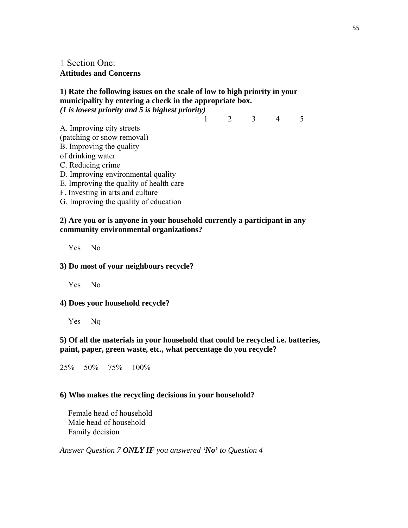**1** Section One: **Attitudes and Concerns** 

## **1) Rate the following issues on the scale of low to high priority in your municipality by entering a check in the appropriate box.**  *(1 is lowest priority and 5 is highest priority)*

1 2 3 4 5

- A. Improving city streets (patching or snow removal) B. Improving the quality of drinking water C. Reducing crime
- D. Improving environmental quality
- E. Improving the quality of health care
- F. Investing in arts and culture
- G. Improving the quality of education

### **2) Are you or is anyone in your household currently a participant in any community environmental organizations?**

Yes No

## **3) Do most of your neighbours recycle?**

Yes No

## **4) Does your household recycle?**

Yes No

## **5) Of all the materials in your household that could be recycled i.e. batteries, paint, paper, green waste, etc., what percentage do you recycle?**

25% 50% 75% 100%

## **6) Who makes the recycling decisions in your household?**

 Female head of household Male head of household Family decision

*Answer Question 7 ONLY IF you answered 'No' to Question 4*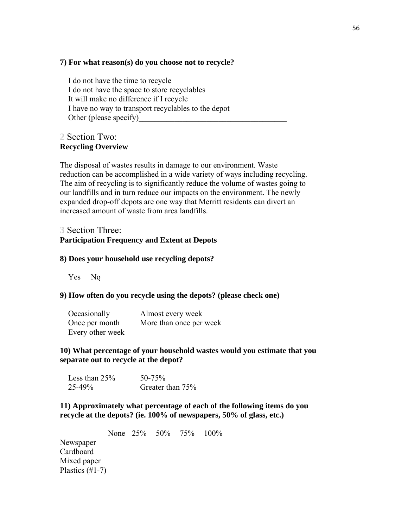### **7) For what reason(s) do you choose not to recycle?**

 I do not have the time to recycle I do not have the space to store recyclables It will make no difference if I recycle I have no way to transport recyclables to the depot Other (please specify)

## **2** Section Two: **Recycling Overview**

The disposal of wastes results in damage to our environment. Waste reduction can be accomplished in a wide variety of ways including recycling. The aim of recycling is to significantly reduce the volume of wastes going to our landfills and in turn reduce our impacts on the environment. The newly expanded drop-off depots are one way that Merritt residents can divert an increased amount of waste from area landfills.

# **3** Section Three:

# **Participation Frequency and Extent at Depots**

#### **8) Does your household use recycling depots?**

Yes No

## **9) How often do you recycle using the depots? (please check one)**

| Occasionally     | Almost every week       |
|------------------|-------------------------|
| Once per month   | More than once per week |
| Every other week |                         |

## **10) What percentage of your household wastes would you estimate that you separate out to recycle at the depot?**

| Less than $25%$ | $50 - 75\%$      |
|-----------------|------------------|
| $25 - 49\%$     | Greater than 75% |

## **11) Approximately what percentage of each of the following items do you recycle at the depots? (ie. 100% of newspapers, 50% of glass, etc.)**

None 25% 50% 75% 100% **Newspaper** Cardboard Mixed paper Plastics (#1-7)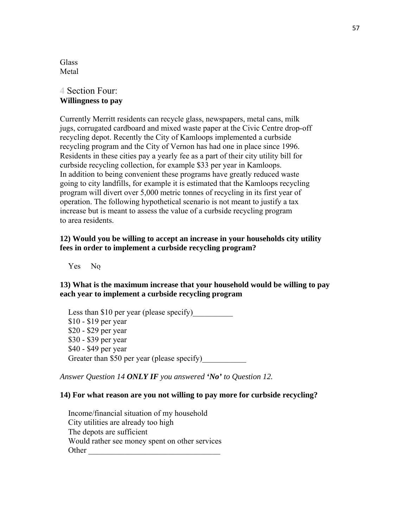Glass and the contract of the contract of the contract of the contract of the contract of the contract of the contract of the contract of the contract of the contract of the contract of the contract of the contract of the Metal and the state of the state of the state of the state of the state of the state of the state of the state of the state of the state of the state of the state of the state of the state of the state of the state of the

## **4** Section Four: **Willingness to pay**

Currently Merritt residents can recycle glass, newspapers, metal cans, milk jugs, corrugated cardboard and mixed waste paper at the Civic Centre drop-off recycling depot. Recently the City of Kamloops implemented a curbside recycling program and the City of Vernon has had one in place since 1996. Residents in these cities pay a yearly fee as a part of their city utility bill for curbside recycling collection, for example \$33 per year in Kamloops. In addition to being convenient these programs have greatly reduced waste going to city landfills, for example it is estimated that the Kamloops recycling program will divert over 5,000 metric tonnes of recycling in its first year of operation. The following hypothetical scenario is not meant to justify a tax increase but is meant to assess the value of a curbside recycling program to area residents.

## **12) Would you be willing to accept an increase in your households city utility fees in order to implement a curbside recycling program?**

Yes No

**13) What is the maximum increase that your household would be willing to pay each year to implement a curbside recycling program** 

Less than \$10 per year (please specify) \$10 - \$19 per year \$20 - \$29 per year \$30 - \$39 per year \$40 - \$49 per year Greater than \$50 per year (please specify)

*Answer Question 14 ONLY IF you answered 'No' to Question 12.* 

#### **14) For what reason are you not willing to pay more for curbside recycling?**

 Income/financial situation of my household City utilities are already too high The depots are sufficient Would rather see money spent on other services Other \_\_\_\_\_\_\_\_\_\_\_\_\_\_\_\_\_\_\_\_\_\_\_\_\_\_\_\_\_\_\_\_\_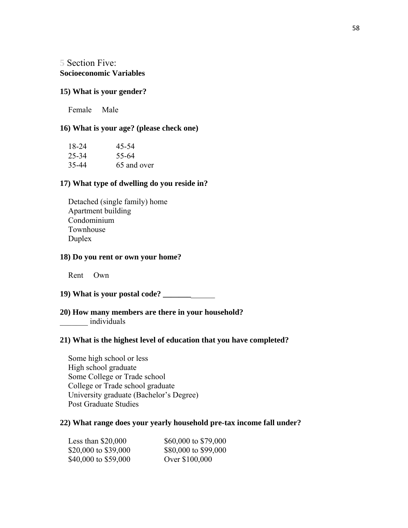**5** Section Five: **Socioeconomic Variables** 

#### **15) What is your gender?**

Female Male

## **16) What is your age? (please check one)**

| 18-24 | 45-54       |
|-------|-------------|
| 25-34 | 55-64       |
| 35-44 | 65 and over |

## **17) What type of dwelling do you reside in?**

 Detached (single family) home Apartment building Condominium Townhouse Duplex

## **18) Do you rent or own your home?**

Rent Own

## **19) What is your postal code? \_\_\_\_\_\_\_**\_\_\_\_\_\_

## **20) How many members are there in your household?**  \_\_\_\_\_\_\_ individuals

#### **21) What is the highest level of education that you have completed?**

 Some high school or less High school graduate Some College or Trade school College or Trade school graduate University graduate (Bachelor's Degree) Post Graduate Studies

#### **22) What range does your yearly household pre-tax income fall under?**

| Less than $$20,000$  | \$60,000 to \$79,000 |
|----------------------|----------------------|
| \$20,000 to \$39,000 | \$80,000 to \$99,000 |
| \$40,000 to \$59,000 | Over \$100,000       |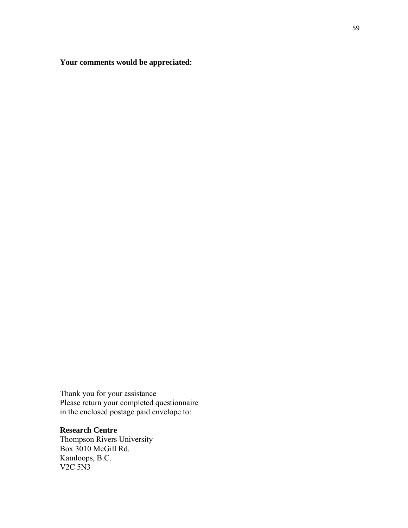**Your comments would be appreciated:** 

Thank you for your assistance Please return your completed questionnaire in the enclosed postage paid envelope to:

## **Research Centre**

Thompson Rivers University Box 3010 McGill Rd. Kamloops, B.C. V2C 5N3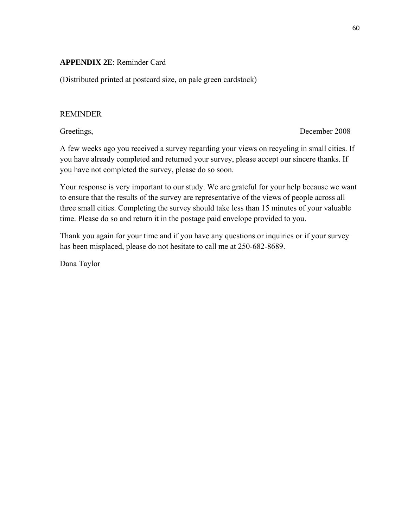## **APPENDIX 2E**: Reminder Card

(Distributed printed at postcard size, on pale green cardstock)

## REMINDER

Greetings, December 2008

A few weeks ago you received a survey regarding your views on recycling in small cities. If you have already completed and returned your survey, please accept our sincere thanks. If you have not completed the survey, please do so soon.

Your response is very important to our study. We are grateful for your help because we want to ensure that the results of the survey are representative of the views of people across all three small cities. Completing the survey should take less than 15 minutes of your valuable time. Please do so and return it in the postage paid envelope provided to you.

Thank you again for your time and if you have any questions or inquiries or if your survey has been misplaced, please do not hesitate to call me at 250-682-8689.

Dana Taylor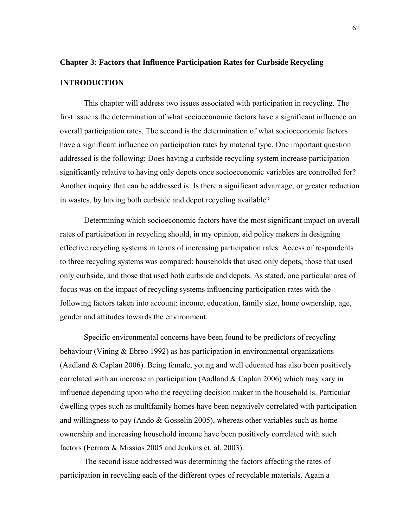# **Chapter 3: Factors that Influence Participation Rates for Curbside Recycling INTRODUCTION**

This chapter will address two issues associated with participation in recycling. The first issue is the determination of what socioeconomic factors have a significant influence on overall participation rates. The second is the determination of what socioeconomic factors have a significant influence on participation rates by material type. One important question addressed is the following: Does having a curbside recycling system increase participation significantly relative to having only depots once socioeconomic variables are controlled for? Another inquiry that can be addressed is: Is there a significant advantage, or greater reduction in wastes, by having both curbside and depot recycling available?

Determining which socioeconomic factors have the most significant impact on overall rates of participation in recycling should, in my opinion, aid policy makers in designing effective recycling systems in terms of increasing participation rates. Access of respondents to three recycling systems was compared: households that used only depots, those that used only curbside, and those that used both curbside and depots. As stated, one particular area of focus was on the impact of recycling systems influencing participation rates with the following factors taken into account: income, education, family size, home ownership, age, gender and attitudes towards the environment.

Specific environmental concerns have been found to be predictors of recycling behaviour (Vining & Ebreo 1992) as has participation in environmental organizations (Aadland & Caplan 2006). Being female, young and well educated has also been positively correlated with an increase in participation (Aadland & Caplan 2006) which may vary in influence depending upon who the recycling decision maker in the household is. Particular dwelling types such as multifamily homes have been negatively correlated with participation and willingness to pay (Ando  $& G$  Gosselin 2005), whereas other variables such as home ownership and increasing household income have been positively correlated with such factors (Ferrara & Missios 2005 and Jenkins et. al. 2003).

The second issue addressed was determining the factors affecting the rates of participation in recycling each of the different types of recyclable materials. Again a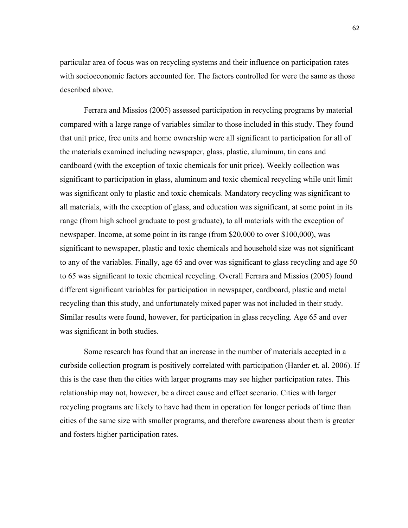particular area of focus was on recycling systems and their influence on participation rates with socioeconomic factors accounted for. The factors controlled for were the same as those described above.

Ferrara and Missios (2005) assessed participation in recycling programs by material compared with a large range of variables similar to those included in this study. They found that unit price, free units and home ownership were all significant to participation for all of the materials examined including newspaper, glass, plastic, aluminum, tin cans and cardboard (with the exception of toxic chemicals for unit price). Weekly collection was significant to participation in glass, aluminum and toxic chemical recycling while unit limit was significant only to plastic and toxic chemicals. Mandatory recycling was significant to all materials, with the exception of glass, and education was significant, at some point in its range (from high school graduate to post graduate), to all materials with the exception of newspaper. Income, at some point in its range (from \$20,000 to over \$100,000), was significant to newspaper, plastic and toxic chemicals and household size was not significant to any of the variables. Finally, age 65 and over was significant to glass recycling and age 50 to 65 was significant to toxic chemical recycling. Overall Ferrara and Missios (2005) found different significant variables for participation in newspaper, cardboard, plastic and metal recycling than this study, and unfortunately mixed paper was not included in their study. Similar results were found, however, for participation in glass recycling. Age 65 and over was significant in both studies.

Some research has found that an increase in the number of materials accepted in a curbside collection program is positively correlated with participation (Harder et. al. 2006). If this is the case then the cities with larger programs may see higher participation rates. This relationship may not, however, be a direct cause and effect scenario. Cities with larger recycling programs are likely to have had them in operation for longer periods of time than cities of the same size with smaller programs, and therefore awareness about them is greater and fosters higher participation rates.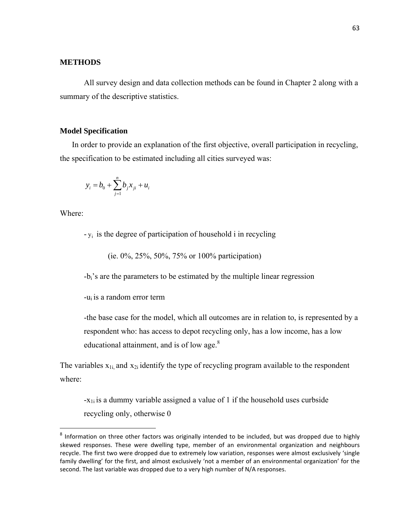## **METHODS**

All survey design and data collection methods can be found in Chapter 2 along with a summary of the descriptive statistics.

## **Model Specification**

In order to provide an explanation of the first objective, overall participation in recycling, the specification to be estimated including all cities surveyed was:

$$
y_i = b_0 + \sum_{j=1}^n b_j x_{ji} + u_i
$$

Where:

 $-y_i$  is the degree of participation of household i in recycling

(ie. 0%, 25%, 50%, 75% or 100% participation)

-bi's are the parameters to be estimated by the multiple linear regression

-ui is a random error term

-the base case for the model, which all outcomes are in relation to, is represented by a respondent who: has access to depot recycling only, has a low income, has a low educational attainment, and is of low age.<sup>8</sup>

The variables  $x_{1i}$  and  $x_{2i}$  identify the type of recycling program available to the respondent where:

 $-x_{1i}$  is a dummy variable assigned a value of 1 if the household uses curbside recycling only, otherwise 0

 $8$  Information on three other factors was originally intended to be included, but was dropped due to highly skewed responses. These were dwelling type, member of an environmental organization and neighbours recycle. The first two were dropped due to extremely low variation, responses were almost exclusively 'single family dwelling' for the first, and almost exclusively 'not a member of an environmental organization' for the second. The last variable was dropped due to a very high number of N/A responses.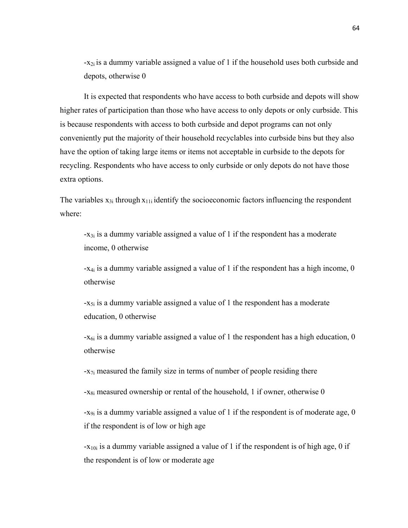$-x_{2i}$  is a dummy variable assigned a value of 1 if the household uses both curbside and depots, otherwise 0

It is expected that respondents who have access to both curbside and depots will show higher rates of participation than those who have access to only depots or only curbside. This is because respondents with access to both curbside and depot programs can not only conveniently put the majority of their household recyclables into curbside bins but they also have the option of taking large items or items not acceptable in curbside to the depots for recycling. Respondents who have access to only curbside or only depots do not have those extra options.

The variables  $x_{3i}$  through  $x_{11i}$  identify the socioeconomic factors influencing the respondent where:

 $-x_{3i}$  is a dummy variable assigned a value of 1 if the respondent has a moderate income, 0 otherwise

-x4i is a dummy variable assigned a value of 1 if the respondent has a high income, 0 otherwise

 $-x_{5i}$  is a dummy variable assigned a value of 1 the respondent has a moderate education, 0 otherwise

 $-x_{6i}$  is a dummy variable assigned a value of 1 the respondent has a high education, 0 otherwise

-x<sub>7i</sub> measured the family size in terms of number of people residing there

 $-x_{8i}$  measured ownership or rental of the household, 1 if owner, otherwise 0

 $-x_{9i}$  is a dummy variable assigned a value of 1 if the respondent is of moderate age, 0 if the respondent is of low or high age

 $-x_{10i}$  is a dummy variable assigned a value of 1 if the respondent is of high age, 0 if the respondent is of low or moderate age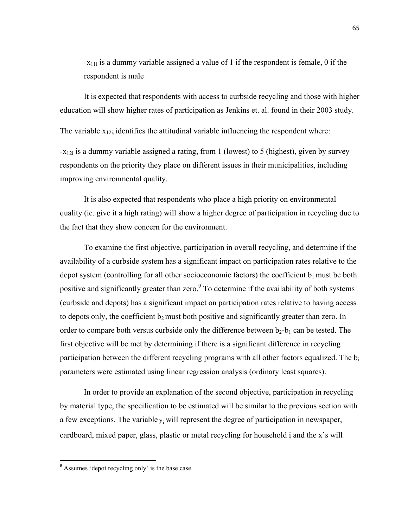$-x_{11i}$  is a dummy variable assigned a value of 1 if the respondent is female, 0 if the respondent is male

It is expected that respondents with access to curbside recycling and those with higher education will show higher rates of participation as Jenkins et. al. found in their 2003 study.

The variable  $x_{12i}$ , identifies the attitudinal variable influencing the respondent where:

 $-x_{12i}$  is a dummy variable assigned a rating, from 1 (lowest) to 5 (highest), given by survey respondents on the priority they place on different issues in their municipalities, including improving environmental quality.

It is also expected that respondents who place a high priority on environmental quality (ie. give it a high rating) will show a higher degree of participation in recycling due to the fact that they show concern for the environment.

To examine the first objective, participation in overall recycling, and determine if the availability of a curbside system has a significant impact on participation rates relative to the depot system (controlling for all other socioeconomic factors) the coefficient  $b_1$  must be both positive and significantly greater than zero.<sup>9</sup> To determine if the availability of both systems (curbside and depots) has a significant impact on participation rates relative to having access to depots only, the coefficient  $b_2$  must both positive and significantly greater than zero. In order to compare both versus curbside only the difference between  $b_2-b_1$  can be tested. The first objective will be met by determining if there is a significant difference in recycling participation between the different recycling programs with all other factors equalized. The  $b_i$ parameters were estimated using linear regression analysis (ordinary least squares).

In order to provide an explanation of the second objective, participation in recycling by material type, the specification to be estimated will be similar to the previous section with a few exceptions. The variable  $y_i$  will represent the degree of participation in newspaper, cardboard, mixed paper, glass, plastic or metal recycling for household i and the x's will

<sup>&</sup>lt;sup>9</sup> Assumes 'depot recycling only' is the base case.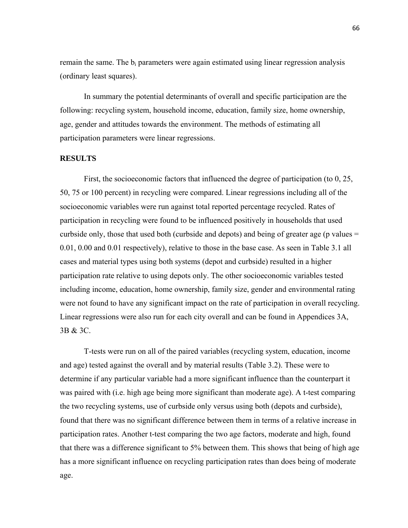remain the same. The  $b_i$  parameters were again estimated using linear regression analysis (ordinary least squares).

In summary the potential determinants of overall and specific participation are the following: recycling system, household income, education, family size, home ownership, age, gender and attitudes towards the environment. The methods of estimating all participation parameters were linear regressions.

### **RESULTS**

First, the socioeconomic factors that influenced the degree of participation (to 0, 25, 50, 75 or 100 percent) in recycling were compared. Linear regressions including all of the socioeconomic variables were run against total reported percentage recycled. Rates of participation in recycling were found to be influenced positively in households that used curbside only, those that used both (curbside and depots) and being of greater age (p values  $=$ 0.01, 0.00 and 0.01 respectively), relative to those in the base case. As seen in Table 3.1 all cases and material types using both systems (depot and curbside) resulted in a higher participation rate relative to using depots only. The other socioeconomic variables tested including income, education, home ownership, family size, gender and environmental rating were not found to have any significant impact on the rate of participation in overall recycling. Linear regressions were also run for each city overall and can be found in Appendices 3A, 3B & 3C.

T-tests were run on all of the paired variables (recycling system, education, income and age) tested against the overall and by material results (Table 3.2). These were to determine if any particular variable had a more significant influence than the counterpart it was paired with (i.e. high age being more significant than moderate age). A t-test comparing the two recycling systems, use of curbside only versus using both (depots and curbside), found that there was no significant difference between them in terms of a relative increase in participation rates. Another t-test comparing the two age factors, moderate and high, found that there was a difference significant to 5% between them. This shows that being of high age has a more significant influence on recycling participation rates than does being of moderate age.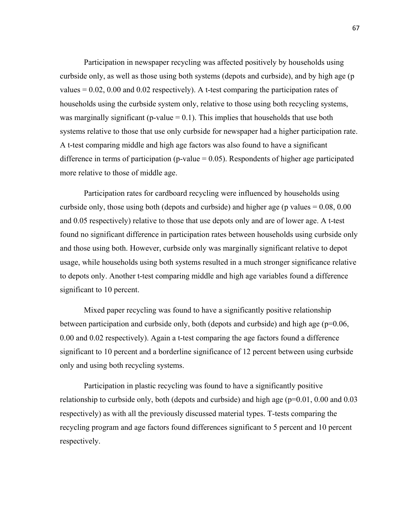Participation in newspaper recycling was affected positively by households using curbside only, as well as those using both systems (depots and curbside), and by high age (p values  $= 0.02$ , 0.00 and 0.02 respectively). A t-test comparing the participation rates of households using the curbside system only, relative to those using both recycling systems, was marginally significant (p-value  $= 0.1$ ). This implies that households that use both systems relative to those that use only curbside for newspaper had a higher participation rate. A t-test comparing middle and high age factors was also found to have a significant difference in terms of participation (p-value  $= 0.05$ ). Respondents of higher age participated more relative to those of middle age.

Participation rates for cardboard recycling were influenced by households using curbside only, those using both (depots and curbside) and higher age (p values  $= 0.08, 0.00$ and 0.05 respectively) relative to those that use depots only and are of lower age. A t-test found no significant difference in participation rates between households using curbside only and those using both. However, curbside only was marginally significant relative to depot usage, while households using both systems resulted in a much stronger significance relative to depots only. Another t-test comparing middle and high age variables found a difference significant to 10 percent.

Mixed paper recycling was found to have a significantly positive relationship between participation and curbside only, both (depots and curbside) and high age (p=0.06, 0.00 and 0.02 respectively). Again a t-test comparing the age factors found a difference significant to 10 percent and a borderline significance of 12 percent between using curbside only and using both recycling systems.

Participation in plastic recycling was found to have a significantly positive relationship to curbside only, both (depots and curbside) and high age  $(p=0.01, 0.00, 0.03, 0.03)$ respectively) as with all the previously discussed material types. T-tests comparing the recycling program and age factors found differences significant to 5 percent and 10 percent respectively.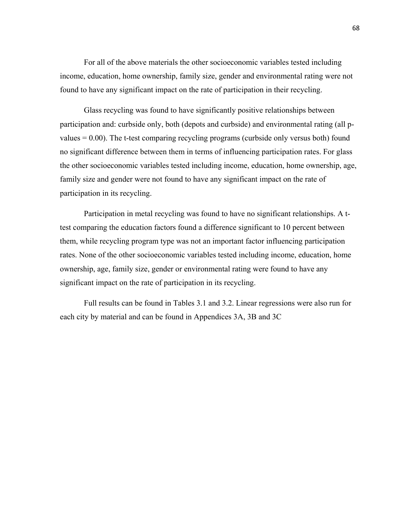For all of the above materials the other socioeconomic variables tested including income, education, home ownership, family size, gender and environmental rating were not found to have any significant impact on the rate of participation in their recycling.

Glass recycling was found to have significantly positive relationships between participation and: curbside only, both (depots and curbside) and environmental rating (all pvalues = 0.00). The t-test comparing recycling programs (curbside only versus both) found no significant difference between them in terms of influencing participation rates. For glass the other socioeconomic variables tested including income, education, home ownership, age, family size and gender were not found to have any significant impact on the rate of participation in its recycling.

Participation in metal recycling was found to have no significant relationships. A ttest comparing the education factors found a difference significant to 10 percent between them, while recycling program type was not an important factor influencing participation rates. None of the other socioeconomic variables tested including income, education, home ownership, age, family size, gender or environmental rating were found to have any significant impact on the rate of participation in its recycling.

Full results can be found in Tables 3.1 and 3.2. Linear regressions were also run for each city by material and can be found in Appendices 3A, 3B and 3C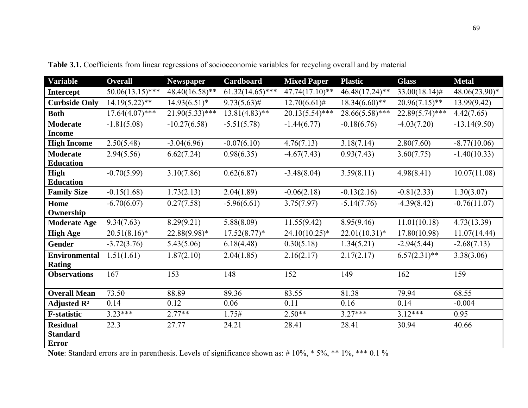| <b>Variable</b>         | <b>Overall</b>     | <b>Newspaper</b>  | Cardboard          | <b>Mixed Paper</b> | <b>Plastic</b>    | <b>Glass</b>      | <b>Metal</b>    |
|-------------------------|--------------------|-------------------|--------------------|--------------------|-------------------|-------------------|-----------------|
| Intercept               | $50.06(13.15)$ *** | $48.40(16.58)$ ** | $61.32(14.65)$ *** | $47.74(17.10)**$   | $46.48(17.24)$ ** | $33.00(18.14)$ #  | $48.06(23.90)*$ |
| <b>Curbside Only</b>    | $14.19(5.22)$ **   | $14.93(6.51)*$    | $9.73(5.63)$ #     | $12.70(6.61)$ #    | $18.34(6.60)$ **  | $20.96(7.15)$ **  | 13.99(9.42)     |
| <b>Both</b>             | $17.64(4.07)$ ***  | $21.90(5.33)$ *** | $13.81(4.83)$ **   | $20.13(5.54)$ ***  | $28.66(5.58)$ *** | $22.89(5.74)$ *** | 4.42(7.65)      |
| <b>Moderate</b>         | $-1.81(5.08)$      | $-10.27(6.58)$    | $-5.51(5.78)$      | $-1.44(6.77)$      | $-0.18(6.76)$     | $-4.03(7.20)$     | $-13.14(9.50)$  |
| <b>Income</b>           |                    |                   |                    |                    |                   |                   |                 |
| <b>High Income</b>      | 2.50(5.48)         | $-3.04(6.96)$     | $-0.07(6.10)$      | 4.76(7.13)         | 3.18(7.14)        | 2.80(7.60)        | $-8.77(10.06)$  |
| <b>Moderate</b>         | 2.94(5.56)         | 6.62(7.24)        | 0.98(6.35)         | $-4.67(7.43)$      | 0.93(7.43)        | 3.60(7.75)        | $-1.40(10.33)$  |
| <b>Education</b>        |                    |                   |                    |                    |                   |                   |                 |
| High                    | $-0.70(5.99)$      | 3.10(7.86)        | 0.62(6.87)         | $-3.48(8.04)$      | 3.59(8.11)        | 4.98(8.41)        | 10.07(11.08)    |
| <b>Education</b>        |                    |                   |                    |                    |                   |                   |                 |
| <b>Family Size</b>      | $-0.15(1.68)$      | 1.73(2.13)        | 2.04(1.89)         | $-0.06(2.18)$      | $-0.13(2.16)$     | $-0.81(2.33)$     | 1.30(3.07)      |
| Home                    | $-6.70(6.07)$      | 0.27(7.58)        | $-5.96(6.61)$      | 3.75(7.97)         | $-5.14(7.76)$     | $-4.39(8.42)$     | $-0.76(11.07)$  |
| Ownership               |                    |                   |                    |                    |                   |                   |                 |
| <b>Moderate Age</b>     | 9.34(7.63)         | 8.29(9.21)        | 5.88(8.09)         | 11.55(9.42)        | 8.95(9.46)        | 11.01(10.18)      | 4.73(13.39)     |
| <b>High Age</b>         | $20.51(8.16)^*$    | 22.88(9.98)*      | $17.52(8.77)^*$    | $24.10(10.25)^*$   | $22.01(10.31)^*$  | 17.80(10.98)      | 11.07(14.44)    |
| Gender                  | $-3.72(3.76)$      | 5.43(5.06)        | 6.18(4.48)         | 0.30(5.18)         | 1.34(5.21)        | $-2.94(5.44)$     | $-2.68(7.13)$   |
| <b>Environmental</b>    | 1.51(1.61)         | 1.87(2.10)        | 2.04(1.85)         | 2.16(2.17)         | 2.17(2.17)        | $6.57(2.31)$ **   | 3.38(3.06)      |
| <b>Rating</b>           |                    |                   |                    |                    |                   |                   |                 |
| <b>Observations</b>     | 167                | 153               | 148                | 152                | 149               | 162               | 159             |
|                         |                    |                   |                    |                    |                   |                   |                 |
| <b>Overall Mean</b>     | 73.50              | 88.89             | 89.36              | 83.55              | 81.38             | 79.94             | 68.55           |
| Adjusted $\mathbb{R}^2$ | 0.14               | 0.12              | 0.06               | 0.11               | 0.16              | 0.14              | $-0.004$        |
| <b>F-statistic</b>      | 3.23***            | $2.77**$          | 1.75#              | $2.50**$           | $3.27***$         | $3.12***$         | 0.95            |
| <b>Residual</b>         | 22.3               | 27.77             | 24.21              | 28.41              | 28.41             | 30.94             | 40.66           |
| <b>Standard</b>         |                    |                   |                    |                    |                   |                   |                 |
| <b>Error</b>            |                    |                   |                    |                    |                   |                   |                 |

**Table 3.1.** Coefficients from linear regressions of socioeconomic variables for recycling overall and by material

Note: Standard errors are in parenthesis. Levels of significance shown as: #10%, \*5%, \*\*1%, \*\*\* 0.1%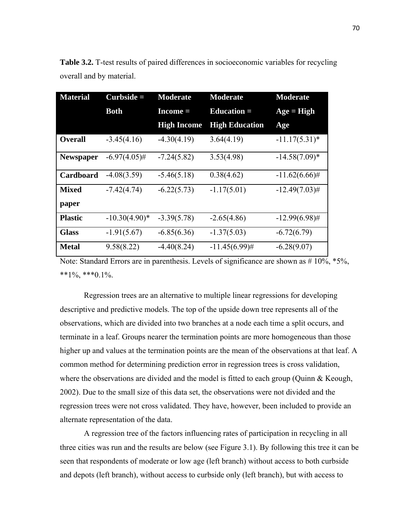| <b>Material</b>  | $Curbside =$    | <b>Moderate</b>    | <b>Moderate</b>       | <b>Moderate</b>  |
|------------------|-----------------|--------------------|-----------------------|------------------|
|                  | <b>Both</b>     | $Income =$         | Education $=$         | $Age = High$     |
|                  |                 | <b>High Income</b> | <b>High Education</b> | Age              |
| <b>Overall</b>   | $-3.45(4.16)$   | $-4.30(4.19)$      | 3.64(4.19)            | $-11.17(5.31)^*$ |
| <b>Newspaper</b> | $-6.97(4.05)$ # | $-7.24(5.82)$      | 3.53(4.98)            | $-14.58(7.09)*$  |
| Cardboard        | $-4.08(3.59)$   | $-5.46(5.18)$      | 0.38(4.62)            | $-11.62(6.66)$ # |
| <b>Mixed</b>     | $-7.42(4.74)$   | $-6.22(5.73)$      | $-1.17(5.01)$         | $-12.49(7.03)$ # |
| paper            |                 |                    |                       |                  |
| <b>Plastic</b>   | $-10.30(4.90)*$ | $-3.39(5.78)$      | $-2.65(4.86)$         | $-12.99(6.98)$ # |
| <b>Glass</b>     | $-1.91(5.67)$   | $-6.85(6.36)$      | $-1.37(5.03)$         | $-6.72(6.79)$    |
| <b>Metal</b>     | 9.58(8.22)      | $-4.40(8.24)$      | $-11.45(6.99)$ #      | $-6.28(9.07)$    |

**Table 3.2.** T-test results of paired differences in socioeconomic variables for recycling overall and by material.

Note: Standard Errors are in parenthesis. Levels of significance are shown as  $# 10\%$ , \*5%,  $**1\%, **0.1\%$ .

Regression trees are an alternative to multiple linear regressions for developing descriptive and predictive models. The top of the upside down tree represents all of the observations, which are divided into two branches at a node each time a split occurs, and terminate in a leaf. Groups nearer the termination points are more homogeneous than those higher up and values at the termination points are the mean of the observations at that leaf. A common method for determining prediction error in regression trees is cross validation, where the observations are divided and the model is fitted to each group (Quinn & Keough, 2002). Due to the small size of this data set, the observations were not divided and the regression trees were not cross validated. They have, however, been included to provide an alternate representation of the data.

A regression tree of the factors influencing rates of participation in recycling in all three cities was run and the results are below (see Figure 3.1). By following this tree it can be seen that respondents of moderate or low age (left branch) without access to both curbside and depots (left branch), without access to curbside only (left branch), but with access to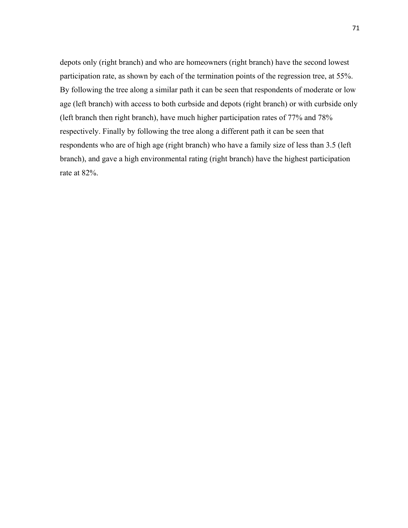depots only (right branch) and who are homeowners (right branch) have the second lowest participation rate, as shown by each of the termination points of the regression tree, at 55%. By following the tree along a similar path it can be seen that respondents of moderate or low age (left branch) with access to both curbside and depots (right branch) or with curbside only (left branch then right branch), have much higher participation rates of 77% and 78% respectively. Finally by following the tree along a different path it can be seen that respondents who are of high age (right branch) who have a family size of less than 3.5 (left branch), and gave a high environmental rating (right branch) have the highest participation rate at 82%.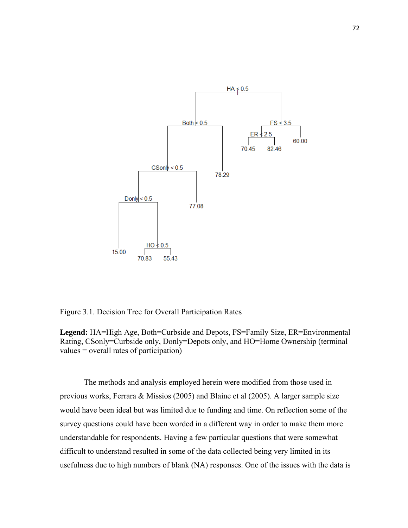

Figure 3.1. Decision Tree for Overall Participation Rates

**Legend:** HA=High Age, Both=Curbside and Depots, FS=Family Size, ER=Environmental Rating, CSonly=Curbside only, Donly=Depots only, and HO=Home Ownership (terminal values = overall rates of participation)

The methods and analysis employed herein were modified from those used in previous works, Ferrara & Missios (2005) and Blaine et al (2005). A larger sample size would have been ideal but was limited due to funding and time. On reflection some of the survey questions could have been worded in a different way in order to make them more understandable for respondents. Having a few particular questions that were somewhat difficult to understand resulted in some of the data collected being very limited in its usefulness due to high numbers of blank (NA) responses. One of the issues with the data is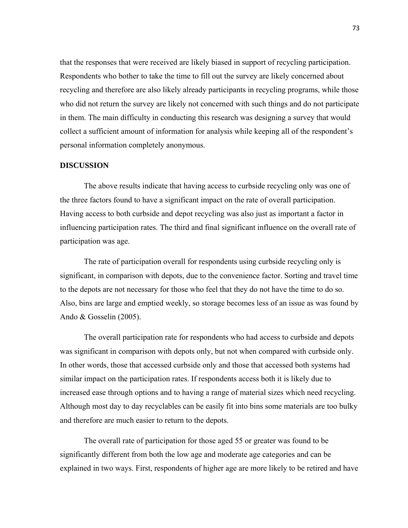that the responses that were received are likely biased in support of recycling participation. Respondents who bother to take the time to fill out the survey are likely concerned about recycling and therefore are also likely already participants in recycling programs, while those who did not return the survey are likely not concerned with such things and do not participate in them. The main difficulty in conducting this research was designing a survey that would collect a sufficient amount of information for analysis while keeping all of the respondent's personal information completely anonymous.

#### **DISCUSSION**

The above results indicate that having access to curbside recycling only was one of the three factors found to have a significant impact on the rate of overall participation. Having access to both curbside and depot recycling was also just as important a factor in influencing participation rates. The third and final significant influence on the overall rate of participation was age.

The rate of participation overall for respondents using curbside recycling only is significant, in comparison with depots, due to the convenience factor. Sorting and travel time to the depots are not necessary for those who feel that they do not have the time to do so. Also, bins are large and emptied weekly, so storage becomes less of an issue as was found by Ando & Gosselin (2005).

The overall participation rate for respondents who had access to curbside and depots was significant in comparison with depots only, but not when compared with curbside only. In other words, those that accessed curbside only and those that accessed both systems had similar impact on the participation rates. If respondents access both it is likely due to increased ease through options and to having a range of material sizes which need recycling. Although most day to day recyclables can be easily fit into bins some materials are too bulky and therefore are much easier to return to the depots.

The overall rate of participation for those aged 55 or greater was found to be significantly different from both the low age and moderate age categories and can be explained in two ways. First, respondents of higher age are more likely to be retired and have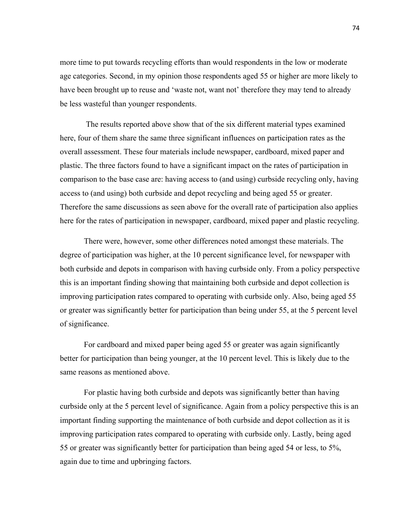more time to put towards recycling efforts than would respondents in the low or moderate age categories. Second, in my opinion those respondents aged 55 or higher are more likely to have been brought up to reuse and 'waste not, want not' therefore they may tend to already be less wasteful than younger respondents.

 The results reported above show that of the six different material types examined here, four of them share the same three significant influences on participation rates as the overall assessment. These four materials include newspaper, cardboard, mixed paper and plastic. The three factors found to have a significant impact on the rates of participation in comparison to the base case are: having access to (and using) curbside recycling only, having access to (and using) both curbside and depot recycling and being aged 55 or greater. Therefore the same discussions as seen above for the overall rate of participation also applies here for the rates of participation in newspaper, cardboard, mixed paper and plastic recycling.

There were, however, some other differences noted amongst these materials. The degree of participation was higher, at the 10 percent significance level, for newspaper with both curbside and depots in comparison with having curbside only. From a policy perspective this is an important finding showing that maintaining both curbside and depot collection is improving participation rates compared to operating with curbside only. Also, being aged 55 or greater was significantly better for participation than being under 55, at the 5 percent level of significance.

For cardboard and mixed paper being aged 55 or greater was again significantly better for participation than being younger, at the 10 percent level. This is likely due to the same reasons as mentioned above.

For plastic having both curbside and depots was significantly better than having curbside only at the 5 percent level of significance. Again from a policy perspective this is an important finding supporting the maintenance of both curbside and depot collection as it is improving participation rates compared to operating with curbside only. Lastly, being aged 55 or greater was significantly better for participation than being aged 54 or less, to 5%, again due to time and upbringing factors.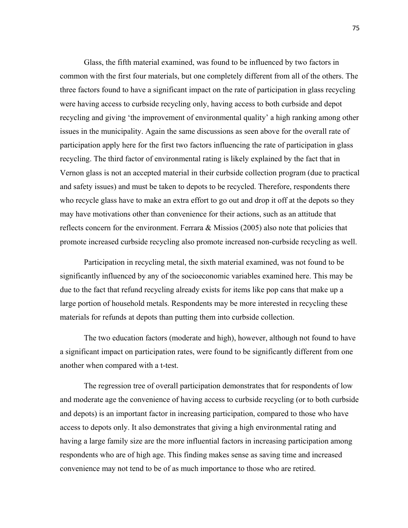Glass, the fifth material examined, was found to be influenced by two factors in common with the first four materials, but one completely different from all of the others. The three factors found to have a significant impact on the rate of participation in glass recycling were having access to curbside recycling only, having access to both curbside and depot recycling and giving 'the improvement of environmental quality' a high ranking among other issues in the municipality. Again the same discussions as seen above for the overall rate of participation apply here for the first two factors influencing the rate of participation in glass recycling. The third factor of environmental rating is likely explained by the fact that in Vernon glass is not an accepted material in their curbside collection program (due to practical and safety issues) and must be taken to depots to be recycled. Therefore, respondents there who recycle glass have to make an extra effort to go out and drop it off at the depots so they may have motivations other than convenience for their actions, such as an attitude that reflects concern for the environment. Ferrara & Missios (2005) also note that policies that promote increased curbside recycling also promote increased non-curbside recycling as well.

Participation in recycling metal, the sixth material examined, was not found to be significantly influenced by any of the socioeconomic variables examined here. This may be due to the fact that refund recycling already exists for items like pop cans that make up a large portion of household metals. Respondents may be more interested in recycling these materials for refunds at depots than putting them into curbside collection.

The two education factors (moderate and high), however, although not found to have a significant impact on participation rates, were found to be significantly different from one another when compared with a t-test.

The regression tree of overall participation demonstrates that for respondents of low and moderate age the convenience of having access to curbside recycling (or to both curbside and depots) is an important factor in increasing participation, compared to those who have access to depots only. It also demonstrates that giving a high environmental rating and having a large family size are the more influential factors in increasing participation among respondents who are of high age. This finding makes sense as saving time and increased convenience may not tend to be of as much importance to those who are retired.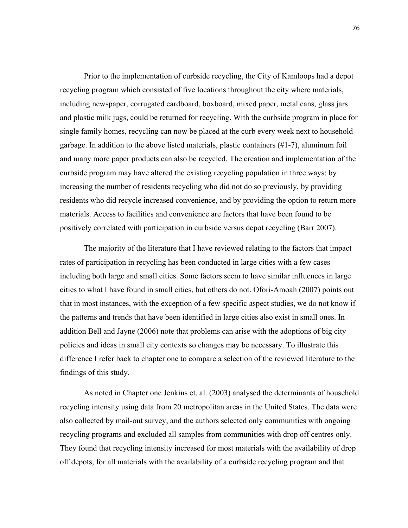Prior to the implementation of curbside recycling, the City of Kamloops had a depot recycling program which consisted of five locations throughout the city where materials, including newspaper, corrugated cardboard, boxboard, mixed paper, metal cans, glass jars and plastic milk jugs, could be returned for recycling. With the curbside program in place for single family homes, recycling can now be placed at the curb every week next to household garbage. In addition to the above listed materials, plastic containers (#1-7), aluminum foil and many more paper products can also be recycled. The creation and implementation of the curbside program may have altered the existing recycling population in three ways: by increasing the number of residents recycling who did not do so previously, by providing residents who did recycle increased convenience, and by providing the option to return more materials. Access to facilities and convenience are factors that have been found to be positively correlated with participation in curbside versus depot recycling (Barr 2007).

The majority of the literature that I have reviewed relating to the factors that impact rates of participation in recycling has been conducted in large cities with a few cases including both large and small cities. Some factors seem to have similar influences in large cities to what I have found in small cities, but others do not. Ofori-Amoah (2007) points out that in most instances, with the exception of a few specific aspect studies, we do not know if the patterns and trends that have been identified in large cities also exist in small ones. In addition Bell and Jayne (2006) note that problems can arise with the adoptions of big city policies and ideas in small city contexts so changes may be necessary. To illustrate this difference I refer back to chapter one to compare a selection of the reviewed literature to the findings of this study.

As noted in Chapter one Jenkins et. al. (2003) analysed the determinants of household recycling intensity using data from 20 metropolitan areas in the United States. The data were also collected by mail-out survey, and the authors selected only communities with ongoing recycling programs and excluded all samples from communities with drop off centres only. They found that recycling intensity increased for most materials with the availability of drop off depots, for all materials with the availability of a curbside recycling program and that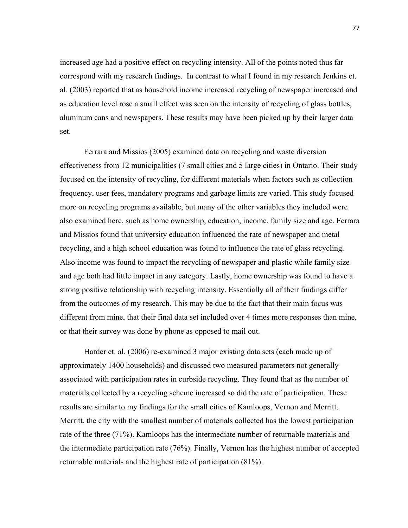increased age had a positive effect on recycling intensity. All of the points noted thus far correspond with my research findings. In contrast to what I found in my research Jenkins et. al. (2003) reported that as household income increased recycling of newspaper increased and as education level rose a small effect was seen on the intensity of recycling of glass bottles, aluminum cans and newspapers. These results may have been picked up by their larger data set.

Ferrara and Missios (2005) examined data on recycling and waste diversion effectiveness from 12 municipalities (7 small cities and 5 large cities) in Ontario. Their study focused on the intensity of recycling, for different materials when factors such as collection frequency, user fees, mandatory programs and garbage limits are varied. This study focused more on recycling programs available, but many of the other variables they included were also examined here, such as home ownership, education, income, family size and age. Ferrara and Missios found that university education influenced the rate of newspaper and metal recycling, and a high school education was found to influence the rate of glass recycling. Also income was found to impact the recycling of newspaper and plastic while family size and age both had little impact in any category. Lastly, home ownership was found to have a strong positive relationship with recycling intensity. Essentially all of their findings differ from the outcomes of my research. This may be due to the fact that their main focus was different from mine, that their final data set included over 4 times more responses than mine, or that their survey was done by phone as opposed to mail out.

Harder et. al. (2006) re-examined 3 major existing data sets (each made up of approximately 1400 households) and discussed two measured parameters not generally associated with participation rates in curbside recycling. They found that as the number of materials collected by a recycling scheme increased so did the rate of participation. These results are similar to my findings for the small cities of Kamloops, Vernon and Merritt. Merritt, the city with the smallest number of materials collected has the lowest participation rate of the three (71%). Kamloops has the intermediate number of returnable materials and the intermediate participation rate (76%). Finally, Vernon has the highest number of accepted returnable materials and the highest rate of participation (81%).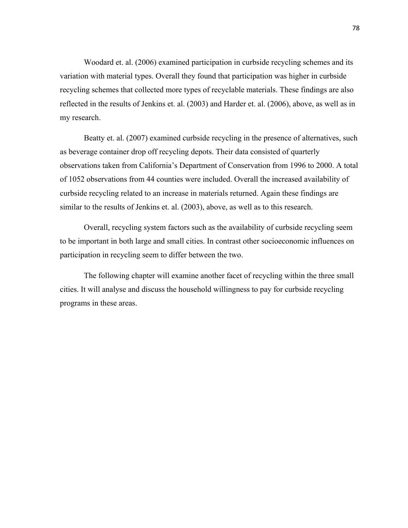Woodard et. al. (2006) examined participation in curbside recycling schemes and its variation with material types. Overall they found that participation was higher in curbside recycling schemes that collected more types of recyclable materials. These findings are also reflected in the results of Jenkins et. al. (2003) and Harder et. al. (2006), above, as well as in my research.

Beatty et. al. (2007) examined curbside recycling in the presence of alternatives, such as beverage container drop off recycling depots. Their data consisted of quarterly observations taken from California's Department of Conservation from 1996 to 2000. A total of 1052 observations from 44 counties were included. Overall the increased availability of curbside recycling related to an increase in materials returned. Again these findings are similar to the results of Jenkins et. al. (2003), above, as well as to this research.

Overall, recycling system factors such as the availability of curbside recycling seem to be important in both large and small cities. In contrast other socioeconomic influences on participation in recycling seem to differ between the two.

The following chapter will examine another facet of recycling within the three small cities. It will analyse and discuss the household willingness to pay for curbside recycling programs in these areas.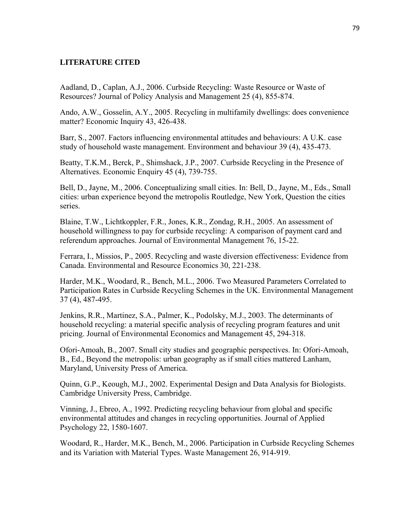## **LITERATURE CITED**

Aadland, D., Caplan, A.J., 2006. Curbside Recycling: Waste Resource or Waste of Resources? Journal of Policy Analysis and Management 25 (4), 855-874.

Ando, A.W., Gosselin, A.Y., 2005. Recycling in multifamily dwellings: does convenience matter? Economic Inquiry 43, 426-438.

Barr, S., 2007. Factors influencing environmental attitudes and behaviours: A U.K. case study of household waste management. Environment and behaviour 39 (4), 435-473.

Beatty, T.K.M., Berck, P., Shimshack, J.P., 2007. Curbside Recycling in the Presence of Alternatives. Economic Enquiry 45 (4), 739-755.

Bell, D., Jayne, M., 2006. Conceptualizing small cities. In: Bell, D., Jayne, M., Eds., Small cities: urban experience beyond the metropolis Routledge, New York, Question the cities series.

Blaine, T.W., Lichtkoppler, F.R., Jones, K.R., Zondag, R.H., 2005. An assessment of household willingness to pay for curbside recycling: A comparison of payment card and referendum approaches. Journal of Environmental Management 76, 15-22.

Ferrara, I., Missios, P., 2005. Recycling and waste diversion effectiveness: Evidence from Canada. Environmental and Resource Economics 30, 221-238.

Harder, M.K., Woodard, R., Bench, M.L., 2006. Two Measured Parameters Correlated to Participation Rates in Curbside Recycling Schemes in the UK. Environmental Management 37 (4), 487-495.

Jenkins, R.R., Martinez, S.A., Palmer, K., Podolsky, M.J., 2003. The determinants of household recycling: a material specific analysis of recycling program features and unit pricing. Journal of Environmental Economics and Management 45, 294-318.

Ofori-Amoah, B., 2007. Small city studies and geographic perspectives. In: Ofori-Amoah, B., Ed., Beyond the metropolis: urban geography as if small cities mattered Lanham, Maryland, University Press of America.

Quinn, G.P., Keough, M.J., 2002. Experimental Design and Data Analysis for Biologists. Cambridge University Press, Cambridge.

Vinning, J., Ebreo, A., 1992. Predicting recycling behaviour from global and specific environmental attitudes and changes in recycling opportunities. Journal of Applied Psychology 22, 1580-1607.

Woodard, R., Harder, M.K., Bench, M., 2006. Participation in Curbside Recycling Schemes and its Variation with Material Types. Waste Management 26, 914-919.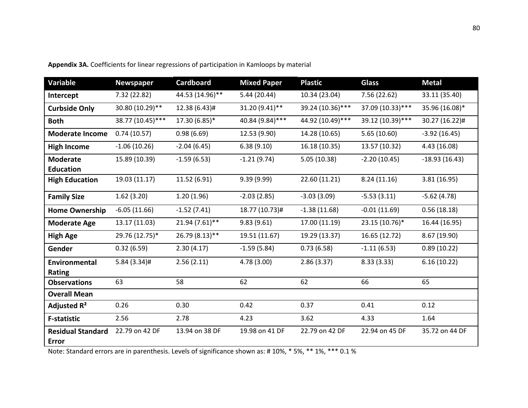| Variable                                 | <b>Newspaper</b> | <b>Cardboard</b> | <b>Mixed Paper</b> | <b>Plastic</b>   | <b>Glass</b>     | <b>Metal</b>    |
|------------------------------------------|------------------|------------------|--------------------|------------------|------------------|-----------------|
| Intercept                                | 7.32 (22.82)     | 44.53 (14.96)**  | 5.44(20.44)        | 10.34 (23.04)    | 7.56 (22.62)     | 33.11 (35.40)   |
| <b>Curbside Only</b>                     | 30.80 (10.29)**  | 12.38 (6.43)#    | 31.20 (9.41)**     | 39.24 (10.36)*** | 37.09 (10.33)*** | 35.96 (16.08)*  |
| <b>Both</b>                              | 38.77 (10.45)*** | 17.30 (6.85)*    | 40.84 (9.84)***    | 44.92 (10.49)*** | 39.12 (10.39)*** | 30.27 (16.22)#  |
| <b>Moderate Income</b>                   | 0.74(10.57)      | 0.98(6.69)       | 12.53 (9.90)       | 14.28 (10.65)    | 5.65(10.60)      | $-3.92(16.45)$  |
| <b>High Income</b>                       | $-1.06(10.26)$   | $-2.04(6.45)$    | 6.38(9.10)         | 16.18 (10.35)    | 13.57 (10.32)    | 4.43 (16.08)    |
| <b>Moderate</b>                          | 15.89 (10.39)    | $-1.59(6.53)$    | $-1.21(9.74)$      | 5.05(10.38)      | $-2.20(10.45)$   | $-18.93(16.43)$ |
| <b>Education</b>                         |                  |                  |                    |                  |                  |                 |
| <b>High Education</b>                    | 19.03 (11.17)    | 11.52 (6.91)     | 9.39 (9.99)        | 22.60 (11.21)    | 8.24(11.16)      | 3.81 (16.95)    |
| <b>Family Size</b>                       | 1.62(3.20)       | 1.20(1.96)       | $-2.03(2.85)$      | $-3.03(3.09)$    | $-5.53(3.11)$    | $-5.62(4.78)$   |
| <b>Home Ownership</b>                    | $-6.05(11.66)$   | $-1.52(7.41)$    | 18.77 (10.73)#     | $-1.38(11.68)$   | $-0.01(11.69)$   | 0.56(18.18)     |
| <b>Moderate Age</b>                      | 13.17 (11.03)    | 21.94 (7.61)**   | 9.83(9.61)         | 17.00 (11.19)    | 23.15 (10.76)*   | 16.44 (16.95)   |
| <b>High Age</b>                          | 29.76 (12.75)*   | 26.79 (8.13)**   | 19.51 (11.67)      | 19.29 (13.37)    | 16.65 (12.72)    | 8.67 (19.90)    |
| Gender                                   | 0.32(6.59)       | 2.30(4.17)       | $-1.59(5.84)$      | 0.73(6.58)       | $-1.11(6.53)$    | 0.89(10.22)     |
| Environmental<br>Rating                  | $5.84(3.34)$ #   | 2.56(2.11)       | 4.78 (3.00)        | 2.86(3.37)       | 8.33(3.33)       | 6.16(10.22)     |
| <b>Observations</b>                      | 63               | 58               | 62                 | 62               | 66               | 65              |
| <b>Overall Mean</b>                      |                  |                  |                    |                  |                  |                 |
| Adjusted R <sup>2</sup>                  | 0.26             | 0.30             | 0.42               | 0.37             | 0.41             | 0.12            |
| <b>F-statistic</b>                       | 2.56             | 2.78             | 4.23               | 3.62             | 4.33             | 1.64            |
| <b>Residual Standard</b><br><b>Error</b> | 22.79 on 42 DF   | 13.94 on 38 DF   | 19.98 on 41 DF     | 22.79 on 42 DF   | 22.94 on 45 DF   | 35.72 on 44 DF  |

**Appendix 3A.** Coefficients for linear regressions of participation in Kamloops by material

Note: Standard errors are in parenthesis. Levels of significance shown as: # 10%, \* 5%, \*\* 1%, \*\*\* 0.1 %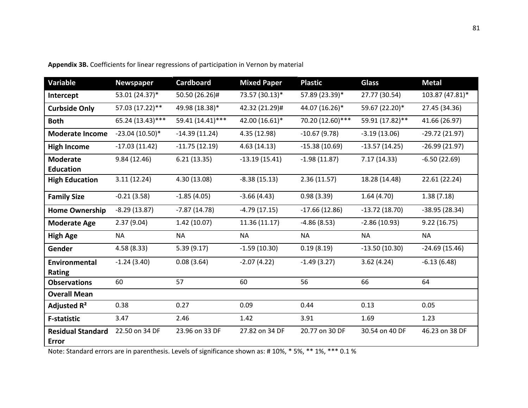| Variable                                 | <b>Newspaper</b> | <b>Cardboard</b> | <b>Mixed Paper</b> | <b>Plastic</b>   | <b>Glass</b>    | <b>Metal</b>    |
|------------------------------------------|------------------|------------------|--------------------|------------------|-----------------|-----------------|
| Intercept                                | 53.01 (24.37)*   | 50.50 (26.26)#   | 73.57 (30.13)*     | 57.89 (23.39)*   | 27.77 (30.54)   | 103.87 (47.81)* |
| <b>Curbside Only</b>                     | 57.03 (17.22)**  | 49.98 (18.38)*   | 42.32 (21.29)#     | 44.07 (16.26)*   | 59.67 (22.20)*  | 27.45 (34.36)   |
| <b>Both</b>                              | 65.24 (13.43)*** | 59.41 (14.41)*** | 42.00 (16.61)*     | 70.20 (12.60)*** | 59.91 (17.82)** | 41.66 (26.97)   |
| <b>Moderate Income</b>                   | $-23.04(10.50)*$ | $-14.39(11.24)$  | 4.35 (12.98)       | $-10.67(9.78)$   | $-3.19(13.06)$  | $-29.72(21.97)$ |
| <b>High Income</b>                       | $-17.03(11.42)$  | $-11.75(12.19)$  | 4.63(14.13)        | $-15.38(10.69)$  | $-13.57(14.25)$ | $-26.99(21.97)$ |
| <b>Moderate</b>                          | 9.84(12.46)      | 6.21(13.35)      | $-13.19(15.41)$    | $-1.98(11.87)$   | 7.17 (14.33)    | $-6.50(22.69)$  |
| <b>Education</b>                         |                  |                  |                    |                  |                 |                 |
| <b>High Education</b>                    | 3.11(12.24)      | 4.30 (13.08)     | $-8.38(15.13)$     | 2.36(11.57)      | 18.28 (14.48)   | 22.61 (22.24)   |
| <b>Family Size</b>                       | $-0.21(3.58)$    | $-1.85(4.05)$    | $-3.66(4.43)$      | 0.98(3.39)       | 1.64(4.70)      | 1.38(7.18)      |
| <b>Home Ownership</b>                    | $-8.29(13.87)$   | $-7.87(14.78)$   | $-4.79(17.15)$     | $-17.66(12.86)$  | $-13.72(18.70)$ | $-38.95(28.34)$ |
| <b>Moderate Age</b>                      | 2.37(9.04)       | 1.42(10.07)      | 11.36 (11.17)      | $-4.86(8.53)$    | $-2.86(10.93)$  | 9.22(16.75)     |
| <b>High Age</b>                          | <b>NA</b>        | <b>NA</b>        | <b>NA</b>          | <b>NA</b>        | <b>NA</b>       | <b>NA</b>       |
| Gender                                   | 4.58(8.33)       | 5.39(9.17)       | $-1.59(10.30)$     | 0.19(8.19)       | $-13.50(10.30)$ | $-24.69(15.46)$ |
| Environmental<br>Rating                  | $-1.24(3.40)$    | 0.08(3.64)       | $-2.07(4.22)$      | $-1.49(3.27)$    | 3.62(4.24)      | $-6.13(6.48)$   |
| <b>Observations</b>                      | 60               | 57               | 60                 | 56               | 66              | 64              |
| <b>Overall Mean</b>                      |                  |                  |                    |                  |                 |                 |
| Adjusted R <sup>2</sup>                  | 0.38             | 0.27             | 0.09               | 0.44             | 0.13            | 0.05            |
| <b>F-statistic</b>                       | 3.47             | 2.46             | 1.42               | 3.91             | 1.69            | 1.23            |
| <b>Residual Standard</b><br><b>Error</b> | 22.50 on 34 DF   | 23.96 on 33 DF   | 27.82 on 34 DF     | 20.77 on 30 DF   | 30.54 on 40 DF  | 46.23 on 38 DF  |

**Appendix 3B.** Coefficients for linear regressions of participation in Vernon by material

Note: Standard errors are in parenthesis. Levels of significance shown as: # 10%, \* 5%, \*\* 1%, \*\*\* 0.1 %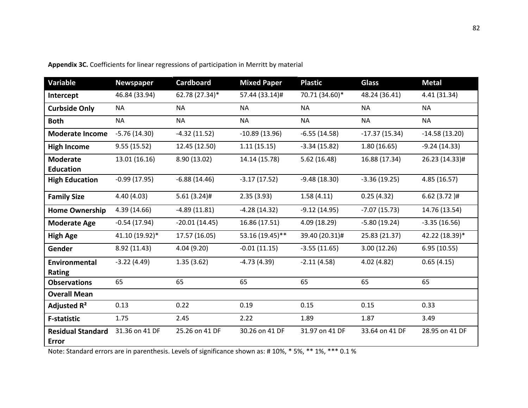| Variable                                 | <b>Newspaper</b> | <b>Cardboard</b> | <b>Mixed Paper</b> | <b>Plastic</b> | <b>Glass</b>    | <b>Metal</b>    |
|------------------------------------------|------------------|------------------|--------------------|----------------|-----------------|-----------------|
| Intercept                                | 46.84 (33.94)    | 62.78 (27.34)*   | 57.44 (33.14)#     | 70.71 (34.60)* | 48.24 (36.41)   | 4.41 (31.34)    |
| <b>Curbside Only</b>                     | <b>NA</b>        | <b>NA</b>        | <b>NA</b>          | <b>NA</b>      | <b>NA</b>       | <b>NA</b>       |
| <b>Both</b>                              | <b>NA</b>        | <b>NA</b>        | <b>NA</b>          | <b>NA</b>      | <b>NA</b>       | <b>NA</b>       |
| <b>Moderate Income</b>                   | $-5.76(14.30)$   | $-4.32(11.52)$   | $-10.89(13.96)$    | $-6.55(14.58)$ | $-17.37(15.34)$ | $-14.58(13.20)$ |
| <b>High Income</b>                       | 9.55(15.52)      | 12.45 (12.50)    | 1.11(15.15)        | $-3.34(15.82)$ | 1.80(16.65)     | $-9.24(14.33)$  |
| <b>Moderate</b><br><b>Education</b>      | 13.01 (16.16)    | 8.90 (13.02)     | 14.14 (15.78)      | 5.62(16.48)    | 16.88 (17.34)   | 26.23 (14.33)#  |
| <b>High Education</b>                    | $-0.99(17.95)$   | $-6.88(14.46)$   | $-3.17(17.52)$     | $-9.48(18.30)$ | $-3.36(19.25)$  | 4.85 (16.57)    |
| <b>Family Size</b>                       | 4.40 (4.03)      | $5.61(3.24)$ #   | 2.35(3.93)         | 1.58(4.11)     | 0.25(4.32)      | $6.62(3.72)$ #  |
| <b>Home Ownership</b>                    | 4.39 (14.66)     | $-4.89(11.81)$   | $-4.28(14.32)$     | $-9.12(14.95)$ | $-7.07(15.73)$  | 14.76 (13.54)   |
| <b>Moderate Age</b>                      | $-0.54(17.94)$   | $-20.01(14.45)$  | 16.86 (17.51)      | 4.09 (18.29)   | $-5.80(19.24)$  | $-3.35(16.56)$  |
| <b>High Age</b>                          | 41.10 (19.92)*   | 17.57 (16.05)    | 53.16 (19.45)**    | 39.40 (20.31)# | 25.83 (21.37)   | 42.22 (18.39)*  |
| Gender                                   | 8.92 (11.43)     | 4.04 (9.20)      | $-0.01(11.15)$     | $-3.55(11.65)$ | 3.00(12.26)     | 6.95(10.55)     |
| <b>Environmental</b><br>Rating           | $-3.22(4.49)$    | 1.35(3.62)       | $-4.73(4.39)$      | $-2.11(4.58)$  | 4.02 (4.82)     | 0.65(4.15)      |
| <b>Observations</b>                      | 65               | 65               | 65                 | 65             | 65              | 65              |
| <b>Overall Mean</b>                      |                  |                  |                    |                |                 |                 |
| Adjusted R <sup>2</sup>                  | 0.13             | 0.22             | 0.19               | 0.15           | 0.15            | 0.33            |
| <b>F-statistic</b>                       | 1.75             | 2.45             | 2.22               | 1.89           | 1.87            | 3.49            |
| <b>Residual Standard</b><br><b>Error</b> | 31.36 on 41 DF   | 25.26 on 41 DF   | 30.26 on 41 DF     | 31.97 on 41 DF | 33.64 on 41 DF  | 28.95 on 41 DF  |

**Appendix 3C.** Coefficients for linear regressions of participation in Merritt by material

Note: Standard errors are in parenthesis. Levels of significance shown as: # 10%, \* 5%, \*\* 1%, \*\*\* 0.1 %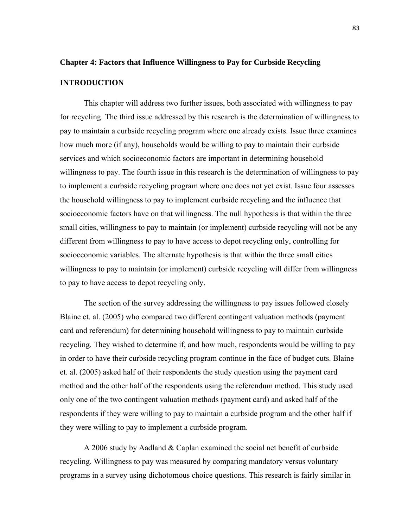# **Chapter 4: Factors that Influence Willingness to Pay for Curbside Recycling**

## **INTRODUCTION**

This chapter will address two further issues, both associated with willingness to pay for recycling. The third issue addressed by this research is the determination of willingness to pay to maintain a curbside recycling program where one already exists. Issue three examines how much more (if any), households would be willing to pay to maintain their curbside services and which socioeconomic factors are important in determining household willingness to pay. The fourth issue in this research is the determination of willingness to pay to implement a curbside recycling program where one does not yet exist. Issue four assesses the household willingness to pay to implement curbside recycling and the influence that socioeconomic factors have on that willingness. The null hypothesis is that within the three small cities, willingness to pay to maintain (or implement) curbside recycling will not be any different from willingness to pay to have access to depot recycling only, controlling for socioeconomic variables. The alternate hypothesis is that within the three small cities willingness to pay to maintain (or implement) curbside recycling will differ from willingness to pay to have access to depot recycling only.

The section of the survey addressing the willingness to pay issues followed closely Blaine et. al. (2005) who compared two different contingent valuation methods (payment card and referendum) for determining household willingness to pay to maintain curbside recycling. They wished to determine if, and how much, respondents would be willing to pay in order to have their curbside recycling program continue in the face of budget cuts. Blaine et. al. (2005) asked half of their respondents the study question using the payment card method and the other half of the respondents using the referendum method. This study used only one of the two contingent valuation methods (payment card) and asked half of the respondents if they were willing to pay to maintain a curbside program and the other half if they were willing to pay to implement a curbside program.

A 2006 study by Aadland & Caplan examined the social net benefit of curbside recycling. Willingness to pay was measured by comparing mandatory versus voluntary programs in a survey using dichotomous choice questions. This research is fairly similar in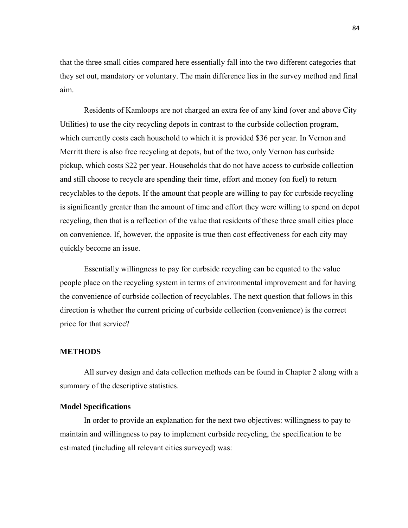that the three small cities compared here essentially fall into the two different categories that they set out, mandatory or voluntary. The main difference lies in the survey method and final aim.

Residents of Kamloops are not charged an extra fee of any kind (over and above City Utilities) to use the city recycling depots in contrast to the curbside collection program, which currently costs each household to which it is provided \$36 per year. In Vernon and Merritt there is also free recycling at depots, but of the two, only Vernon has curbside pickup, which costs \$22 per year. Households that do not have access to curbside collection and still choose to recycle are spending their time, effort and money (on fuel) to return recyclables to the depots. If the amount that people are willing to pay for curbside recycling is significantly greater than the amount of time and effort they were willing to spend on depot recycling, then that is a reflection of the value that residents of these three small cities place on convenience. If, however, the opposite is true then cost effectiveness for each city may quickly become an issue.

Essentially willingness to pay for curbside recycling can be equated to the value people place on the recycling system in terms of environmental improvement and for having the convenience of curbside collection of recyclables. The next question that follows in this direction is whether the current pricing of curbside collection (convenience) is the correct price for that service?

## **METHODS**

All survey design and data collection methods can be found in Chapter 2 along with a summary of the descriptive statistics.

### **Model Specifications**

 In order to provide an explanation for the next two objectives: willingness to pay to maintain and willingness to pay to implement curbside recycling, the specification to be estimated (including all relevant cities surveyed) was: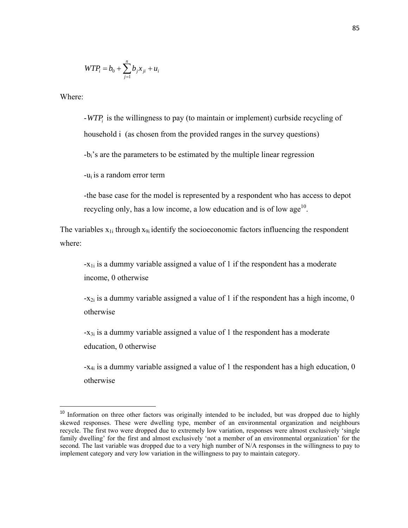$$
WTP_i = b_0 + \sum_{j=1}^{n} b_j x_{ji} + u_i
$$

Where:

-*WTPi* is the willingness to pay (to maintain or implement) curbside recycling of household i (as chosen from the provided ranges in the survey questions)

-bi's are the parameters to be estimated by the multiple linear regression

-ui is a random error term

-the base case for the model is represented by a respondent who has access to depot recycling only, has a low income, a low education and is of low  $age<sup>10</sup>$ .

The variables  $x_{1i}$  through  $x_{9i}$  identify the socioeconomic factors influencing the respondent where:

 $-x_{1i}$  is a dummy variable assigned a value of 1 if the respondent has a moderate income, 0 otherwise

 $-x_{2i}$  is a dummy variable assigned a value of 1 if the respondent has a high income, 0 otherwise

 $-x_{3i}$  is a dummy variable assigned a value of 1 the respondent has a moderate education, 0 otherwise

-x4i is a dummy variable assigned a value of 1 the respondent has a high education, 0 otherwise

<sup>&</sup>lt;sup>10</sup> Information on three other factors was originally intended to be included, but was dropped due to highly skewed responses. These were dwelling type, member of an environmental organization and neighbours recycle. The first two were dropped due to extremely low variation, responses were almost exclusively 'single family dwelling' for the first and almost exclusively 'not a member of an environmental organization' for the second. The last variable was dropped due to a very high number of N/A responses in the willingness to pay to implement category and very low variation in the willingness to pay to maintain category.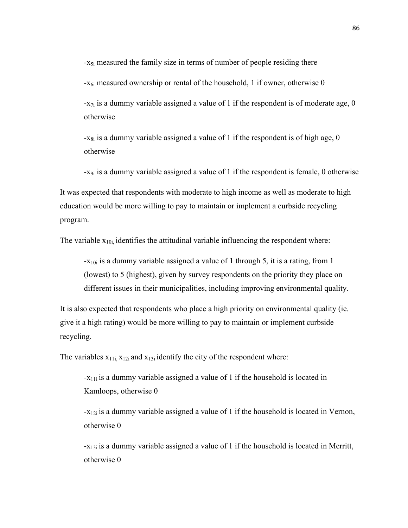-x<sub>5i</sub> measured the family size in terms of number of people residing there  $-x_{6i}$  measured ownership or rental of the household, 1 if owner, otherwise 0  $-x_{7i}$  is a dummy variable assigned a value of 1 if the respondent is of moderate age, 0 otherwise

 $-x_{8i}$  is a dummy variable assigned a value of 1 if the respondent is of high age, 0 otherwise

-x9i is a dummy variable assigned a value of 1 if the respondent is female, 0 otherwise

It was expected that respondents with moderate to high income as well as moderate to high education would be more willing to pay to maintain or implement a curbside recycling program.

The variable  $x_{10i}$  identifies the attitudinal variable influencing the respondent where:

 $-x_{10i}$  is a dummy variable assigned a value of 1 through 5, it is a rating, from 1 (lowest) to 5 (highest), given by survey respondents on the priority they place on different issues in their municipalities, including improving environmental quality.

It is also expected that respondents who place a high priority on environmental quality (ie. give it a high rating) would be more willing to pay to maintain or implement curbside recycling.

The variables  $x_{11i}$ ,  $x_{12i}$  and  $x_{13i}$  identify the city of the respondent where:

-x11i is a dummy variable assigned a value of 1 if the household is located in Kamloops, otherwise 0

 $-x_{12i}$  is a dummy variable assigned a value of 1 if the household is located in Vernon, otherwise 0

 $-x_{13i}$  is a dummy variable assigned a value of 1 if the household is located in Merritt, otherwise 0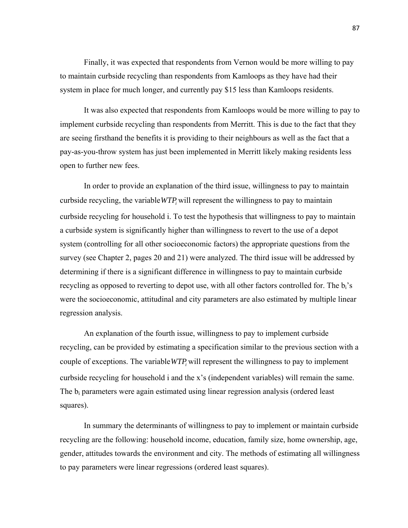Finally, it was expected that respondents from Vernon would be more willing to pay to maintain curbside recycling than respondents from Kamloops as they have had their system in place for much longer, and currently pay \$15 less than Kamloops residents.

It was also expected that respondents from Kamloops would be more willing to pay to implement curbside recycling than respondents from Merritt. This is due to the fact that they are seeing firsthand the benefits it is providing to their neighbours as well as the fact that a pay-as-you-throw system has just been implemented in Merritt likely making residents less open to further new fees.

In order to provide an explanation of the third issue, willingness to pay to maintain curbside recycling, the variable *WTP* will represent the willingness to pay to maintain curbside recycling for household i. To test the hypothesis that willingness to pay to maintain a curbside system is significantly higher than willingness to revert to the use of a depot system (controlling for all other socioeconomic factors) the appropriate questions from the survey (see Chapter 2, pages 20 and 21) were analyzed. The third issue will be addressed by determining if there is a significant difference in willingness to pay to maintain curbside recycling as opposed to reverting to depot use, with all other factors controlled for. The  $b_i$ 's were the socioeconomic, attitudinal and city parameters are also estimated by multiple linear regression analysis.

An explanation of the fourth issue, willingness to pay to implement curbside recycling, can be provided by estimating a specification similar to the previous section with a couple of exceptions. The variable *WTP*, will represent the willingness to pay to implement curbside recycling for household i and the x's (independent variables) will remain the same. The  $b_i$  parameters were again estimated using linear regression analysis (ordered least squares).

In summary the determinants of willingness to pay to implement or maintain curbside recycling are the following: household income, education, family size, home ownership, age, gender, attitudes towards the environment and city. The methods of estimating all willingness to pay parameters were linear regressions (ordered least squares).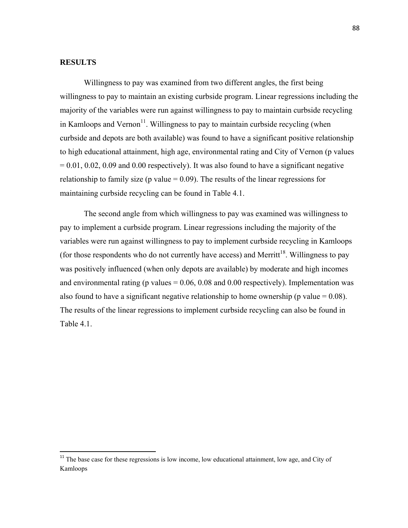## **RESULTS**

 Willingness to pay was examined from two different angles, the first being willingness to pay to maintain an existing curbside program. Linear regressions including the majority of the variables were run against willingness to pay to maintain curbside recycling in Kamloops and Vernon<sup>11</sup>. Willingness to pay to maintain curbside recycling (when curbside and depots are both available) was found to have a significant positive relationship to high educational attainment, high age, environmental rating and City of Vernon (p values  $= 0.01, 0.02, 0.09$  and 0.00 respectively). It was also found to have a significant negative relationship to family size (p value  $= 0.09$ ). The results of the linear regressions for maintaining curbside recycling can be found in Table 4.1.

The second angle from which willingness to pay was examined was willingness to pay to implement a curbside program. Linear regressions including the majority of the variables were run against willingness to pay to implement curbside recycling in Kamloops (for those respondents who do not currently have access) and Merritt<sup>18</sup>. Willingness to pay was positively influenced (when only depots are available) by moderate and high incomes and environmental rating (p values  $= 0.06, 0.08$  and 0.00 respectively). Implementation was also found to have a significant negative relationship to home ownership (p value  $= 0.08$ ). The results of the linear regressions to implement curbside recycling can also be found in Table 4.1

 $11$ <sup>11</sup> The base case for these regressions is low income, low educational attainment, low age, and City of Kamloops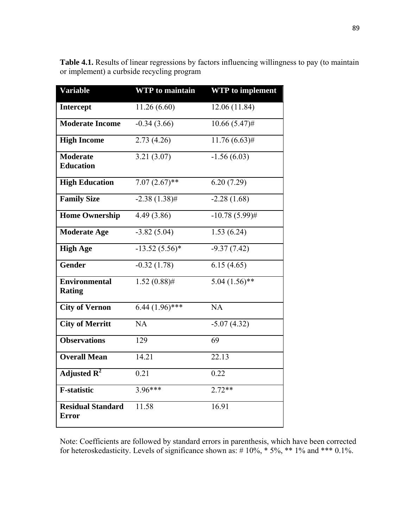| <b>Variable</b>                          | <b>WTP</b> to maintain | <b>WTP</b> to implement  |
|------------------------------------------|------------------------|--------------------------|
| <b>Intercept</b>                         | 11.26 (6.60)           | 12.06 (11.84)            |
| <b>Moderate Income</b>                   | $-0.34(3.66)$          | $10.66(5.47)$ #          |
| <b>High Income</b>                       | 2.73(4.26)             | $11.76(6.63)$ #          |
| <b>Moderate</b><br><b>Education</b>      | 3.21(3.07)             | $-1.56(6.\overline{03})$ |
| <b>High Education</b>                    | $7.07(2.67)$ **        | 6.20(7.29)               |
| <b>Family Size</b>                       | $-2.38(1.38)$ #        | $-2.28(1.68)$            |
| <b>Home Ownership</b>                    | 4.49(3.86)             | $-10.78(5.99)$ #         |
| <b>Moderate Age</b>                      | $-3.82(5.04)$          | 1.53(6.24)               |
| <b>High Age</b>                          | $-13.52(5.56)$ *       | $-9.37(7.42)$            |
| Gender                                   | $-0.32(1.78)$          | 6.15(4.65)               |
| <b>Environmental</b><br><b>Rating</b>    | $1.52(0.88)$ #         | $5.04(1.56)$ **          |
| <b>City of Vernon</b>                    | $6.44(1.96)$ ***       | NA                       |
| <b>City of Merritt</b>                   | NA                     | $-5.07(4.32)$            |
| <b>Observations</b>                      | 129                    | 69                       |
| <b>Overall Mean</b>                      | 14.21                  | 22.13                    |
| Adjusted $R^2$                           | 0.21                   | 0.22                     |
| <b>F-statistic</b>                       | $3.96***$              | $2.72**$                 |
| <b>Residual Standard</b><br><b>Error</b> | $\overline{11.58}$     | 16.91                    |

**Table 4.1.** Results of linear regressions by factors influencing willingness to pay (to maintain or implement) a curbside recycling program

Note: Coefficients are followed by standard errors in parenthesis, which have been corrected for heteroskedasticity. Levels of significance shown as:  $# 10\%, * 5\%, ** 1\%$  and \*\*\* 0.1%.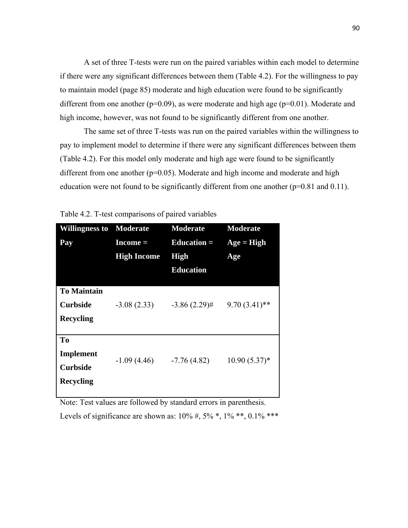A set of three T-tests were run on the paired variables within each model to determine if there were any significant differences between them (Table 4.2). For the willingness to pay to maintain model (page 85) moderate and high education were found to be significantly different from one another ( $p=0.09$ ), as were moderate and high age ( $p=0.01$ ). Moderate and high income, however, was not found to be significantly different from one another.

The same set of three T-tests was run on the paired variables within the willingness to pay to implement model to determine if there were any significant differences between them (Table 4.2). For this model only moderate and high age were found to be significantly different from one another  $(p=0.05)$ . Moderate and high income and moderate and high education were not found to be significantly different from one another  $(p=0.81$  and 0.11).

| <b>Willingness to</b><br>Pay                                  | Moderate<br>$Income =$<br><b>High Income</b> | <b>Moderate</b><br>Education $=$<br><b>High</b><br><b>Education</b> | <b>Moderate</b><br>$Age = High$<br>Age |
|---------------------------------------------------------------|----------------------------------------------|---------------------------------------------------------------------|----------------------------------------|
| <b>To Maintain</b><br><b>Curbside</b><br><b>Recycling</b>     | $-3.08(2.33)$                                | $-3.86(2.29)$ #                                                     | $9.70(3.41)$ **                        |
| To<br><b>Implement</b><br><b>Curbside</b><br><b>Recycling</b> | $-1.09(4.46)$                                | $-7.76(4.82)$                                                       | $10.90(5.37)$ *                        |

Table 4.2. T-test comparisons of paired variables

Note: Test values are followed by standard errors in parenthesis. Levels of significance are shown as:  $10\%$  #,  $5\%$  \*,  $1\%$  \*\*,  $0.1\%$  \*\*\*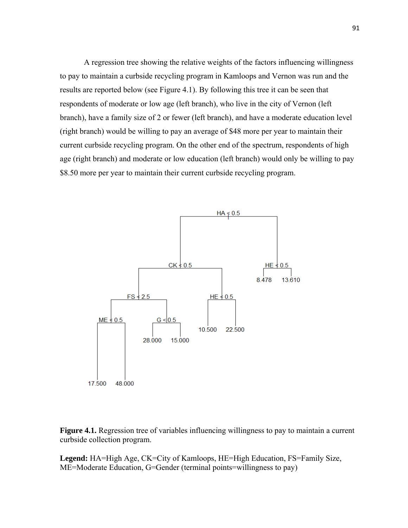A regression tree showing the relative weights of the factors influencing willingness to pay to maintain a curbside recycling program in Kamloops and Vernon was run and the results are reported below (see Figure 4.1). By following this tree it can be seen that respondents of moderate or low age (left branch), who live in the city of Vernon (left branch), have a family size of 2 or fewer (left branch), and have a moderate education level (right branch) would be willing to pay an average of \$48 more per year to maintain their current curbside recycling program. On the other end of the spectrum, respondents of high age (right branch) and moderate or low education (left branch) would only be willing to pay \$8.50 more per year to maintain their current curbside recycling program.



**Figure 4.1.** Regression tree of variables influencing willingness to pay to maintain a current curbside collection program.

**Legend:** HA=High Age, CK=City of Kamloops, HE=High Education, FS=Family Size, ME=Moderate Education, G=Gender (terminal points=willingness to pay)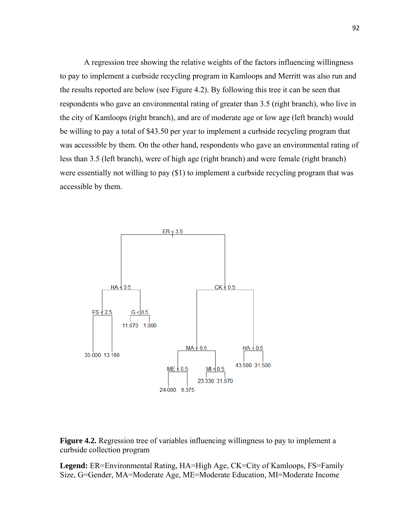A regression tree showing the relative weights of the factors influencing willingness to pay to implement a curbside recycling program in Kamloops and Merritt was also run and the results reported are below (see Figure 4.2). By following this tree it can be seen that respondents who gave an environmental rating of greater than 3.5 (right branch), who live in the city of Kamloops (right branch), and are of moderate age or low age (left branch) would be willing to pay a total of \$43.50 per year to implement a curbside recycling program that was accessible by them. On the other hand, respondents who gave an environmental rating of less than 3.5 (left branch), were of high age (right branch) and were female (right branch) were essentially not willing to pay (\$1) to implement a curbside recycling program that was accessible by them.



**Figure 4.2.** Regression tree of variables influencing willingness to pay to implement a curbside collection program

**Legend:** ER=Environmental Rating, HA=High Age, CK=City of Kamloops, FS=Family Size, G=Gender, MA=Moderate Age, ME=Moderate Education, MI=Moderate Income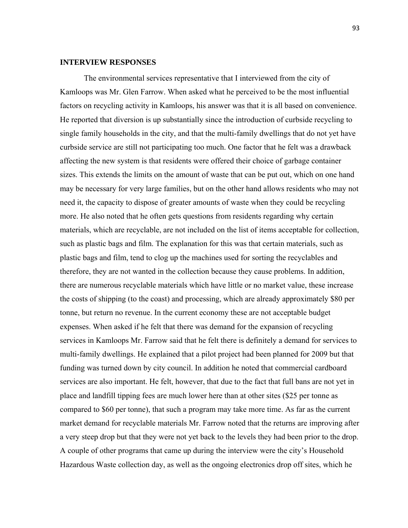## **INTERVIEW RESPONSES**

The environmental services representative that I interviewed from the city of Kamloops was Mr. Glen Farrow. When asked what he perceived to be the most influential factors on recycling activity in Kamloops, his answer was that it is all based on convenience. He reported that diversion is up substantially since the introduction of curbside recycling to single family households in the city, and that the multi-family dwellings that do not yet have curbside service are still not participating too much. One factor that he felt was a drawback affecting the new system is that residents were offered their choice of garbage container sizes. This extends the limits on the amount of waste that can be put out, which on one hand may be necessary for very large families, but on the other hand allows residents who may not need it, the capacity to dispose of greater amounts of waste when they could be recycling more. He also noted that he often gets questions from residents regarding why certain materials, which are recyclable, are not included on the list of items acceptable for collection, such as plastic bags and film. The explanation for this was that certain materials, such as plastic bags and film, tend to clog up the machines used for sorting the recyclables and therefore, they are not wanted in the collection because they cause problems. In addition, there are numerous recyclable materials which have little or no market value, these increase the costs of shipping (to the coast) and processing, which are already approximately \$80 per tonne, but return no revenue. In the current economy these are not acceptable budget expenses. When asked if he felt that there was demand for the expansion of recycling services in Kamloops Mr. Farrow said that he felt there is definitely a demand for services to multi-family dwellings. He explained that a pilot project had been planned for 2009 but that funding was turned down by city council. In addition he noted that commercial cardboard services are also important. He felt, however, that due to the fact that full bans are not yet in place and landfill tipping fees are much lower here than at other sites (\$25 per tonne as compared to \$60 per tonne), that such a program may take more time. As far as the current market demand for recyclable materials Mr. Farrow noted that the returns are improving after a very steep drop but that they were not yet back to the levels they had been prior to the drop. A couple of other programs that came up during the interview were the city's Household Hazardous Waste collection day, as well as the ongoing electronics drop off sites, which he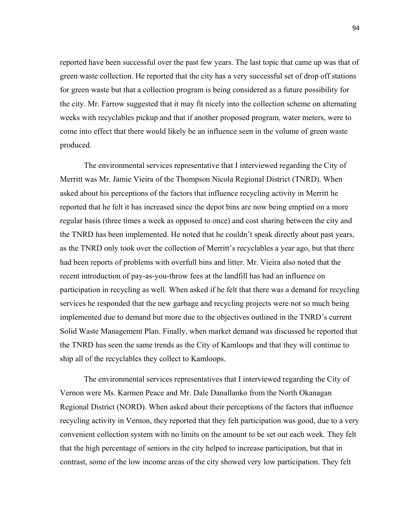reported have been successful over the past few years. The last topic that came up was that of green waste collection. He reported that the city has a very successful set of drop off stations for green waste but that a collection program is being considered as a future possibility for the city. Mr. Farrow suggested that it may fit nicely into the collection scheme on alternating weeks with recyclables pickup and that if another proposed program, water meters, were to come into effect that there would likely be an influence seen in the volume of green waste produced.

 The environmental services representative that I interviewed regarding the City of Merritt was Mr. Jamie Vieira of the Thompson Nicola Regional District (TNRD). When asked about his perceptions of the factors that influence recycling activity in Merritt he reported that he felt it has increased since the depot bins are now being emptied on a more regular basis (three times a week as opposed to once) and cost sharing between the city and the TNRD has been implemented. He noted that he couldn't speak directly about past years, as the TNRD only took over the collection of Merritt's recyclables a year ago, but that there had been reports of problems with overfull bins and litter. Mr. Vieira also noted that the recent introduction of pay-as-you-throw fees at the landfill has had an influence on participation in recycling as well. When asked if he felt that there was a demand for recycling services he responded that the new garbage and recycling projects were not so much being implemented due to demand but more due to the objectives outlined in the TNRD's current Solid Waste Management Plan. Finally, when market demand was discussed he reported that the TNRD has seen the same trends as the City of Kamloops and that they will continue to ship all of the recyclables they collect to Kamloops.

 The environmental services representatives that I interviewed regarding the City of Vernon were Ms. Karmen Peace and Mr. Dale Danallanko from the North Okanagan Regional District (NORD). When asked about their perceptions of the factors that influence recycling activity in Vernon, they reported that they felt participation was good, due to a very convenient collection system with no limits on the amount to be set out each week. They felt that the high percentage of seniors in the city helped to increase participation, but that in contrast, some of the low income areas of the city showed very low participation. They felt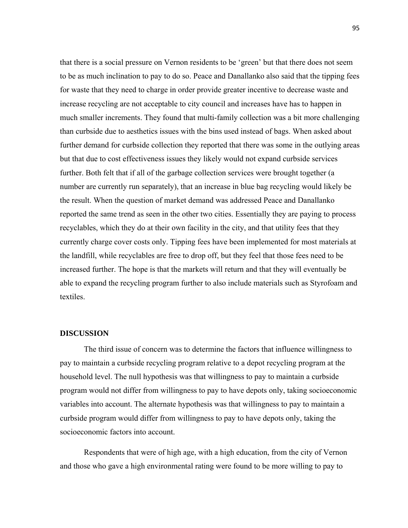that there is a social pressure on Vernon residents to be 'green' but that there does not seem to be as much inclination to pay to do so. Peace and Danallanko also said that the tipping fees for waste that they need to charge in order provide greater incentive to decrease waste and increase recycling are not acceptable to city council and increases have has to happen in much smaller increments. They found that multi-family collection was a bit more challenging than curbside due to aesthetics issues with the bins used instead of bags. When asked about further demand for curbside collection they reported that there was some in the outlying areas but that due to cost effectiveness issues they likely would not expand curbside services further. Both felt that if all of the garbage collection services were brought together (a number are currently run separately), that an increase in blue bag recycling would likely be the result. When the question of market demand was addressed Peace and Danallanko reported the same trend as seen in the other two cities. Essentially they are paying to process recyclables, which they do at their own facility in the city, and that utility fees that they currently charge cover costs only. Tipping fees have been implemented for most materials at the landfill, while recyclables are free to drop off, but they feel that those fees need to be increased further. The hope is that the markets will return and that they will eventually be able to expand the recycling program further to also include materials such as Styrofoam and textiles.

### **DISCUSSION**

The third issue of concern was to determine the factors that influence willingness to pay to maintain a curbside recycling program relative to a depot recycling program at the household level. The null hypothesis was that willingness to pay to maintain a curbside program would not differ from willingness to pay to have depots only, taking socioeconomic variables into account. The alternate hypothesis was that willingness to pay to maintain a curbside program would differ from willingness to pay to have depots only, taking the socioeconomic factors into account.

Respondents that were of high age, with a high education, from the city of Vernon and those who gave a high environmental rating were found to be more willing to pay to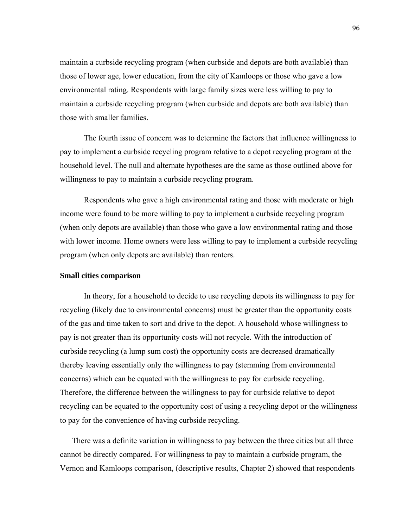maintain a curbside recycling program (when curbside and depots are both available) than those of lower age, lower education, from the city of Kamloops or those who gave a low environmental rating. Respondents with large family sizes were less willing to pay to maintain a curbside recycling program (when curbside and depots are both available) than those with smaller families.

The fourth issue of concern was to determine the factors that influence willingness to pay to implement a curbside recycling program relative to a depot recycling program at the household level. The null and alternate hypotheses are the same as those outlined above for willingness to pay to maintain a curbside recycling program.

Respondents who gave a high environmental rating and those with moderate or high income were found to be more willing to pay to implement a curbside recycling program (when only depots are available) than those who gave a low environmental rating and those with lower income. Home owners were less willing to pay to implement a curbside recycling program (when only depots are available) than renters.

### **Small cities comparison**

In theory, for a household to decide to use recycling depots its willingness to pay for recycling (likely due to environmental concerns) must be greater than the opportunity costs of the gas and time taken to sort and drive to the depot. A household whose willingness to pay is not greater than its opportunity costs will not recycle. With the introduction of curbside recycling (a lump sum cost) the opportunity costs are decreased dramatically thereby leaving essentially only the willingness to pay (stemming from environmental concerns) which can be equated with the willingness to pay for curbside recycling. Therefore, the difference between the willingness to pay for curbside relative to depot recycling can be equated to the opportunity cost of using a recycling depot or the willingness to pay for the convenience of having curbside recycling.

There was a definite variation in willingness to pay between the three cities but all three cannot be directly compared. For willingness to pay to maintain a curbside program, the Vernon and Kamloops comparison, (descriptive results, Chapter 2) showed that respondents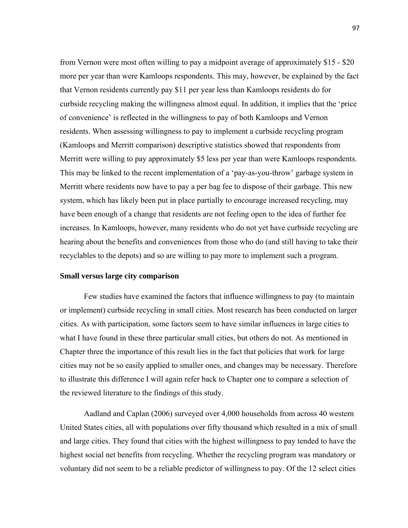from Vernon were most often willing to pay a midpoint average of approximately \$15 - \$20 more per year than were Kamloops respondents. This may, however, be explained by the fact that Vernon residents currently pay \$11 per year less than Kamloops residents do for curbside recycling making the willingness almost equal. In addition, it implies that the 'price of convenience' is reflected in the willingness to pay of both Kamloops and Vernon residents. When assessing willingness to pay to implement a curbside recycling program (Kamloops and Merritt comparison) descriptive statistics showed that respondents from Merritt were willing to pay approximately \$5 less per year than were Kamloops respondents. This may be linked to the recent implementation of a 'pay-as-you-throw' garbage system in Merritt where residents now have to pay a per bag fee to dispose of their garbage. This new system, which has likely been put in place partially to encourage increased recycling, may have been enough of a change that residents are not feeling open to the idea of further fee increases. In Kamloops, however, many residents who do not yet have curbside recycling are hearing about the benefits and conveniences from those who do (and still having to take their recyclables to the depots) and so are willing to pay more to implement such a program.

### **Small versus large city comparison**

Few studies have examined the factors that influence willingness to pay (to maintain or implement) curbside recycling in small cities. Most research has been conducted on larger cities. As with participation, some factors seem to have similar influences in large cities to what I have found in these three particular small cities, but others do not. As mentioned in Chapter three the importance of this result lies in the fact that policies that work for large cities may not be so easily applied to smaller ones, and changes may be necessary. Therefore to illustrate this difference I will again refer back to Chapter one to compare a selection of the reviewed literature to the findings of this study.

Aadland and Caplan (2006) surveyed over 4,000 households from across 40 western United States cities, all with populations over fifty thousand which resulted in a mix of small and large cities. They found that cities with the highest willingness to pay tended to have the highest social net benefits from recycling. Whether the recycling program was mandatory or voluntary did not seem to be a reliable predictor of willingness to pay. Of the 12 select cities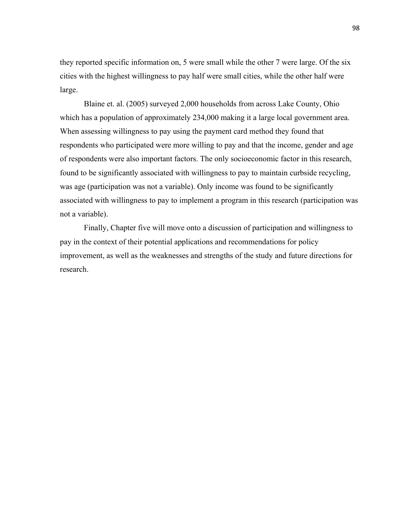they reported specific information on, 5 were small while the other 7 were large. Of the six cities with the highest willingness to pay half were small cities, while the other half were large.

Blaine et. al. (2005) surveyed 2,000 households from across Lake County, Ohio which has a population of approximately 234,000 making it a large local government area. When assessing willingness to pay using the payment card method they found that respondents who participated were more willing to pay and that the income, gender and age of respondents were also important factors. The only socioeconomic factor in this research, found to be significantly associated with willingness to pay to maintain curbside recycling, was age (participation was not a variable). Only income was found to be significantly associated with willingness to pay to implement a program in this research (participation was not a variable).

Finally, Chapter five will move onto a discussion of participation and willingness to pay in the context of their potential applications and recommendations for policy improvement, as well as the weaknesses and strengths of the study and future directions for research.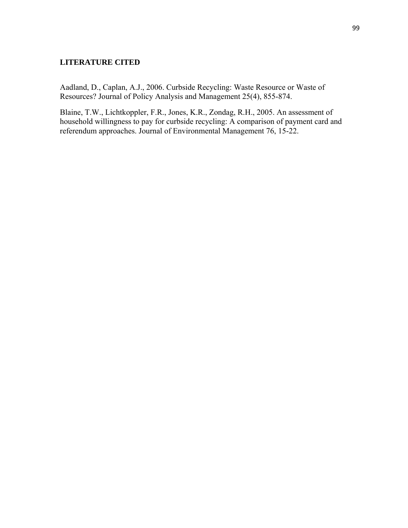## **LITERATURE CITED**

Aadland, D., Caplan, A.J., 2006. Curbside Recycling: Waste Resource or Waste of Resources? Journal of Policy Analysis and Management 25(4), 855-874.

Blaine, T.W., Lichtkoppler, F.R., Jones, K.R., Zondag, R.H., 2005. An assessment of household willingness to pay for curbside recycling: A comparison of payment card and referendum approaches. Journal of Environmental Management 76, 15-22.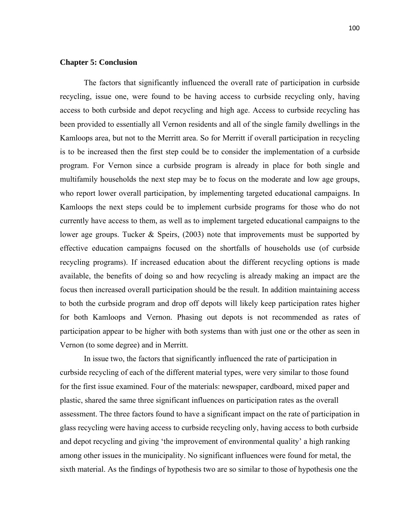## **Chapter 5: Conclusion**

The factors that significantly influenced the overall rate of participation in curbside recycling, issue one, were found to be having access to curbside recycling only, having access to both curbside and depot recycling and high age. Access to curbside recycling has been provided to essentially all Vernon residents and all of the single family dwellings in the Kamloops area, but not to the Merritt area. So for Merritt if overall participation in recycling is to be increased then the first step could be to consider the implementation of a curbside program. For Vernon since a curbside program is already in place for both single and multifamily households the next step may be to focus on the moderate and low age groups, who report lower overall participation, by implementing targeted educational campaigns. In Kamloops the next steps could be to implement curbside programs for those who do not currently have access to them, as well as to implement targeted educational campaigns to the lower age groups. Tucker & Speirs, (2003) note that improvements must be supported by effective education campaigns focused on the shortfalls of households use (of curbside recycling programs). If increased education about the different recycling options is made available, the benefits of doing so and how recycling is already making an impact are the focus then increased overall participation should be the result. In addition maintaining access to both the curbside program and drop off depots will likely keep participation rates higher for both Kamloops and Vernon. Phasing out depots is not recommended as rates of participation appear to be higher with both systems than with just one or the other as seen in Vernon (to some degree) and in Merritt.

In issue two, the factors that significantly influenced the rate of participation in curbside recycling of each of the different material types, were very similar to those found for the first issue examined. Four of the materials: newspaper, cardboard, mixed paper and plastic, shared the same three significant influences on participation rates as the overall assessment. The three factors found to have a significant impact on the rate of participation in glass recycling were having access to curbside recycling only, having access to both curbside and depot recycling and giving 'the improvement of environmental quality' a high ranking among other issues in the municipality. No significant influences were found for metal, the sixth material. As the findings of hypothesis two are so similar to those of hypothesis one the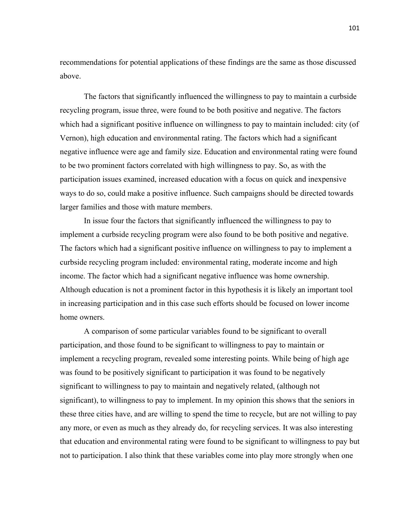recommendations for potential applications of these findings are the same as those discussed above.

The factors that significantly influenced the willingness to pay to maintain a curbside recycling program, issue three, were found to be both positive and negative. The factors which had a significant positive influence on willingness to pay to maintain included: city (of Vernon), high education and environmental rating. The factors which had a significant negative influence were age and family size. Education and environmental rating were found to be two prominent factors correlated with high willingness to pay. So, as with the participation issues examined, increased education with a focus on quick and inexpensive ways to do so, could make a positive influence. Such campaigns should be directed towards larger families and those with mature members.

In issue four the factors that significantly influenced the willingness to pay to implement a curbside recycling program were also found to be both positive and negative. The factors which had a significant positive influence on willingness to pay to implement a curbside recycling program included: environmental rating, moderate income and high income. The factor which had a significant negative influence was home ownership. Although education is not a prominent factor in this hypothesis it is likely an important tool in increasing participation and in this case such efforts should be focused on lower income home owners.

A comparison of some particular variables found to be significant to overall participation, and those found to be significant to willingness to pay to maintain or implement a recycling program, revealed some interesting points. While being of high age was found to be positively significant to participation it was found to be negatively significant to willingness to pay to maintain and negatively related, (although not significant), to willingness to pay to implement. In my opinion this shows that the seniors in these three cities have, and are willing to spend the time to recycle, but are not willing to pay any more, or even as much as they already do, for recycling services. It was also interesting that education and environmental rating were found to be significant to willingness to pay but not to participation. I also think that these variables come into play more strongly when one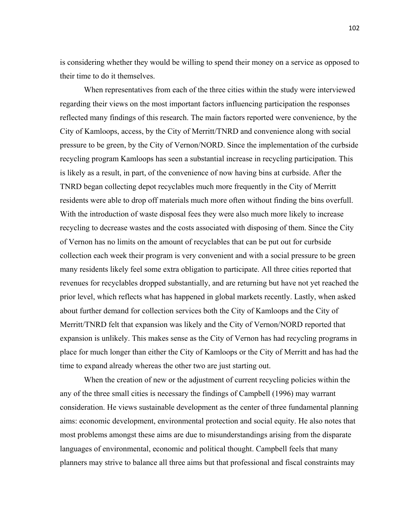is considering whether they would be willing to spend their money on a service as opposed to their time to do it themselves.

When representatives from each of the three cities within the study were interviewed regarding their views on the most important factors influencing participation the responses reflected many findings of this research. The main factors reported were convenience, by the City of Kamloops, access, by the City of Merritt/TNRD and convenience along with social pressure to be green, by the City of Vernon/NORD. Since the implementation of the curbside recycling program Kamloops has seen a substantial increase in recycling participation. This is likely as a result, in part, of the convenience of now having bins at curbside. After the TNRD began collecting depot recyclables much more frequently in the City of Merritt residents were able to drop off materials much more often without finding the bins overfull. With the introduction of waste disposal fees they were also much more likely to increase recycling to decrease wastes and the costs associated with disposing of them. Since the City of Vernon has no limits on the amount of recyclables that can be put out for curbside collection each week their program is very convenient and with a social pressure to be green many residents likely feel some extra obligation to participate. All three cities reported that revenues for recyclables dropped substantially, and are returning but have not yet reached the prior level, which reflects what has happened in global markets recently. Lastly, when asked about further demand for collection services both the City of Kamloops and the City of Merritt/TNRD felt that expansion was likely and the City of Vernon/NORD reported that expansion is unlikely. This makes sense as the City of Vernon has had recycling programs in place for much longer than either the City of Kamloops or the City of Merritt and has had the time to expand already whereas the other two are just starting out.

When the creation of new or the adjustment of current recycling policies within the any of the three small cities is necessary the findings of Campbell (1996) may warrant consideration. He views sustainable development as the center of three fundamental planning aims: economic development, environmental protection and social equity. He also notes that most problems amongst these aims are due to misunderstandings arising from the disparate languages of environmental, economic and political thought. Campbell feels that many planners may strive to balance all three aims but that professional and fiscal constraints may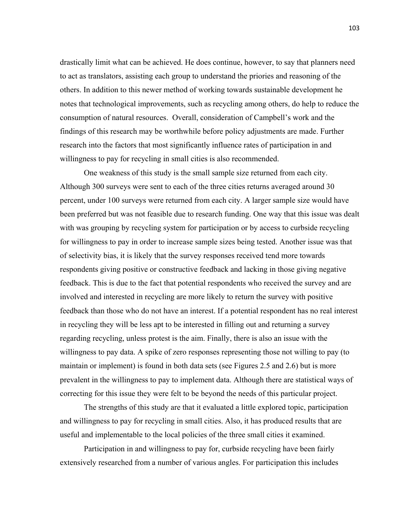drastically limit what can be achieved. He does continue, however, to say that planners need to act as translators, assisting each group to understand the priories and reasoning of the others. In addition to this newer method of working towards sustainable development he notes that technological improvements, such as recycling among others, do help to reduce the consumption of natural resources. Overall, consideration of Campbell's work and the findings of this research may be worthwhile before policy adjustments are made. Further research into the factors that most significantly influence rates of participation in and willingness to pay for recycling in small cities is also recommended.

 One weakness of this study is the small sample size returned from each city. Although 300 surveys were sent to each of the three cities returns averaged around 30 percent, under 100 surveys were returned from each city. A larger sample size would have been preferred but was not feasible due to research funding. One way that this issue was dealt with was grouping by recycling system for participation or by access to curbside recycling for willingness to pay in order to increase sample sizes being tested. Another issue was that of selectivity bias, it is likely that the survey responses received tend more towards respondents giving positive or constructive feedback and lacking in those giving negative feedback. This is due to the fact that potential respondents who received the survey and are involved and interested in recycling are more likely to return the survey with positive feedback than those who do not have an interest. If a potential respondent has no real interest in recycling they will be less apt to be interested in filling out and returning a survey regarding recycling, unless protest is the aim. Finally, there is also an issue with the willingness to pay data. A spike of zero responses representing those not willing to pay (to maintain or implement) is found in both data sets (see Figures 2.5 and 2.6) but is more prevalent in the willingness to pay to implement data. Although there are statistical ways of correcting for this issue they were felt to be beyond the needs of this particular project.

 The strengths of this study are that it evaluated a little explored topic, participation and willingness to pay for recycling in small cities. Also, it has produced results that are useful and implementable to the local policies of the three small cities it examined.

 Participation in and willingness to pay for, curbside recycling have been fairly extensively researched from a number of various angles. For participation this includes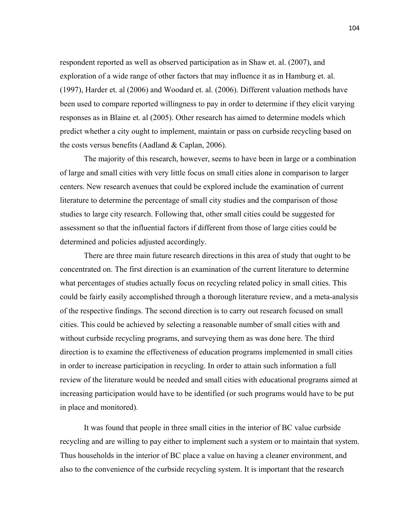respondent reported as well as observed participation as in Shaw et. al. (2007), and exploration of a wide range of other factors that may influence it as in Hamburg et. al. (1997), Harder et. al (2006) and Woodard et. al. (2006). Different valuation methods have been used to compare reported willingness to pay in order to determine if they elicit varying responses as in Blaine et. al (2005). Other research has aimed to determine models which predict whether a city ought to implement, maintain or pass on curbside recycling based on the costs versus benefits (Aadland & Caplan, 2006).

The majority of this research, however, seems to have been in large or a combination of large and small cities with very little focus on small cities alone in comparison to larger centers. New research avenues that could be explored include the examination of current literature to determine the percentage of small city studies and the comparison of those studies to large city research. Following that, other small cities could be suggested for assessment so that the influential factors if different from those of large cities could be determined and policies adjusted accordingly.

There are three main future research directions in this area of study that ought to be concentrated on. The first direction is an examination of the current literature to determine what percentages of studies actually focus on recycling related policy in small cities. This could be fairly easily accomplished through a thorough literature review, and a meta-analysis of the respective findings. The second direction is to carry out research focused on small cities. This could be achieved by selecting a reasonable number of small cities with and without curbside recycling programs, and surveying them as was done here. The third direction is to examine the effectiveness of education programs implemented in small cities in order to increase participation in recycling. In order to attain such information a full review of the literature would be needed and small cities with educational programs aimed at increasing participation would have to be identified (or such programs would have to be put in place and monitored).

It was found that people in three small cities in the interior of BC value curbside recycling and are willing to pay either to implement such a system or to maintain that system. Thus households in the interior of BC place a value on having a cleaner environment, and also to the convenience of the curbside recycling system. It is important that the research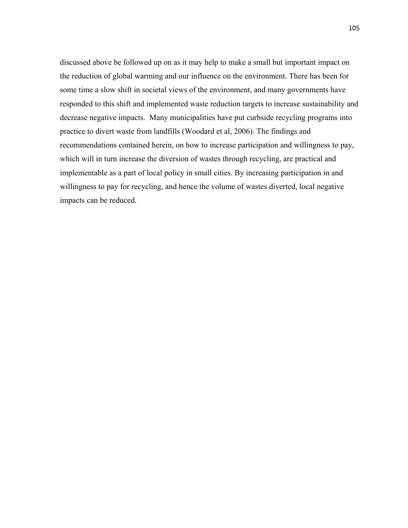discussed above be followed up on as it may help to make a small but important impact on the reduction of global warming and our influence on the environment. There has been for some time a slow shift in societal views of the environment, and many governments have responded to this shift and implemented waste reduction targets to increase sustainability and decrease negative impacts. Many municipalities have put curbside recycling programs into practice to divert waste from landfills (Woodard et al, 2006). The findings and recommendations contained herein, on how to increase participation and willingness to pay, which will in turn increase the diversion of wastes through recycling, are practical and implementable as a part of local policy in small cities. By increasing participation in and willingness to pay for recycling, and hence the volume of wastes diverted, local negative impacts can be reduced.